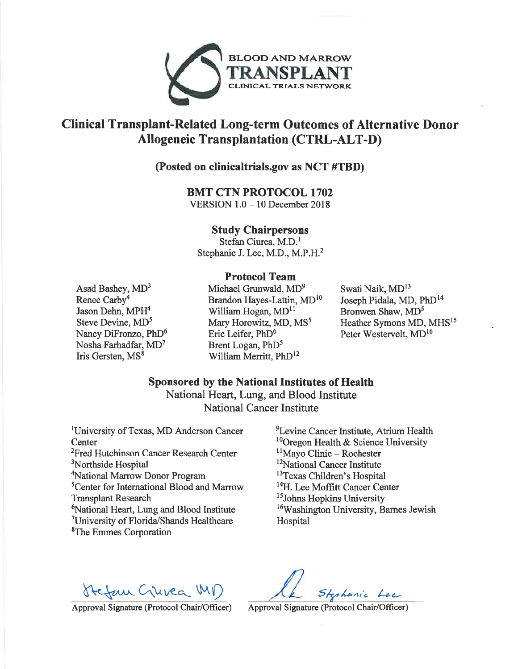

# Clinical Transplant-Related Long-term Outcomes of Alternative Donor **Allogeneic Transplantation (CTRL-ALT-D)**

# (Posted on clinicaltrials.gov as NCT #TBD)

#### **BMT CTN PROTOCOL 1702**

VERSION  $1.0 - 10$  December 2018

#### **Study Chairpersons**

Stefan Ciurea, M.D.<sup>1</sup> Stephanie J. Lee, M.D., M.P.H.<sup>2</sup>

## **Protocol Team**

Asad Bashey, MD<sup>3</sup> Renee Carby<sup>4</sup> Jason Dehn, MPH<sup>4</sup> Steve Devine, MD<sup>5</sup> Nancy DiFronzo, PhD<sup>6</sup> Nosha Farhadfar, MD<sup>7</sup> Iris Gersten, MS<sup>8</sup>

Michael Grunwald, MD<sup>9</sup> Brandon Hayes-Lattin, MD<sup>10</sup> William Hogan, MD<sup>11</sup> Mary Horowitz, MD, MS<sup>5</sup> Eric Leifer, PhD<sup>6</sup> Brent Logan, PhD<sup>5</sup> William Merritt, PhD<sup>12</sup>

Swati Naik, MD<sup>13</sup> Joseph Pidala, MD, PhD<sup>14</sup> Bronwen Shaw, MD<sup>5</sup> Heather Symons MD, MHS<sup>15</sup> Peter Westervelt, MD<sup>16</sup>

# **Sponsored by the National Institutes of Health**

National Heart, Lung, and Blood Institute **National Cancer Institute** 

<sup>1</sup>University of Texas, MD Anderson Cancer Center <sup>2</sup>Fred Hutchinson Cancer Research Center <sup>3</sup>Northside Hospital <sup>4</sup>National Marrow Donor Program <sup>5</sup>Center for International Blood and Marrow **Transplant Research** <sup>6</sup>National Heart, Lung and Blood Institute <sup>7</sup>University of Florida/Shands Healthcare <sup>8</sup>The Emmes Corporation

<sup>9</sup>Levine Cancer Institute, Atrium Health <sup>10</sup>Oregon Health & Science University  $\frac{11}{1}$ Mayo Clinic – Rochester <sup>12</sup>National Cancer Institute <sup>13</sup>Texas Children's Hospital <sup>14</sup>H. Lee Moffitt Cancer Center <sup>15</sup>Johns Hopkins University <sup>16</sup>Washington University, Barnes Jewish Hospital

Hefan Guvea MD

Sterhanic Lec

Approval Signature (Protocol Chair/Officer)

Approval Signature (Protocol Chair/Officer)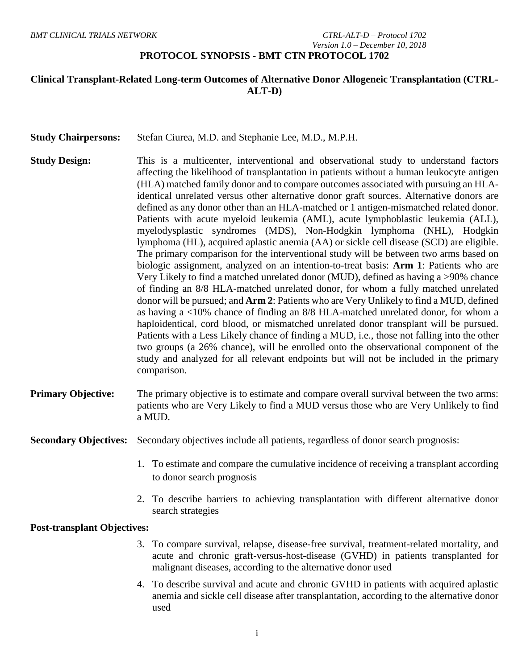#### *BMT CLINICAL TRIALS NETWORK CTRL-ALT-D – Protocol 1702 Version 1.0 – December 10, 2018* **PROTOCOL SYNOPSIS - BMT CTN PROTOCOL 1702**

## **Clinical Transplant-Related Long-term Outcomes of Alternative Donor Allogeneic Transplantation (CTRL-ALT-D)**

| <b>Study Chairpersons:</b> | Stefan Ciurea, M.D. and Stephanie Lee, M.D., M.P.H. |  |
|----------------------------|-----------------------------------------------------|--|
|----------------------------|-----------------------------------------------------|--|

- **Study Design:** This is a multicenter, interventional and observational study to understand factors affecting the likelihood of transplantation in patients without a human leukocyte antigen (HLA) matched family donor and to compare outcomes associated with pursuing an HLAidentical unrelated versus other alternative donor graft sources. Alternative donors are defined as any donor other than an HLA-matched or 1 antigen-mismatched related donor. Patients with acute myeloid leukemia (AML), acute lymphoblastic leukemia (ALL), myelodysplastic syndromes (MDS), Non-Hodgkin lymphoma (NHL), Hodgkin lymphoma (HL), acquired aplastic anemia (AA) or sickle cell disease (SCD) are eligible. The primary comparison for the interventional study will be between two arms based on biologic assignment, analyzed on an intention-to-treat basis: **Arm 1**: Patients who are Very Likely to find a matched unrelated donor (MUD), defined as having a >90% chance of finding an 8/8 HLA-matched unrelated donor, for whom a fully matched unrelated donor will be pursued; and **Arm 2**: Patients who are Very Unlikely to find a MUD, defined as having a <10% chance of finding an 8/8 HLA-matched unrelated donor, for whom a haploidentical, cord blood, or mismatched unrelated donor transplant will be pursued. Patients with a Less Likely chance of finding a MUD, i.e., those not falling into the other two groups (a 26% chance), will be enrolled onto the observational component of the study and analyzed for all relevant endpoints but will not be included in the primary comparison.
- **Primary Objective:** The primary objective is to estimate and compare overall survival between the two arms: patients who are Very Likely to find a MUD versus those who are Very Unlikely to find a MUD.

**Secondary Objectives:** Secondary objectives include all patients, regardless of donor search prognosis:

- 1. To estimate and compare the cumulative incidence of receiving a transplant according to donor search prognosis
- 2. To describe barriers to achieving transplantation with different alternative donor search strategies

#### **Post-transplant Objectives:**

- 3. To compare survival, relapse, disease-free survival, treatment-related mortality, and acute and chronic graft-versus-host-disease (GVHD) in patients transplanted for malignant diseases, according to the alternative donor used
- 4. To describe survival and acute and chronic GVHD in patients with acquired aplastic anemia and sickle cell disease after transplantation, according to the alternative donor used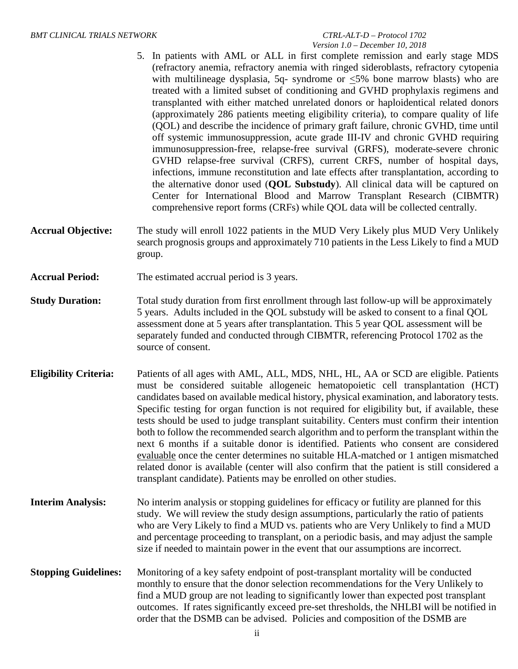# *Version 1.0 – December 10, 2018*

- 5. In patients with AML or ALL in first complete remission and early stage MDS (refractory anemia, refractory anemia with ringed sideroblasts, refractory cytopenia with multilineage dysplasia, 5q- syndrome or  $\leq$ 5% bone marrow blasts) who are treated with a limited subset of conditioning and GVHD prophylaxis regimens and transplanted with either matched unrelated donors or haploidentical related donors (approximately 286 patients meeting eligibility criteria), to compare quality of life (QOL) and describe the incidence of primary graft failure, chronic GVHD, time until off systemic immunosuppression, acute grade III-IV and chronic GVHD requiring immunosuppression-free, relapse-free survival (GRFS), moderate-severe chronic GVHD relapse-free survival (CRFS), current CRFS, number of hospital days, infections, immune reconstitution and late effects after transplantation, according to the alternative donor used (**QOL Substudy**). All clinical data will be captured on Center for International Blood and Marrow Transplant Research (CIBMTR) comprehensive report forms (CRFs) while QOL data will be collected centrally.
- **Accrual Objective:** The study will enroll 1022 patients in the MUD Very Likely plus MUD Very Unlikely search prognosis groups and approximately 710 patients in the Less Likely to find a MUD group.
- **Accrual Period:** The estimated accrual period is 3 years.
- **Study Duration:** Total study duration from first enrollment through last follow-up will be approximately 5 years. Adults included in the QOL substudy will be asked to consent to a final QOL assessment done at 5 years after transplantation. This 5 year QOL assessment will be separately funded and conducted through CIBMTR, referencing Protocol 1702 as the source of consent.
- **Eligibility Criteria:** Patients of all ages with AML, ALL, MDS, NHL, HL, AA or SCD are eligible. Patients must be considered suitable allogeneic hematopoietic cell transplantation (HCT) candidates based on available medical history, physical examination, and laboratory tests. Specific testing for organ function is not required for eligibility but, if available, these tests should be used to judge transplant suitability. Centers must confirm their intention both to follow the recommended search algorithm and to perform the transplant within the next 6 months if a suitable donor is identified. Patients who consent are considered evaluable once the center determines no suitable HLA-matched or 1 antigen mismatched related donor is available (center will also confirm that the patient is still considered a transplant candidate). Patients may be enrolled on other studies.
- **Interim Analysis:** No interim analysis or stopping guidelines for efficacy or futility are planned for this study. We will review the study design assumptions, particularly the ratio of patients who are Very Likely to find a MUD vs. patients who are Very Unlikely to find a MUD and percentage proceeding to transplant, on a periodic basis, and may adjust the sample size if needed to maintain power in the event that our assumptions are incorrect.
- **Stopping Guidelines:** Monitoring of a key safety endpoint of post-transplant mortality will be conducted monthly to ensure that the donor selection recommendations for the Very Unlikely to find a MUD group are not leading to significantly lower than expected post transplant outcomes. If rates significantly exceed pre-set thresholds, the NHLBI will be notified in order that the DSMB can be advised. Policies and composition of the DSMB are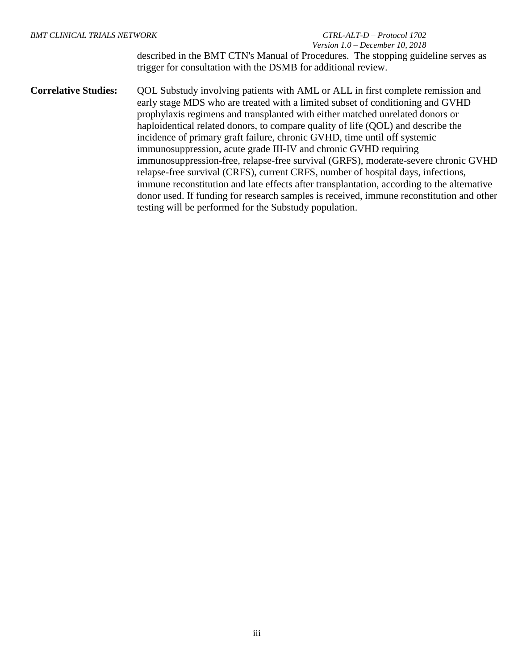# *Version 1.0 – December 10, 2018*

described in the BMT CTN's Manual of Procedures. The stopping guideline serves as trigger for consultation with the DSMB for additional review.

**Correlative Studies:** OOL Substudy involving patients with AML or ALL in first complete remission and early stage MDS who are treated with a limited subset of conditioning and GVHD prophylaxis regimens and transplanted with either matched unrelated donors or haploidentical related donors, to compare quality of life (QOL) and describe the incidence of primary graft failure, chronic GVHD, time until off systemic immunosuppression, acute grade III-IV and chronic GVHD requiring immunosuppression-free, relapse-free survival (GRFS), moderate-severe chronic GVHD relapse-free survival (CRFS), current CRFS, number of hospital days, infections, immune reconstitution and late effects after transplantation, according to the alternative donor used. If funding for research samples is received, immune reconstitution and other testing will be performed for the Substudy population.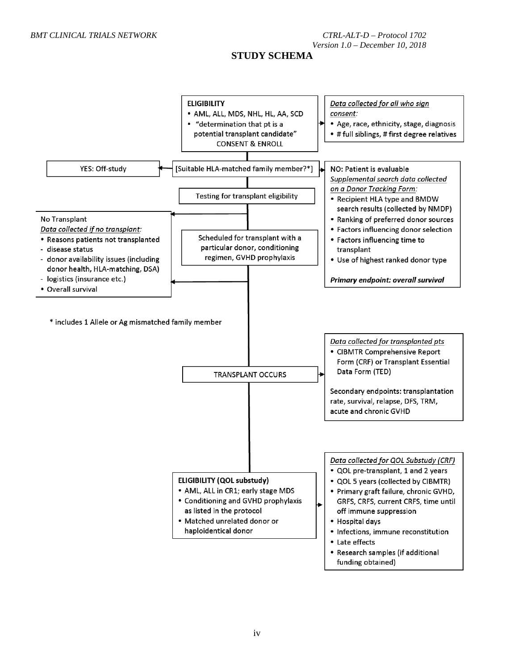## **STUDY SCHEMA**

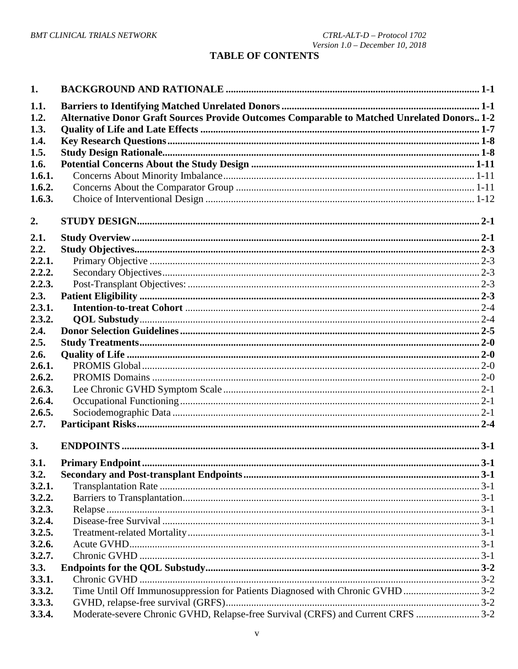# **TABLE OF CONTENTS**

| 1.                   |                                                                                             |  |
|----------------------|---------------------------------------------------------------------------------------------|--|
| 1.1.<br>1.2.<br>1.3. | Alternative Donor Graft Sources Provide Outcomes Comparable to Matched Unrelated Donors 1-2 |  |
| 1.4.                 |                                                                                             |  |
| 1.5.                 |                                                                                             |  |
| 1.6.                 |                                                                                             |  |
| 1.6.1.               |                                                                                             |  |
| 1.6.2.               |                                                                                             |  |
| 1.6.3.               |                                                                                             |  |
|                      |                                                                                             |  |
| 2.                   |                                                                                             |  |
| 2.1.                 |                                                                                             |  |
| 2.2.                 |                                                                                             |  |
| 2.2.1.               |                                                                                             |  |
| 2.2.2.               |                                                                                             |  |
| 2.2.3.               |                                                                                             |  |
| 2.3.                 |                                                                                             |  |
| 2.3.1.               |                                                                                             |  |
| 2.3.2.               |                                                                                             |  |
| 2.4.                 |                                                                                             |  |
| 2.5.                 |                                                                                             |  |
| 2.6.                 |                                                                                             |  |
| 2.6.1.               |                                                                                             |  |
| 2.6.2.               |                                                                                             |  |
| 2.6.3.               |                                                                                             |  |
| 2.6.4.               |                                                                                             |  |
| 2.6.5.               |                                                                                             |  |
| 2.7.                 |                                                                                             |  |
|                      |                                                                                             |  |
| 3.                   |                                                                                             |  |
| 3.1.                 |                                                                                             |  |
| 3.2.                 |                                                                                             |  |
| 3.2.1.               |                                                                                             |  |
| 3.2.2.               |                                                                                             |  |
| 3.2.3.               |                                                                                             |  |
| 3.2.4.               |                                                                                             |  |
| 3.2.5.               |                                                                                             |  |
| 3.2.6.               |                                                                                             |  |
| 3.2.7.               |                                                                                             |  |
| 3.3.                 |                                                                                             |  |
| 3.3.1.               |                                                                                             |  |
| 3.3.2.               | Time Until Off Immunosuppression for Patients Diagnosed with Chronic GVHD 3-2               |  |
| 3.3.3.               |                                                                                             |  |
| 3.3.4.               | Moderate-severe Chronic GVHD, Relapse-free Survival (CRFS) and Current CRFS  3-2            |  |
|                      |                                                                                             |  |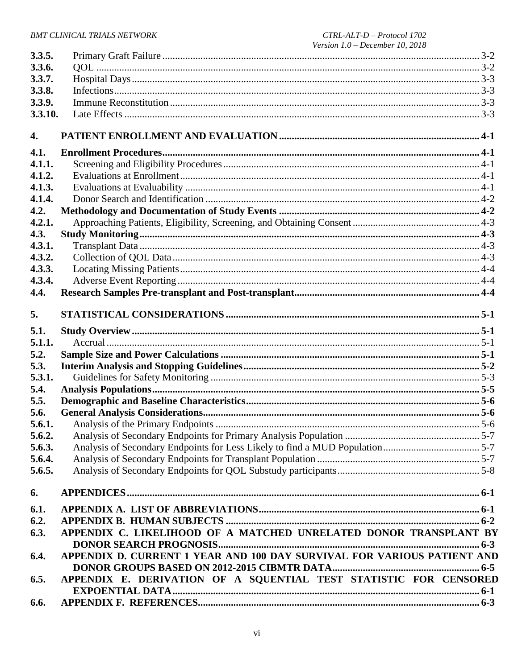| 3.3.5.           |                                                                         |  |
|------------------|-------------------------------------------------------------------------|--|
| 3.3.6.           |                                                                         |  |
| 3.3.7.           |                                                                         |  |
| 3.3.8.           |                                                                         |  |
| 3.3.9.           |                                                                         |  |
| 3.3.10.          |                                                                         |  |
|                  |                                                                         |  |
| $\overline{4}$ . |                                                                         |  |
| 4.1.             |                                                                         |  |
| 4.1.1.           |                                                                         |  |
| 4.1.2.           |                                                                         |  |
| 4.1.3.           |                                                                         |  |
| 4.1.4.           |                                                                         |  |
| 4.2.             |                                                                         |  |
| 4.2.1.           |                                                                         |  |
| 4.3.             |                                                                         |  |
| 4.3.1.           |                                                                         |  |
| 4.3.2.           |                                                                         |  |
| 4.3.3.           |                                                                         |  |
| 4.3.4.           |                                                                         |  |
| 4.4.             |                                                                         |  |
| 5.               |                                                                         |  |
|                  |                                                                         |  |
| 5.1.             |                                                                         |  |
| 5.1.1.           |                                                                         |  |
| 5.2.             |                                                                         |  |
| 5.3.             |                                                                         |  |
| 5.3.1.           |                                                                         |  |
| 5.4.             |                                                                         |  |
| 5.5.             |                                                                         |  |
| 5.6.             |                                                                         |  |
| 5.6.1.           |                                                                         |  |
| 5.6.2.           |                                                                         |  |
| 5.6.3.           |                                                                         |  |
| 5.6.4.           |                                                                         |  |
| 5.6.5.           |                                                                         |  |
| 6.               |                                                                         |  |
| 6.1.             |                                                                         |  |
| 6.2.             |                                                                         |  |
| 6.3.             | APPENDIX C. LIKELIHOOD OF A MATCHED UNRELATED DONOR TRANSPLANT BY       |  |
|                  |                                                                         |  |
| 6.4.             | APPENDIX D. CURRENT 1 YEAR AND 100 DAY SURVIVAL FOR VARIOUS PATIENT AND |  |
|                  |                                                                         |  |
| 6.5.             | APPENDIX E. DERIVATION OF A SQUENTIAL TEST STATISTIC FOR CENSORED       |  |
|                  |                                                                         |  |
| 6.6.             |                                                                         |  |
|                  |                                                                         |  |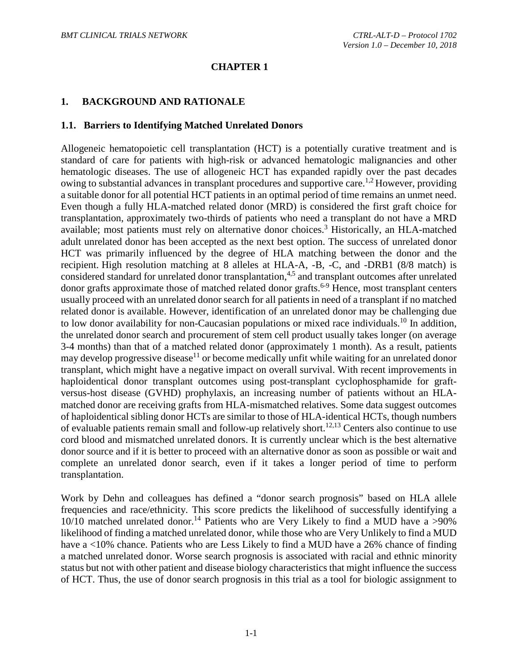#### **CHAPTER 1**

#### <span id="page-7-0"></span>**1. BACKGROUND AND RATIONALE**

#### <span id="page-7-1"></span>**1.1. Barriers to Identifying Matched Unrelated Donors**

Allogeneic hematopoietic cell transplantation (HCT) is a potentially curative treatment and is standard of care for patients with high-risk or advanced hematologic malignancies and other hematologic diseases. The use of allogeneic HCT has expanded rapidly over the past decades owing to substantial advances in transplant procedures and supportive care.<sup>[1,](#page-60-1)[2](#page-60-2)</sup> However, providing a suitable donor for all potential HCT patients in an optimal period of time remains an unmet need. Even though a fully HLA-matched related donor (MRD) is considered the first graft choice for transplantation, approximately two-thirds of patients who need a transplant do not have a MRD available; most patients must rely on alternative donor choices.<sup>3</sup> Historically, an HLA-matched adult unrelated donor has been accepted as the next best option. The success of unrelated donor HCT was primarily influenced by the degree of HLA matching between the donor and the recipient. High resolution matching at 8 alleles at HLA-A, -B, -C, and -DRB1 (8/8 match) is considered standard for unrelated donor transplantation,<sup>[4](#page-60-4)[,5](#page-60-5)</sup> and transplant outcomes after unrelated donor grafts approximate those of matched related donor grafts. [6-9](#page-60-6) Hence, most transplant centers usually proceed with an unrelated donor search for all patients in need of a transplant if no matched related donor is available. However, identification of an unrelated donor may be challenging due to low donor availability for non-Caucasian populations or mixed race individuals[.10](#page-60-7) In addition, the unrelated donor search and procurement of stem cell product usually takes longer (on average 3-4 months) than that of a matched related donor (approximately 1 month). As a result, patients may develop progressive disease<sup>11</sup> or become medically unfit while waiting for an unrelated donor transplant, which might have a negative impact on overall survival. With recent improvements in haploidentical donor transplant outcomes using post-transplant cyclophosphamide for graftversus-host disease (GVHD) prophylaxis, an increasing number of patients without an HLAmatched donor are receiving grafts from HLA-mismatched relatives. Some data suggest outcomes of haploidentical sibling donor HCTs are similar to those of HLA-identical HCTs, though numbers of evaluable patients remain small and follow-up relatively short.<sup>[12](#page-61-0)[,13](#page-61-1)</sup> Centers also continue to use cord blood and mismatched unrelated donors. It is currently unclear which is the best alternative donor source and if it is better to proceed with an alternative donor as soon as possible or wait and complete an unrelated donor search, even if it takes a longer period of time to perform transplantation.

Work by Dehn and colleagues has defined a "donor search prognosis" based on HLA allele frequencies and race/ethnicity. This score predicts the likelihood of successfully identifying a  $10/10$  matched unrelated donor.<sup>[14](#page-61-2)</sup> Patients who are Very Likely to find a MUD have a >90% likelihood of finding a matched unrelated donor, while those who are Very Unlikely to find a MUD have a <10% chance. Patients who are Less Likely to find a MUD have a 26% chance of finding a matched unrelated donor. Worse search prognosis is associated with racial and ethnic minority status but not with other patient and disease biology characteristics that might influence the success of HCT. Thus, the use of donor search prognosis in this trial as a tool for biologic assignment to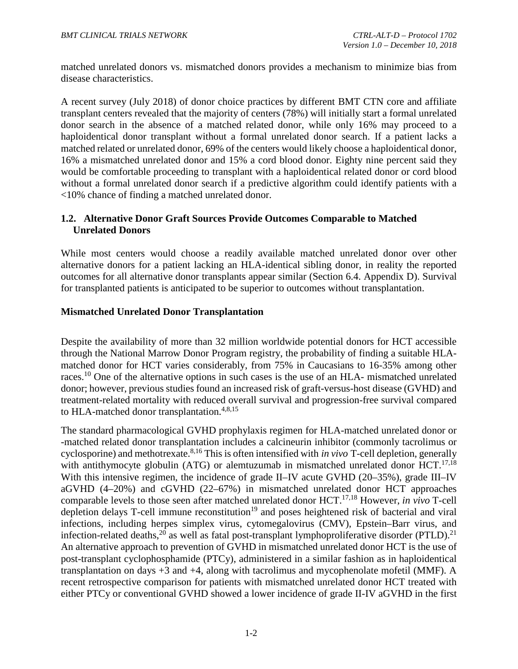matched unrelated donors vs. mismatched donors provides a mechanism to minimize bias from disease characteristics.

A recent survey (July 2018) of donor choice practices by different BMT CTN core and affiliate transplant centers revealed that the majority of centers (78%) will initially start a formal unrelated donor search in the absence of a matched related donor, while only 16% may proceed to a haploidentical donor transplant without a formal unrelated donor search. If a patient lacks a matched related or unrelated donor, 69% of the centers would likely choose a haploidentical donor, 16% a mismatched unrelated donor and 15% a cord blood donor. Eighty nine percent said they would be comfortable proceeding to transplant with a haploidentical related donor or cord blood without a formal unrelated donor search if a predictive algorithm could identify patients with a <10% chance of finding a matched unrelated donor.

## <span id="page-8-0"></span>**1.2. Alternative Donor Graft Sources Provide Outcomes Comparable to Matched Unrelated Donors**

While most centers would choose a readily available matched unrelated donor over other alternative donors for a patient lacking an HLA-identical sibling donor, in reality the reported outcomes for all alternative donor transplants appear similar (Section 6.4. Appendix D). Survival for transplanted patients is anticipated to be superior to outcomes without transplantation.

## **Mismatched Unrelated Donor Transplantation**

Despite the availability of more than 32 million worldwide potential donors for HCT accessible through the National Marrow Donor Program registry, the probability of finding a suitable HLAmatched donor for HCT varies considerably, from 75% in Caucasians to 16-35% among other races.<sup>[10](#page-60-7)</sup> One of the alternative options in such cases is the use of an HLA- mismatched unrelated donor; however, previous studies found an increased risk of graft-versus-host disease (GVHD) and treatment-related mortality with reduced overall survival and progression-free survival compared to HLA-matched donor transplantation.<sup>[4,](#page-60-4)[8](#page-60-9)[,15](#page-61-3)</sup>

The standard pharmacological GVHD prophylaxis regimen for HLA-matched unrelated donor or -matched related donor transplantation includes a calcineurin inhibitor (commonly tacrolimus or cyclosporine) and methotrexate. [8](#page-60-9)[,16](#page-61-4) This is often intensified with *in vivo* T-cell depletion, generally with antithymocyte globulin (ATG) or alemtuzumab in mismatched unrelated donor HCT.<sup>[17](#page-61-5)[,18](#page-61-6)</sup> With this intensive regimen, the incidence of grade II–IV acute GVHD (20–35%), grade III–IV aGVHD (4–20%) and cGVHD (22–67%) in mismatched unrelated donor HCT approaches comparable levels to those seen after matched unrelated donor HCT. [17,](#page-61-5)[18](#page-61-6) However, *in vivo* T-cell depletion delays T-cell immune reconstitution<sup>[19](#page-61-7)</sup> and poses heightened risk of bacterial and viral infections, including herpes simplex virus, cytomegalovirus (CMV), Epstein–Barr virus, and infection-related deaths,<sup>[20](#page-61-8)</sup> as well as fatal post-transplant lymphoproliferative disorder (PTLD).<sup>[21](#page-61-9)</sup> An alternative approach to prevention of GVHD in mismatched unrelated donor HCT is the use of post-transplant cyclophosphamide (PTCy), administered in a similar fashion as in haploidentical transplantation on days +3 and +4, along with tacrolimus and mycophenolate mofetil (MMF). A recent retrospective comparison for patients with mismatched unrelated donor HCT treated with either PTCy or conventional GVHD showed a lower incidence of grade II-IV aGVHD in the first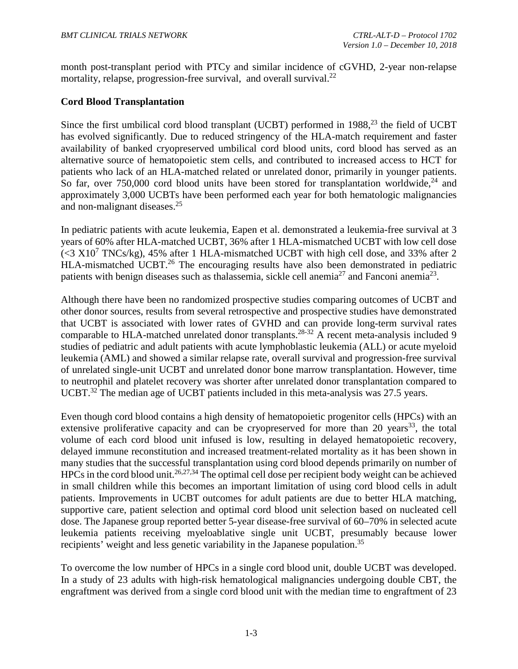month post-transplant period with PTCy and similar incidence of cGVHD, 2-year non-relapse mortality, relapse, progression-free survival, and overall survival.<sup>[22](#page-61-10)</sup>

## **Cord Blood Transplantation**

Since the first umbilical cord blood transplant (UCBT) performed in 1988,<sup>[23](#page-61-11)</sup> the field of UCBT has evolved significantly. Due to reduced stringency of the HLA-match requirement and faster availability of banked cryopreserved umbilical cord blood units, cord blood has served as an alternative source of hematopoietic stem cells, and contributed to increased access to HCT for patients who lack of an HLA-matched related or unrelated donor, primarily in younger patients. So far, over 750,000 cord blood units have been stored for transplantation worldwide,  $24$  and approximately 3,000 UCBTs have been performed each year for both hematologic malignancies and non-malignant diseases.[25](#page-62-1)

In pediatric patients with acute leukemia, Eapen et al. demonstrated a leukemia-free survival at 3 years of 60% after HLA-matched UCBT, 36% after 1 HLA-mismatched UCBT with low cell dose  $(<$ 3 X10<sup>7</sup> TNCs/kg), 45% after 1 HLA-mismatched UCBT with high cell dose, and 33% after 2 HLA-mismatched UCBT.<sup>[26](#page-62-2)</sup> The encouraging results have also been demonstrated in pediatric patients with benign diseases such as thalassemia, sickle cell anemia<sup>27</sup> and Fanconi anemia<sup>23</sup>.

Although there have been no randomized prospective studies comparing outcomes of UCBT and other donor sources, results from several retrospective and prospective studies have demonstrated that UCBT is associated with lower rates of GVHD and can provide long-term survival rates comparable to HLA-matched unrelated donor transplants.<sup>28-32</sup> A recent meta-analysis included 9 studies of pediatric and adult patients with acute lymphoblastic leukemia (ALL) or acute myeloid leukemia (AML) and showed a similar relapse rate, overall survival and progression-free survival of unrelated single-unit UCBT and unrelated donor bone marrow transplantation. However, time to neutrophil and platelet recovery was shorter after unrelated donor transplantation compared to UCBT.<sup>32</sup> The median age of UCBT patients included in this meta-analysis was 27.5 years.

Even though cord blood contains a high density of hematopoietic progenitor cells (HPCs) with an extensive proliferative capacity and can be cryopreserved for more than 20 years<sup>33</sup>, the total volume of each cord blood unit infused is low, resulting in delayed hematopoietic recovery, delayed immune reconstitution and increased treatment-related mortality as it has been shown in many studies that the successful transplantation using cord blood depends primarily on number of  $HPCs$  in the cord blood unit.<sup>[26,](#page-62-2)[27,](#page-62-3)[34](#page-62-7)</sup> The optimal cell dose per recipient body weight can be achieved in small children while this becomes an important limitation of using cord blood cells in adult patients. Improvements in UCBT outcomes for adult patients are due to better HLA matching, supportive care, patient selection and optimal cord blood unit selection based on nucleated cell dose. The Japanese group reported better 5-year disease-free survival of 60–70% in selected acute leukemia patients receiving myeloablative single unit UCBT, presumably because lower recipients' weight and less genetic variability in the Japanese population.<sup>35</sup>

To overcome the low number of HPCs in a single cord blood unit, double UCBT was developed. In a study of 23 adults with high-risk hematological malignancies undergoing double CBT, the engraftment was derived from a single cord blood unit with the median time to engraftment of 23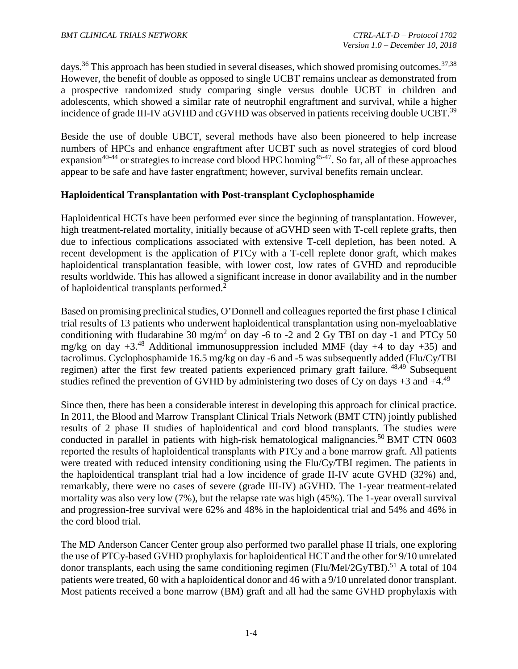days.<sup>[36](#page-63-0)</sup> This approach has been studied in several diseases, which showed promising outcomes.<sup>37[,38](#page-63-2)</sup> However, the benefit of double as opposed to single UCBT remains unclear as demonstrated from a prospective randomized study comparing single versus double UCBT in children and adolescents, which showed a similar rate of neutrophil engraftment and survival, while a higher incidence of grade III-IV aGVHD and cGVHD was observed in patients receiving double UCBT.<sup>39</sup>

Beside the use of double UBCT, several methods have also been pioneered to help increase numbers of HPCs and enhance engraftment after UCBT such as novel strategies of cord blood expansion<sup>40-44</sup> or strategies to increase cord blood HPC homing<sup>45-47</sup>. So far, all of these approaches appear to be safe and have faster engraftment; however, survival benefits remain unclear.

#### **Haploidentical Transplantation with Post-transplant Cyclophosphamide**

Haploidentical HCTs have been performed ever since the beginning of transplantation. However, high treatment-related mortality, initially because of aGVHD seen with T-cell replete grafts, then due to infectious complications associated with extensive T-cell depletion, has been noted. A recent development is the application of PTCy with a T-cell replete donor graft, which makes haploidentical transplantation feasible, with lower cost, low rates of GVHD and reproducible results worldwide. This has allowed a significant increase in donor availability and in the number of haploidentical transplants performed.<sup>[2](#page-60-2)</sup>

Based on promising preclinical studies, O'Donnell and colleagues reported the first phase I clinical trial results of 13 patients who underwent haploidentical transplantation using non-myeloablative conditioning with fludarabine 30 mg/m<sup>2</sup> on day -6 to -2 and 2 Gy TBI on day -1 and PTCy 50 mg/kg on day  $+3.^{48}$  $+3.^{48}$  $+3.^{48}$  Additional immunosuppression included MMF (day  $+4$  to day  $+35$ ) and tacrolimus. Cyclophosphamide 16.5 mg/kg on day -6 and -5 was subsequently added (Flu/Cy/TBI regimen) after the first few treated patients experienced primary graft failure. [48](#page-63-6),49 Subsequent studies refined the prevention of GVHD by administering two doses of Cy on days  $+3$  and  $+4$ .<sup>[49](#page-64-0)</sup>

Since then, there has been a considerable interest in developing this approach for clinical practice. In 2011, the Blood and Marrow Transplant Clinical Trials Network (BMT CTN) jointly published results of 2 phase II studies of haploidentical and cord blood transplants. The studies were conducted in parallel in patients with high-risk hematological malignancies. [50](#page-64-1) BMT CTN 0603 reported the results of haploidentical transplants with PTCy and a bone marrow graft. All patients were treated with reduced intensity conditioning using the Flu/Cy/TBI regimen. The patients in the haploidentical transplant trial had a low incidence of grade II-IV acute GVHD (32%) and, remarkably, there were no cases of severe (grade III-IV) aGVHD. The 1-year treatment-related mortality was also very low (7%), but the relapse rate was high (45%). The 1-year overall survival and progression-free survival were 62% and 48% in the haploidentical trial and 54% and 46% in the cord blood trial.

The MD Anderson Cancer Center group also performed two parallel phase II trials, one exploring the use of PTCy-based GVHD prophylaxis for haploidentical HCT and the other for 9/10 unrelated donor transplants, each using the same conditioning regimen (Flu/Mel/2GyTBI).<sup>[51](#page-64-2)</sup> A total of 104 patients were treated, 60 with a haploidentical donor and 46 with a 9/10 unrelated donor transplant. Most patients received a bone marrow (BM) graft and all had the same GVHD prophylaxis with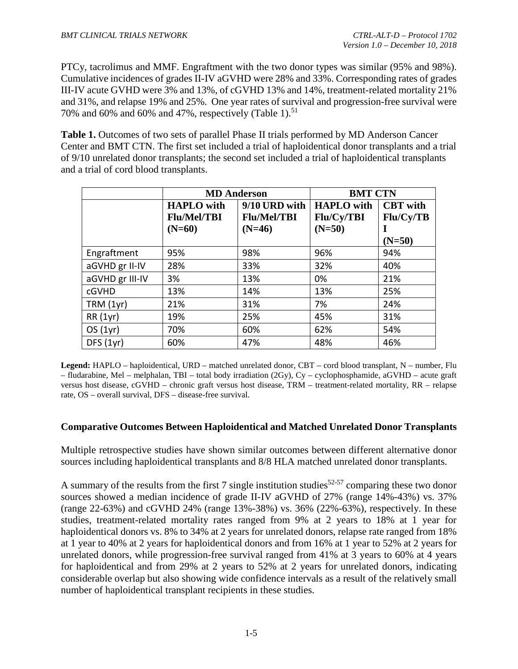PTCy, tacrolimus and MMF. Engraftment with the two donor types was similar (95% and 98%). Cumulative incidences of grades II-IV aGVHD were 28% and 33%. Corresponding rates of grades III-IV acute GVHD were 3% and 13%, of cGVHD 13% and 14%, treatment-related mortality 21% and 31%, and relapse 19% and 25%. One year rates of survival and progression-free survival were 70% and 60% and 60% and 47%, respectively (Table 1). [51](#page-64-2)

**Table 1.** Outcomes of two sets of parallel Phase II trials performed by MD Anderson Cancer Center and BMT CTN. The first set included a trial of haploidentical donor transplants and a trial of 9/10 unrelated donor transplants; the second set included a trial of haploidentical transplants and a trial of cord blood transplants.

|                 | <b>MD</b> Anderson |                    | <b>BMT CTN</b>    |                 |  |
|-----------------|--------------------|--------------------|-------------------|-----------------|--|
|                 | <b>HAPLO</b> with  | 9/10 URD with      | <b>HAPLO</b> with | <b>CBT</b> with |  |
|                 | <b>Flu/Mel/TBI</b> | <b>Flu/Mel/TBI</b> | <b>Flu/Cy/TBI</b> | Flu/Cy/TB       |  |
|                 | $(N=60)$           | $(N=46)$           | $(N=50)$          |                 |  |
|                 |                    |                    |                   | $(N=50)$        |  |
| Engraftment     | 95%                | 98%                | 96%               | 94%             |  |
| aGVHD gr II-IV  | 28%                | 33%                | 32%               | 40%             |  |
| aGVHD gr III-IV | 3%                 | 13%                | 0%                | 21%             |  |
| cGVHD           | 13%                | 14%                | 13%               | 25%             |  |
| TRM(1yr)        | 21%                | 31%                | 7%                | 24%             |  |
| <b>RR</b> (1yr) | 19%                | 25%                | 45%               | 31%             |  |
| OS(1yr)         | 70%                | 60%                | 62%               | 54%             |  |
| DFS(1yr)        | 60%                | 47%                | 48%               | 46%             |  |

**Legend:** HAPLO – haploidentical, URD – matched unrelated donor, CBT – cord blood transplant, N – number, Flu – fludarabine, Mel – melphalan, TBI – total body irradiation (2Gy), Cy – cyclophosphamide, aGVHD – acute graft versus host disease, cGVHD – chronic graft versus host disease, TRM – treatment-related mortality, RR – relapse rate, OS – overall survival, DFS – disease-free survival.

#### **Comparative Outcomes Between Haploidentical and Matched Unrelated Donor Transplants**

Multiple retrospective studies have shown similar outcomes between different alternative donor sources including haploidentical transplants and 8/8 HLA matched unrelated donor transplants.

A summary of the results from the first 7 single institution studies<sup>52-57</sup> comparing these two donor sources showed a median incidence of grade II-IV aGVHD of 27% (range 14%-43%) vs. 37% (range 22-63%) and cGVHD 24% (range 13%-38%) vs. 36% (22%-63%), respectively. In these studies, treatment-related mortality rates ranged from 9% at 2 years to 18% at 1 year for haploidentical donors vs. 8% to 34% at 2 years for unrelated donors, relapse rate ranged from 18% at 1 year to 40% at 2 years for haploidentical donors and from 16% at 1 year to 52% at 2 years for unrelated donors, while progression-free survival ranged from 41% at 3 years to 60% at 4 years for haploidentical and from 29% at 2 years to 52% at 2 years for unrelated donors, indicating considerable overlap but also showing wide confidence intervals as a result of the relatively small number of haploidentical transplant recipients in these studies.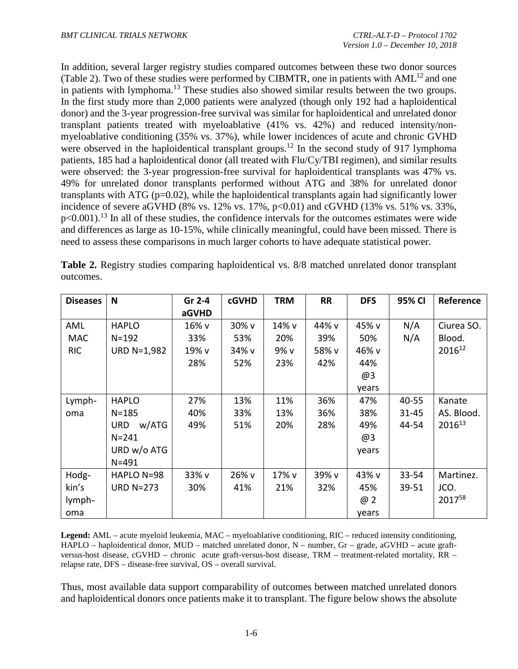In addition, several larger registry studies compared outcomes between these two donor sources (Table 2). Two of these studies were performed by CIBMTR, one in patients with  $AML<sup>12</sup>$  and one in patients with lymphoma.<sup>[13](#page-61-1)</sup> These studies also showed similar results between the two groups. In the first study more than 2,000 patients were analyzed (though only 192 had a haploidentical donor) and the 3-year progression-free survival was similar for haploidentical and unrelated donor transplant patients treated with myeloablative (41% vs. 42%) and reduced intensity/nonmyeloablative conditioning (35% vs. 37%), while lower incidences of acute and chronic GVHD were observed in the haploidentical transplant groups.<sup>[12](#page-61-0)</sup> In the second study of 917 lymphoma patients, 185 had a haploidentical donor (all treated with Flu/Cy/TBI regimen), and similar results were observed: the 3-year progression-free survival for haploidentical transplants was 47% vs. 49% for unrelated donor transplants performed without ATG and 38% for unrelated donor transplants with ATG (p=0.02), while the haploidentical transplants again had significantly lower incidence of severe aGVHD (8% vs.  $12\%$  vs.  $17\%$ ,  $p<0.01$ ) and cGVHD (13% vs. 51% vs. 33%,  $p<0.001$ ).<sup>[13](#page-61-1)</sup> In all of these studies, the confidence intervals for the outcomes estimates were wide and differences as large as 10-15%, while clinically meaningful, could have been missed. There is need to assess these comparisons in much larger cohorts to have adequate statistical power.

| <b>Diseases</b> | N                  | Gr 2-4 | <b>cGVHD</b> | <b>TRM</b> | <b>RR</b> | <b>DFS</b> | 95% CI    | Reference          |
|-----------------|--------------------|--------|--------------|------------|-----------|------------|-----------|--------------------|
|                 |                    | aGVHD  |              |            |           |            |           |                    |
| AML             | <b>HAPLO</b>       | 16% v  | 30% v        | 14% v      | 44% v     | 45% v      | N/A       | Ciurea SO.         |
| <b>MAC</b>      | $N = 192$          | 33%    | 53%          | 20%        | 39%       | 50%        | N/A       | Blood.             |
| <b>RIC</b>      | <b>URD N=1,982</b> | 19% v  | 34% v        | 9% v       | 58% v     | 46% v      |           | 201612             |
|                 |                    | 28%    | 52%          | 23%        | 42%       | 44%        |           |                    |
|                 |                    |        |              |            |           | @3         |           |                    |
|                 |                    |        |              |            |           | years      |           |                    |
| Lymph-          | <b>HAPLO</b>       | 27%    | 13%          | 11%        | 36%       | 47%        | 40-55     | Kanate             |
| oma             | $N = 185$          | 40%    | 33%          | 13%        | 36%       | 38%        | $31 - 45$ | AS. Blood.         |
|                 | w/ATG<br>URD       | 49%    | 51%          | 20%        | 28%       | 49%        | 44-54     | 2016 <sup>13</sup> |
|                 | $N = 241$          |        |              |            |           | @3         |           |                    |
|                 | URD w/o ATG        |        |              |            |           | years      |           |                    |
|                 | $N = 491$          |        |              |            |           |            |           |                    |
| Hodg-           | HAPLO N=98         | 33% v  | 26% v        | 17% v      | 39% v     | 43% v      | 33-54     | Martinez.          |
| kin's           | <b>URD N=273</b>   | 30%    | 41%          | 21%        | 32%       | 45%        | 39-51     | JCO.               |
| lymph-          |                    |        |              |            |           | @ 2        |           | 201758             |
| oma             |                    |        |              |            |           | years      |           |                    |

**Table 2.** Registry studies comparing haploidentical vs. 8/8 matched unrelated donor transplant outcomes.

**Legend:** AML – acute myeloid leukemia, MAC – myeloablative conditioning, RIC – reduced intensity conditioning, HAPLO – haploidentical donor, MUD – matched unrelated donor, N – number, Gr – grade, aGVHD – acute graftversus-host disease, cGVHD – chronic acute graft-versus-host disease, TRM – treatment-related mortality, RR – relapse rate, DFS – disease-free survival, OS – overall survival.

Thus, most available data support comparability of outcomes between matched unrelated donors and haploidentical donors once patients make it to transplant. The figure below shows the absolute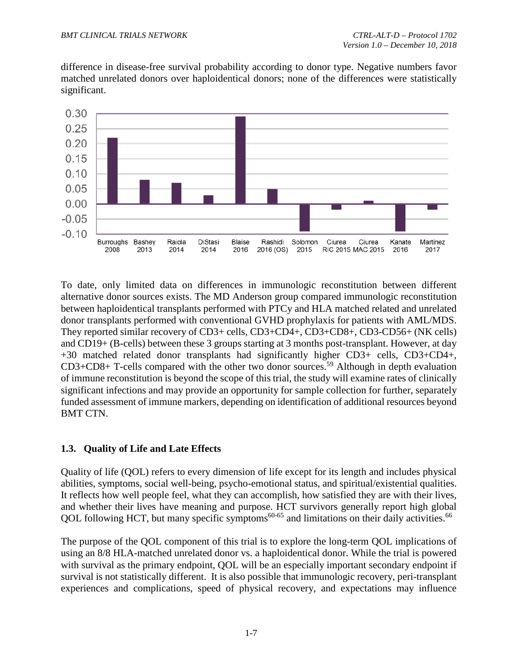difference in disease-free survival probability according to donor type. Negative numbers favor matched unrelated donors over haploidentical donors; none of the differences were statistically significant.



To date, only limited data on differences in immunologic reconstitution between different alternative donor sources exists. The MD Anderson group compared immunologic reconstitution between haploidentical transplants performed with PTCy and HLA matched related and unrelated donor transplants performed with conventional GVHD prophylaxis for patients with AML/MDS. They reported similar recovery of CD3+ cells, CD3+CD4+, CD3+CD8+, CD3-CD56+ (NK cells) and CD19+ (B-cells) between these 3 groups starting at 3 months post-transplant. However, at day +30 matched related donor transplants had significantly higher CD3+ cells, CD3+CD4+, CD3+CD8+ T-cells compared with the other two donor sources. [59](#page-65-0) Although in depth evaluation of immune reconstitution is beyond the scope of this trial, the study will examine rates of clinically significant infections and may provide an opportunity for sample collection for further, separately funded assessment of immune markers, depending on identification of additional resources beyond BMT CTN.

# <span id="page-13-0"></span>**1.3. Quality of Life and Late Effects**

Quality of life (QOL) refers to every dimension of life except for its length and includes physical abilities, symptoms, social well-being, psycho-emotional status, and spiritual/existential qualities. It reflects how well people feel, what they can accomplish, how satisfied they are with their lives, and whether their lives have meaning and purpose. HCT survivors generally report high global QOL following HCT, but many specific symptoms $60-65$  and limitations on their daily activities.<sup>66</sup>

The purpose of the QOL component of this trial is to explore the long-term QOL implications of using an 8/8 HLA-matched unrelated donor vs. a haploidentical donor. While the trial is powered with survival as the primary endpoint, QOL will be an especially important secondary endpoint if survival is not statistically different. It is also possible that immunologic recovery, peri-transplant experiences and complications, speed of physical recovery, and expectations may influence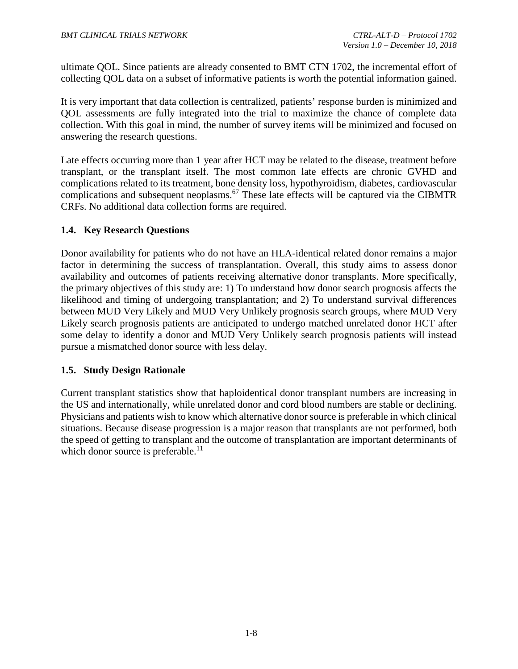ultimate QOL. Since patients are already consented to BMT CTN 1702, the incremental effort of collecting QOL data on a subset of informative patients is worth the potential information gained.

It is very important that data collection is centralized, patients' response burden is minimized and QOL assessments are fully integrated into the trial to maximize the chance of complete data collection. With this goal in mind, the number of survey items will be minimized and focused on answering the research questions.

Late effects occurring more than 1 year after HCT may be related to the disease, treatment before transplant, or the transplant itself. The most common late effects are chronic GVHD and complications related to its treatment, bone density loss, hypothyroidism, diabetes, cardiovascular complications and subsequent neoplasms.<sup>[67](#page-65-3)</sup> These late effects will be captured via the CIBMTR CRFs. No additional data collection forms are required.

# <span id="page-14-0"></span>**1.4. Key Research Questions**

Donor availability for patients who do not have an HLA-identical related donor remains a major factor in determining the success of transplantation. Overall, this study aims to assess donor availability and outcomes of patients receiving alternative donor transplants. More specifically, the primary objectives of this study are: 1) To understand how donor search prognosis affects the likelihood and timing of undergoing transplantation; and 2) To understand survival differences between MUD Very Likely and MUD Very Unlikely prognosis search groups, where MUD Very Likely search prognosis patients are anticipated to undergo matched unrelated donor HCT after some delay to identify a donor and MUD Very Unlikely search prognosis patients will instead pursue a mismatched donor source with less delay.

#### <span id="page-14-1"></span>**1.5. Study Design Rationale**

Current transplant statistics show that haploidentical donor transplant numbers are increasing in the US and internationally, while unrelated donor and cord blood numbers are stable or declining. Physicians and patients wish to know which alternative donor source is preferable in which clinical situations. Because disease progression is a major reason that transplants are not performed, both the speed of getting to transplant and the outcome of transplantation are important determinants of which donor source is preferable. $^{11}$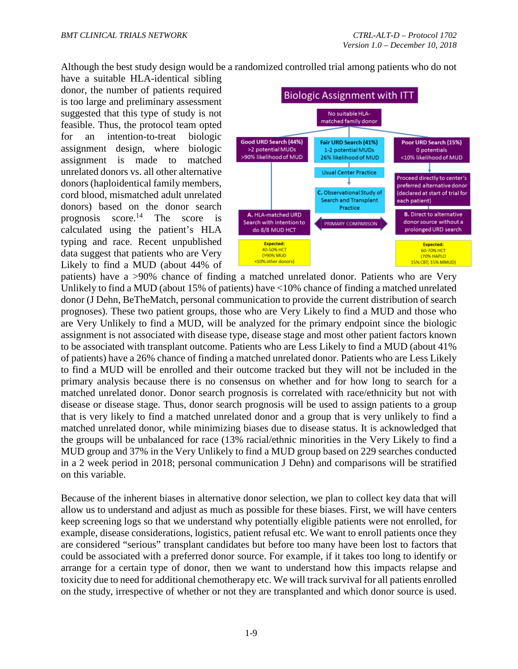Although the best study design would be a randomized controlled trial among patients who do not

have a suitable HLA-identical sibling donor, the number of patients required is too large and preliminary assessment suggested that this type of study is not feasible. Thus, the protocol team opted for an intention-to-treat biologic assignment design, where biologic assignment is made to matched unrelated donors vs. all other alternative donors (haploidentical family members, cord blood, mismatched adult unrelated donors) based on the donor search prognosis score.<sup>[14](#page-61-2)</sup> The score is calculated using the patient's HLA typing and race. Recent unpublished data suggest that patients who are Very Likely to find a MUD (about 44% of



patients) have a >90% chance of finding a matched unrelated donor. Patients who are Very Unlikely to find a MUD (about 15% of patients) have <10% chance of finding a matched unrelated donor (J Dehn, BeTheMatch, personal communication to provide the current distribution of search prognoses). These two patient groups, those who are Very Likely to find a MUD and those who are Very Unlikely to find a MUD, will be analyzed for the primary endpoint since the biologic assignment is not associated with disease type, disease stage and most other patient factors known to be associated with transplant outcome. Patients who are Less Likely to find a MUD (about 41% of patients) have a 26% chance of finding a matched unrelated donor. Patients who are Less Likely to find a MUD will be enrolled and their outcome tracked but they will not be included in the primary analysis because there is no consensus on whether and for how long to search for a matched unrelated donor. Donor search prognosis is correlated with race/ethnicity but not with disease or disease stage. Thus, donor search prognosis will be used to assign patients to a group that is very likely to find a matched unrelated donor and a group that is very unlikely to find a matched unrelated donor, while minimizing biases due to disease status. It is acknowledged that the groups will be unbalanced for race (13% racial/ethnic minorities in the Very Likely to find a MUD group and 37% in the Very Unlikely to find a MUD group based on 229 searches conducted in a 2 week period in 2018; personal communication J Dehn) and comparisons will be stratified on this variable.

Because of the inherent biases in alternative donor selection, we plan to collect key data that will allow us to understand and adjust as much as possible for these biases. First, we will have centers keep screening logs so that we understand why potentially eligible patients were not enrolled, for example, disease considerations, logistics, patient refusal etc. We want to enroll patients once they are considered "serious" transplant candidates but before too many have been lost to factors that could be associated with a preferred donor source. For example, if it takes too long to identify or arrange for a certain type of donor, then we want to understand how this impacts relapse and toxicity due to need for additional chemotherapy etc. We will track survival for all patients enrolled on the study, irrespective of whether or not they are transplanted and which donor source is used.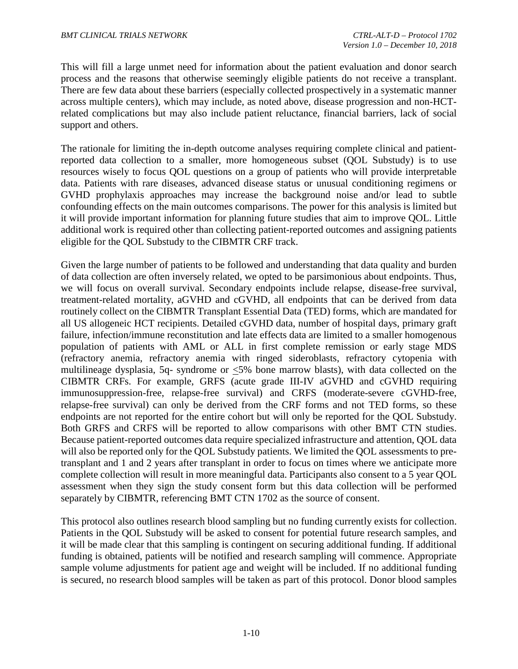This will fill a large unmet need for information about the patient evaluation and donor search process and the reasons that otherwise seemingly eligible patients do not receive a transplant. There are few data about these barriers (especially collected prospectively in a systematic manner across multiple centers), which may include, as noted above, disease progression and non-HCTrelated complications but may also include patient reluctance, financial barriers, lack of social support and others.

The rationale for limiting the in-depth outcome analyses requiring complete clinical and patientreported data collection to a smaller, more homogeneous subset (QOL Substudy) is to use resources wisely to focus QOL questions on a group of patients who will provide interpretable data. Patients with rare diseases, advanced disease status or unusual conditioning regimens or GVHD prophylaxis approaches may increase the background noise and/or lead to subtle confounding effects on the main outcomes comparisons. The power for this analysis is limited but it will provide important information for planning future studies that aim to improve QOL. Little additional work is required other than collecting patient-reported outcomes and assigning patients eligible for the QOL Substudy to the CIBMTR CRF track.

Given the large number of patients to be followed and understanding that data quality and burden of data collection are often inversely related, we opted to be parsimonious about endpoints. Thus, we will focus on overall survival. Secondary endpoints include relapse, disease-free survival, treatment-related mortality, aGVHD and cGVHD, all endpoints that can be derived from data routinely collect on the CIBMTR Transplant Essential Data (TED) forms, which are mandated for all US allogeneic HCT recipients. Detailed cGVHD data, number of hospital days, primary graft failure, infection/immune reconstitution and late effects data are limited to a smaller homogenous population of patients with AML or ALL in first complete remission or early stage MDS (refractory anemia, refractory anemia with ringed sideroblasts, refractory cytopenia with multilineage dysplasia, 5q- syndrome or <5% bone marrow blasts), with data collected on the CIBMTR CRFs. For example, GRFS (acute grade III-IV aGVHD and cGVHD requiring immunosuppression-free, relapse-free survival) and CRFS (moderate-severe cGVHD-free, relapse-free survival) can only be derived from the CRF forms and not TED forms, so these endpoints are not reported for the entire cohort but will only be reported for the QOL Substudy. Both GRFS and CRFS will be reported to allow comparisons with other BMT CTN studies. Because patient-reported outcomes data require specialized infrastructure and attention, QOL data will also be reported only for the QOL Substudy patients. We limited the QOL assessments to pretransplant and 1 and 2 years after transplant in order to focus on times where we anticipate more complete collection will result in more meaningful data. Participants also consent to a 5 year QOL assessment when they sign the study consent form but this data collection will be performed separately by CIBMTR, referencing BMT CTN 1702 as the source of consent.

This protocol also outlines research blood sampling but no funding currently exists for collection. Patients in the QOL Substudy will be asked to consent for potential future research samples, and it will be made clear that this sampling is contingent on securing additional funding. If additional funding is obtained, patients will be notified and research sampling will commence. Appropriate sample volume adjustments for patient age and weight will be included. If no additional funding is secured, no research blood samples will be taken as part of this protocol. Donor blood samples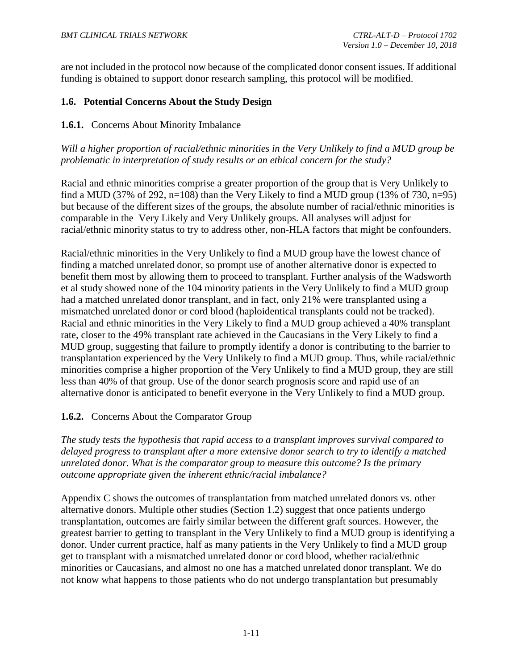are not included in the protocol now because of the complicated donor consent issues. If additional funding is obtained to support donor research sampling, this protocol will be modified.

## <span id="page-17-0"></span>**1.6. Potential Concerns About the Study Design**

#### <span id="page-17-1"></span>**1.6.1.** Concerns About Minority Imbalance

*Will a higher proportion of racial/ethnic minorities in the Very Unlikely to find a MUD group be problematic in interpretation of study results or an ethical concern for the study?*

Racial and ethnic minorities comprise a greater proportion of the group that is Very Unlikely to find a MUD (37% of 292, n=108) than the Very Likely to find a MUD group (13% of 730, n=95) but because of the different sizes of the groups, the absolute number of racial/ethnic minorities is comparable in the Very Likely and Very Unlikely groups. All analyses will adjust for racial/ethnic minority status to try to address other, non-HLA factors that might be confounders.

Racial/ethnic minorities in the Very Unlikely to find a MUD group have the lowest chance of finding a matched unrelated donor, so prompt use of another alternative donor is expected to benefit them most by allowing them to proceed to transplant. Further analysis of the Wadsworth et al study showed none of the 104 minority patients in the Very Unlikely to find a MUD group had a matched unrelated donor transplant, and in fact, only 21% were transplanted using a mismatched unrelated donor or cord blood (haploidentical transplants could not be tracked). Racial and ethnic minorities in the Very Likely to find a MUD group achieved a 40% transplant rate, closer to the 49% transplant rate achieved in the Caucasians in the Very Likely to find a MUD group, suggesting that failure to promptly identify a donor is contributing to the barrier to transplantation experienced by the Very Unlikely to find a MUD group. Thus, while racial/ethnic minorities comprise a higher proportion of the Very Unlikely to find a MUD group, they are still less than 40% of that group. Use of the donor search prognosis score and rapid use of an alternative donor is anticipated to benefit everyone in the Very Unlikely to find a MUD group.

# <span id="page-17-2"></span>**1.6.2.** Concerns About the Comparator Group

*The study tests the hypothesis that rapid access to a transplant improves survival compared to delayed progress to transplant after a more extensive donor search to try to identify a matched unrelated donor. What is the comparator group to measure this outcome? Is the primary outcome appropriate given the inherent ethnic/racial imbalance?*

Appendix C shows the outcomes of transplantation from matched unrelated donors vs. other alternative donors. Multiple other studies (Section 1.2) suggest that once patients undergo transplantation, outcomes are fairly similar between the different graft sources. However, the greatest barrier to getting to transplant in the Very Unlikely to find a MUD group is identifying a donor. Under current practice, half as many patients in the Very Unlikely to find a MUD group get to transplant with a mismatched unrelated donor or cord blood, whether racial/ethnic minorities or Caucasians, and almost no one has a matched unrelated donor transplant. We do not know what happens to those patients who do not undergo transplantation but presumably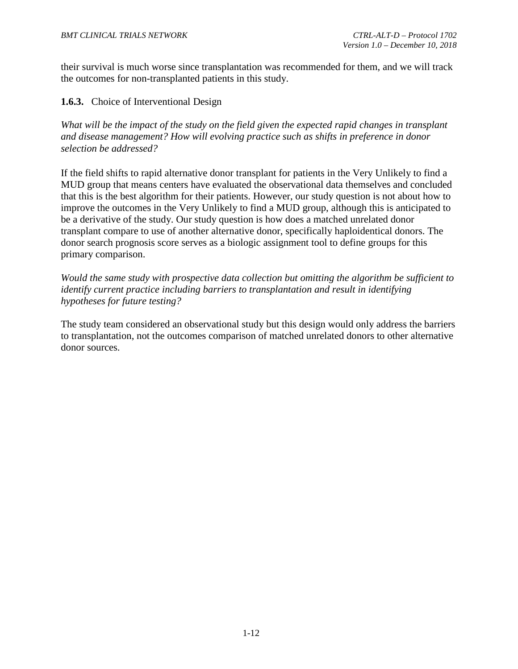their survival is much worse since transplantation was recommended for them, and we will track the outcomes for non-transplanted patients in this study.

<span id="page-18-0"></span>**1.6.3.** Choice of Interventional Design

*What will be the impact of the study on the field given the expected rapid changes in transplant and disease management? How will evolving practice such as shifts in preference in donor selection be addressed?* 

If the field shifts to rapid alternative donor transplant for patients in the Very Unlikely to find a MUD group that means centers have evaluated the observational data themselves and concluded that this is the best algorithm for their patients. However, our study question is not about how to improve the outcomes in the Very Unlikely to find a MUD group, although this is anticipated to be a derivative of the study. Our study question is how does a matched unrelated donor transplant compare to use of another alternative donor, specifically haploidentical donors. The donor search prognosis score serves as a biologic assignment tool to define groups for this primary comparison.

*Would the same study with prospective data collection but omitting the algorithm be sufficient to identify current practice including barriers to transplantation and result in identifying hypotheses for future testing?*

The study team considered an observational study but this design would only address the barriers to transplantation, not the outcomes comparison of matched unrelated donors to other alternative donor sources.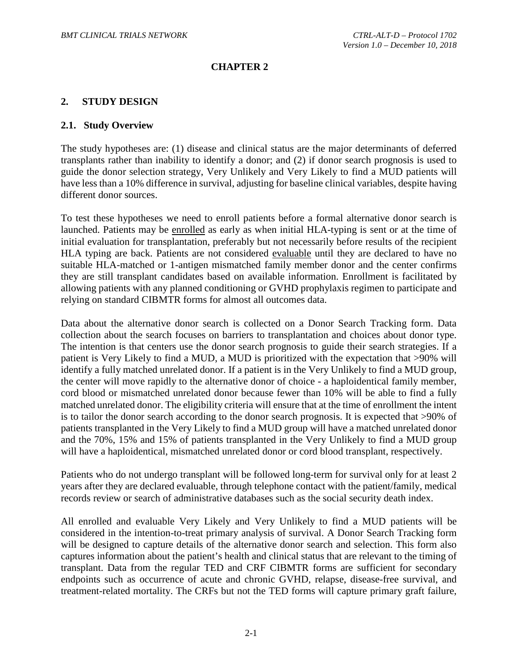## **CHAPTER 2**

#### <span id="page-19-0"></span>**2. STUDY DESIGN**

#### <span id="page-19-1"></span>**2.1. Study Overview**

The study hypotheses are: (1) disease and clinical status are the major determinants of deferred transplants rather than inability to identify a donor; and (2) if donor search prognosis is used to guide the donor selection strategy, Very Unlikely and Very Likely to find a MUD patients will have less than a 10% difference in survival, adjusting for baseline clinical variables, despite having different donor sources.

To test these hypotheses we need to enroll patients before a formal alternative donor search is launched. Patients may be enrolled as early as when initial HLA-typing is sent or at the time of initial evaluation for transplantation, preferably but not necessarily before results of the recipient HLA typing are back. Patients are not considered evaluable until they are declared to have no suitable HLA-matched or 1-antigen mismatched family member donor and the center confirms they are still transplant candidates based on available information. Enrollment is facilitated by allowing patients with any planned conditioning or GVHD prophylaxis regimen to participate and relying on standard CIBMTR forms for almost all outcomes data.

Data about the alternative donor search is collected on a Donor Search Tracking form. Data collection about the search focuses on barriers to transplantation and choices about donor type. The intention is that centers use the donor search prognosis to guide their search strategies. If a patient is Very Likely to find a MUD, a MUD is prioritized with the expectation that >90% will identify a fully matched unrelated donor. If a patient is in the Very Unlikely to find a MUD group, the center will move rapidly to the alternative donor of choice - a haploidentical family member, cord blood or mismatched unrelated donor because fewer than 10% will be able to find a fully matched unrelated donor. The eligibility criteria will ensure that at the time of enrollment the intent is to tailor the donor search according to the donor search prognosis. It is expected that >90% of patients transplanted in the Very Likely to find a MUD group will have a matched unrelated donor and the 70%, 15% and 15% of patients transplanted in the Very Unlikely to find a MUD group will have a haploidentical, mismatched unrelated donor or cord blood transplant, respectively.

Patients who do not undergo transplant will be followed long-term for survival only for at least 2 years after they are declared evaluable, through telephone contact with the patient/family, medical records review or search of administrative databases such as the social security death index.

All enrolled and evaluable Very Likely and Very Unlikely to find a MUD patients will be considered in the intention-to-treat primary analysis of survival. A Donor Search Tracking form will be designed to capture details of the alternative donor search and selection. This form also captures information about the patient's health and clinical status that are relevant to the timing of transplant. Data from the regular TED and CRF CIBMTR forms are sufficient for secondary endpoints such as occurrence of acute and chronic GVHD, relapse, disease-free survival, and treatment-related mortality. The CRFs but not the TED forms will capture primary graft failure,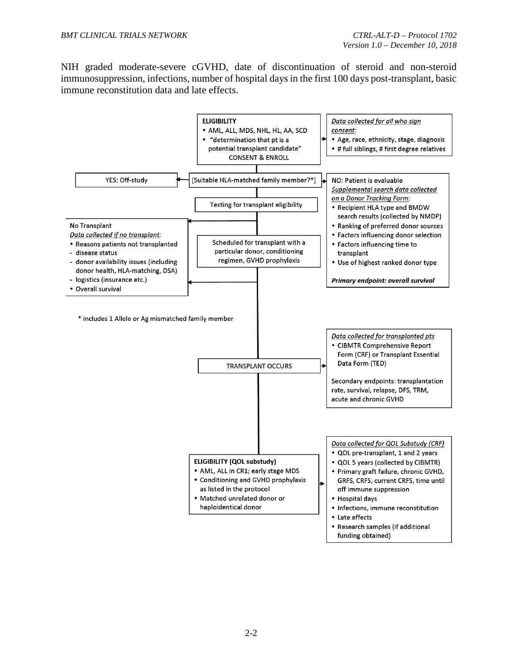NIH graded moderate-severe cGVHD, date of discontinuation of steroid and non-steroid immunosuppression, infections, number of hospital days in the first 100 days post-transplant, basic immune reconstitution data and late effects.

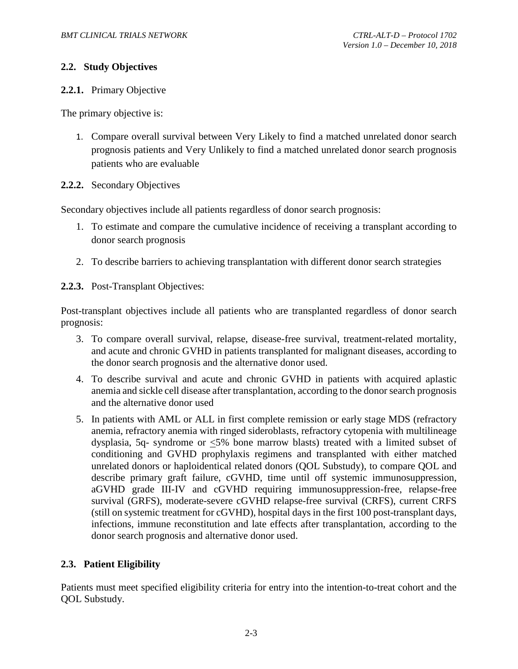## <span id="page-21-0"></span>**2.2. Study Objectives**

## <span id="page-21-1"></span>**2.2.1.** Primary Objective

The primary objective is:

- 1. Compare overall survival between Very Likely to find a matched unrelated donor search prognosis patients and Very Unlikely to find a matched unrelated donor search prognosis patients who are evaluable
- <span id="page-21-2"></span>**2.2.2.** Secondary Objectives

Secondary objectives include all patients regardless of donor search prognosis:

- 1. To estimate and compare the cumulative incidence of receiving a transplant according to donor search prognosis
- 2. To describe barriers to achieving transplantation with different donor search strategies

<span id="page-21-3"></span>**2.2.3.** Post-Transplant Objectives:

Post-transplant objectives include all patients who are transplanted regardless of donor search prognosis:

- 3. To compare overall survival, relapse, disease-free survival, treatment-related mortality, and acute and chronic GVHD in patients transplanted for malignant diseases, according to the donor search prognosis and the alternative donor used.
- 4. To describe survival and acute and chronic GVHD in patients with acquired aplastic anemia and sickle cell disease after transplantation, according to the donor search prognosis and the alternative donor used
- 5. In patients with AML or ALL in first complete remission or early stage MDS (refractory anemia, refractory anemia with ringed sideroblasts, refractory cytopenia with multilineage dysplasia, 5q- syndrome or <5% bone marrow blasts) treated with a limited subset of conditioning and GVHD prophylaxis regimens and transplanted with either matched unrelated donors or haploidentical related donors (QOL Substudy), to compare QOL and describe primary graft failure, cGVHD, time until off systemic immunosuppression, aGVHD grade III-IV and cGVHD requiring immunosuppression-free, relapse-free survival (GRFS), moderate-severe cGVHD relapse-free survival (CRFS), current CRFS (still on systemic treatment for cGVHD), hospital days in the first 100 post-transplant days, infections, immune reconstitution and late effects after transplantation, according to the donor search prognosis and alternative donor used.

# <span id="page-21-4"></span>**2.3. Patient Eligibility**

Patients must meet specified eligibility criteria for entry into the intention-to-treat cohort and the QOL Substudy.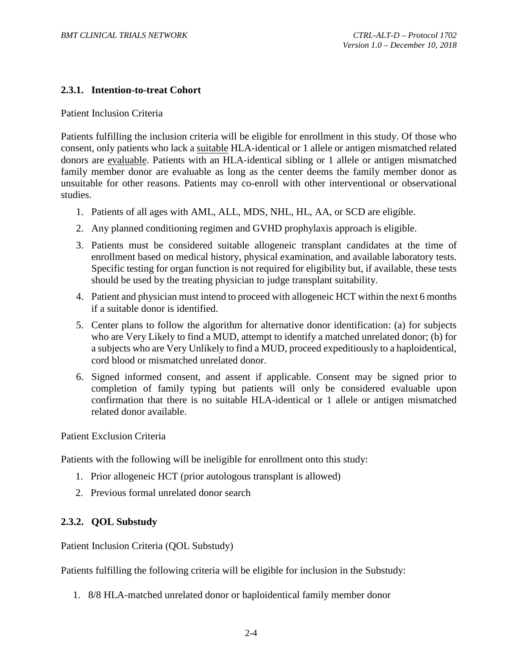#### <span id="page-22-0"></span>**2.3.1. Intention-to-treat Cohort**

Patient Inclusion Criteria

Patients fulfilling the inclusion criteria will be eligible for enrollment in this study. Of those who consent, only patients who lack a suitable HLA-identical or 1 allele or antigen mismatched related donors are evaluable. Patients with an HLA-identical sibling or 1 allele or antigen mismatched family member donor are evaluable as long as the center deems the family member donor as unsuitable for other reasons. Patients may co-enroll with other interventional or observational studies.

- 1. Patients of all ages with AML, ALL, MDS, NHL, HL, AA, or SCD are eligible.
- 2. Any planned conditioning regimen and GVHD prophylaxis approach is eligible.
- 3. Patients must be considered suitable allogeneic transplant candidates at the time of enrollment based on medical history, physical examination, and available laboratory tests. Specific testing for organ function is not required for eligibility but, if available, these tests should be used by the treating physician to judge transplant suitability.
- 4. Patient and physician must intend to proceed with allogeneic HCT within the next 6 months if a suitable donor is identified.
- 5. Center plans to follow the algorithm for alternative donor identification: (a) for subjects who are Very Likely to find a MUD, attempt to identify a matched unrelated donor; (b) for a subjects who are Very Unlikely to find a MUD, proceed expeditiously to a haploidentical, cord blood or mismatched unrelated donor.
- 6. Signed informed consent, and assent if applicable. Consent may be signed prior to completion of family typing but patients will only be considered evaluable upon confirmation that there is no suitable HLA-identical or 1 allele or antigen mismatched related donor available.

Patient Exclusion Criteria

Patients with the following will be ineligible for enrollment onto this study:

- 1. Prior allogeneic HCT (prior autologous transplant is allowed)
- 2. Previous formal unrelated donor search

#### <span id="page-22-1"></span>**2.3.2. QOL Substudy**

Patient Inclusion Criteria (QOL Substudy)

Patients fulfilling the following criteria will be eligible for inclusion in the Substudy:

1. 8/8 HLA-matched unrelated donor or haploidentical family member donor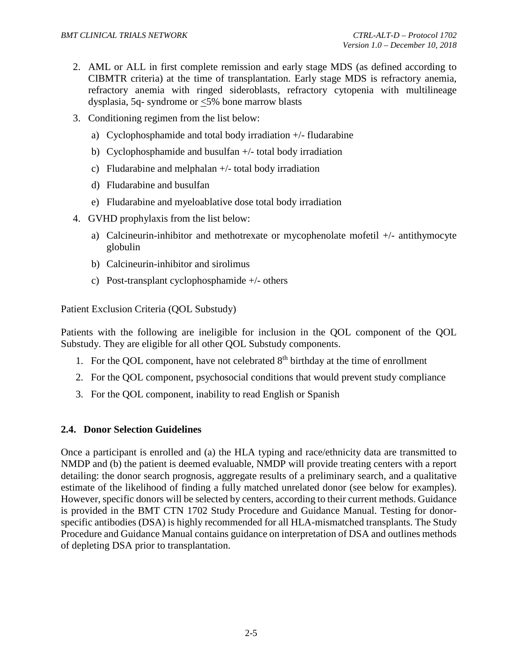- 2. AML or ALL in first complete remission and early stage MDS (as defined according to CIBMTR criteria) at the time of transplantation. Early stage MDS is refractory anemia, refractory anemia with ringed sideroblasts, refractory cytopenia with multilineage dysplasia, 5q- syndrome or <5% bone marrow blasts
- 3. Conditioning regimen from the list below:
	- a) Cyclophosphamide and total body irradiation +/- fludarabine
	- b) Cyclophosphamide and busulfan +/- total body irradiation
	- c) Fludarabine and melphalan +/- total body irradiation
	- d) Fludarabine and busulfan
	- e) Fludarabine and myeloablative dose total body irradiation
- 4. GVHD prophylaxis from the list below:
	- a) Calcineurin-inhibitor and methotrexate or mycophenolate mofetil +/- antithymocyte globulin
	- b) Calcineurin-inhibitor and sirolimus
	- c) Post-transplant cyclophosphamide +/- others

Patient Exclusion Criteria (QOL Substudy)

Patients with the following are ineligible for inclusion in the QOL component of the QOL Substudy. They are eligible for all other QOL Substudy components.

- 1. For the QOL component, have not celebrated  $8<sup>th</sup>$  birthday at the time of enrollment
- 2. For the QOL component, psychosocial conditions that would prevent study compliance
- 3. For the QOL component, inability to read English or Spanish

## <span id="page-23-0"></span>**2.4. Donor Selection Guidelines**

Once a participant is enrolled and (a) the HLA typing and race/ethnicity data are transmitted to NMDP and (b) the patient is deemed evaluable, NMDP will provide treating centers with a report detailing: the donor search prognosis, aggregate results of a preliminary search, and a qualitative estimate of the likelihood of finding a fully matched unrelated donor (see below for examples). However, specific donors will be selected by centers, according to their current methods. Guidance is provided in the BMT CTN 1702 Study Procedure and Guidance Manual. Testing for donorspecific antibodies (DSA) is highly recommended for all HLA-mismatched transplants. The Study Procedure and Guidance Manual contains guidance on interpretation of DSA and outlines methods of depleting DSA prior to transplantation.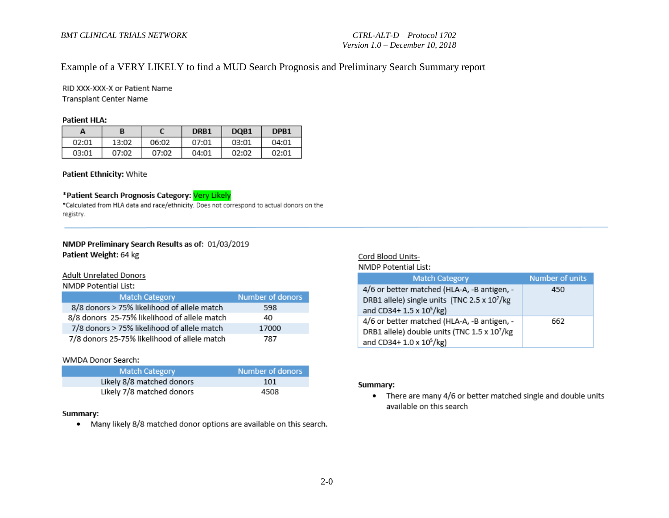# Example of a VERY LIKELY to find a MUD Search Prognosis and Preliminary Search Summary report

RID XXX-XXX-X or Patient Name Transplant Center Name

#### **Patient HLA:**

| А     |       |       | DRB1  | DQB <sub>1</sub> | DPB <sub>1</sub> |
|-------|-------|-------|-------|------------------|------------------|
| 02:01 | 13:02 | 06:02 | 07:01 | 03:01            | 04:01            |
| 03:01 | 07:02 | 07:02 | 04:01 | 02:02            | 02:01            |

#### Patient Ethnicity: White

#### \*Patient Search Prognosis Category: Very Likely

\*Calculated from HLA data and race/ethnicity. Does not correspond to actual donors on the registry.

#### NMDP Preliminary Search Results as of: 01/03/2019 Patient Weight: 64 kg

#### Adult Unrelated Donors

NMDP Potential List:

| <b>Match Category</b>                        | Number of donors |
|----------------------------------------------|------------------|
| 8/8 donors > 75% likelihood of allele match  | 598              |
| 8/8 donors 25-75% likelihood of allele match | 40               |
| 7/8 donors > 75% likelihood of allele match  | 17000            |
| 7/8 donors 25-75% likelihood of allele match | 787              |

#### WMDA Donor Search:

| <b>Match Category</b>     | Number of donors |
|---------------------------|------------------|
| Likely 8/8 matched donors | 101              |
| Likely 7/8 matched donors | 4508             |

#### Summary:

• Many likely 8/8 matched donor options are available on this search.

#### Cord Blood Units-

NMDP Potential List:

| <b>Match Category</b>                                    | Number of units |
|----------------------------------------------------------|-----------------|
| 4/6 or better matched (HLA-A, -B antigen, -              | 450             |
| DRB1 allele) single units (TNC 2.5 x 107/kg              |                 |
| and CD34+ 1.5 x 10 <sup>5</sup> /kg)                     |                 |
| 4/6 or better matched (HLA-A, -B antigen, -              | 662             |
| DRB1 allele) double units (TNC 1.5 x 10 <sup>7</sup> /kg |                 |
| and CD34+ 1.0 x 10 <sup>5</sup> /kg)                     |                 |

#### Summary:

• There are many 4/6 or better matched single and double units available on this search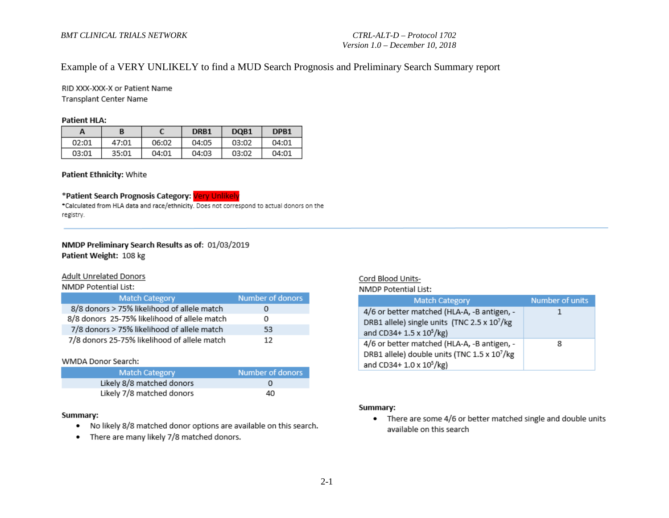# Example of a VERY UNLIKELY to find a MUD Search Prognosis and Preliminary Search Summary report

RID XXX-XXX-X or Patient Name Transplant Center Name

#### **Patient HLA:**

| A     | B     |       | DRB1  | DQB <sub>1</sub> | DPB <sub>1</sub> |
|-------|-------|-------|-------|------------------|------------------|
| 02:01 | 47:01 | 06:02 | 04:05 | 03:02            | 04:01            |
| 03:01 | 35:01 | 04:01 | 04:03 | 03:02            | 04:01            |

#### Patient Ethnicity: White

#### \*Patient Search Prognosis Category: Very Unlikely

\*Calculated from HLA data and race/ethnicity. Does not correspond to actual donors on the registry.

#### NMDP Preliminary Search Results as of: 01/03/2019 Patient Weight: 108 kg

#### **Adult Unrelated Donors**

NMDP Potential List:

| <b>Match Category</b>                        | Number of donors |
|----------------------------------------------|------------------|
| 8/8 donors > 75% likelihood of allele match  |                  |
| 8/8 donors 25-75% likelihood of allele match | 0                |
| 7/8 donors > 75% likelihood of allele match  | 53               |
| 7/8 donors 25-75% likelihood of allele match | 12               |

#### WMDA Donor Search:

| <b>Match Category</b>     | Number of donors |
|---------------------------|------------------|
| Likely 8/8 matched donors |                  |
| Likely 7/8 matched donors | 40               |

#### Summary:

- . No likely 8/8 matched donor options are available on this search.
- There are many likely 7/8 matched donors.

#### Cord Blood Units-

NMDP Potential List:

| <b>Match Category</b>                                    | Number of units |
|----------------------------------------------------------|-----------------|
| 4/6 or better matched (HLA-A, -B antigen, -              |                 |
| DRB1 allele) single units (TNC 2.5 x 10 <sup>7</sup> /kg |                 |
| and CD34+ 1.5 x 10 <sup>5</sup> /kg)                     |                 |
| 4/6 or better matched (HLA-A, -B antigen, -              | 8               |
| DRB1 allele) double units (TNC 1.5 x 107/kg              |                 |
| and CD34+ 1.0 x 10 <sup>5</sup> /kg)                     |                 |

#### Summary:

• There are some 4/6 or better matched single and double units available on this search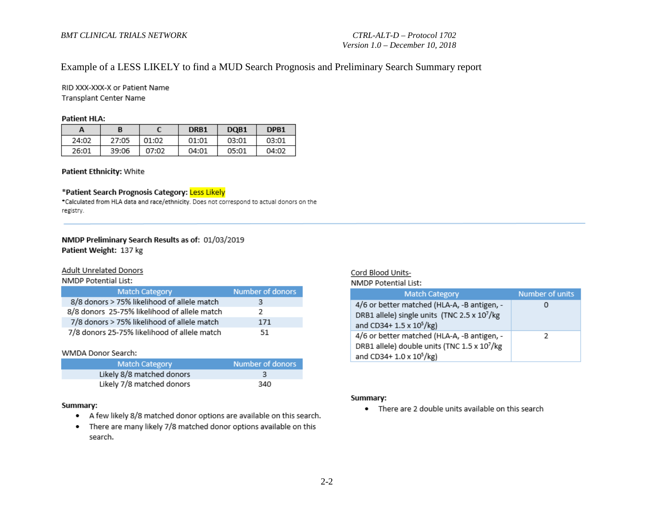# Example of a LESS LIKELY to find a MUD Search Prognosis and Preliminary Search Summary report

RID XXX-XXX-X or Patient Name Transplant Center Name

#### **Patient HLA:**

| А     |       |       | DRB1  | DQB1  | DPB <sub>1</sub> |
|-------|-------|-------|-------|-------|------------------|
| 24:02 | 27:05 | 01:02 | 01:01 | 03:01 | 03:01            |
| 26:01 | 39:06 | 07:02 | 04:01 | 05:01 | 04:02            |

#### Patient Ethnicity: White

#### \*Patient Search Prognosis Category: Less Likely

\*Calculated from HLA data and race/ethnicity. Does not correspond to actual donors on the registry.

#### NMDP Preliminary Search Results as of: 01/03/2019 Patient Weight: 137 kg

#### Adult Unrelated Donors

#### NMDP Potential List:

| <b>Match Category</b>                        | Number of donors |
|----------------------------------------------|------------------|
| 8/8 donors > 75% likelihood of allele match  | з                |
| 8/8 donors 25-75% likelihood of allele match | 2                |
| 7/8 donors > 75% likelihood of allele match  | 171              |
| 7/8 donors 25-75% likelihood of allele match | 51               |

#### WMDA Donor Search:

| <b>Match Category</b>     | Number of donors |
|---------------------------|------------------|
| Likely 8/8 matched donors |                  |
| Likely 7/8 matched donors | 340              |

#### Summary:

- A few likely 8/8 matched donor options are available on this search.
- There are many likely 7/8 matched donor options available on this search.

#### Cord Blood Units-

#### NMDP Potential List:

| <b>Match Category</b>                                                                                                              | Number of units |
|------------------------------------------------------------------------------------------------------------------------------------|-----------------|
| 4/6 or better matched (HLA-A, -B antigen, -<br>DRB1 allele) single units (TNC 2.5 x 107/kg<br>and CD34+ 1.5 x 10 <sup>5</sup> /kg) |                 |
| 4/6 or better matched (HLA-A, -B antigen, -<br>DRB1 allele) double units (TNC 1.5 x 107/kg<br>and CD34+ 1.0 x 10 <sup>5</sup> /kg) | 2               |

#### Summary:

• There are 2 double units available on this search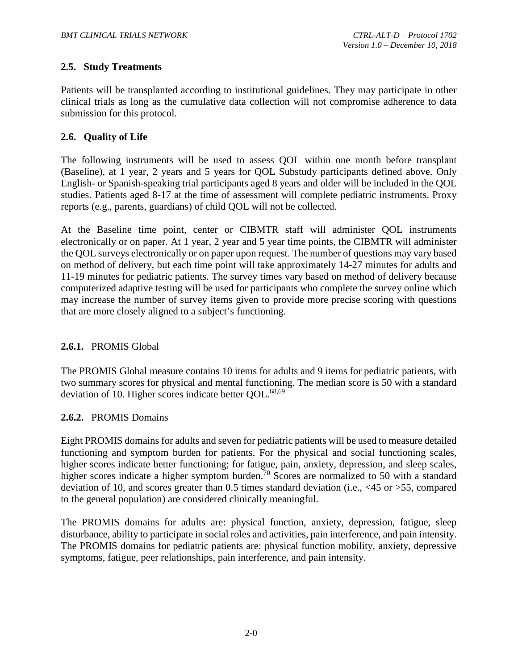## <span id="page-27-0"></span>**2.5. Study Treatments**

Patients will be transplanted according to institutional guidelines. They may participate in other clinical trials as long as the cumulative data collection will not compromise adherence to data submission for this protocol.

## <span id="page-27-1"></span>**2.6. Quality of Life**

The following instruments will be used to assess QOL within one month before transplant (Baseline), at 1 year, 2 years and 5 years for QOL Substudy participants defined above. Only English- or Spanish-speaking trial participants aged 8 years and older will be included in the QOL studies. Patients aged 8-17 at the time of assessment will complete pediatric instruments. Proxy reports (e.g., parents, guardians) of child QOL will not be collected.

At the Baseline time point, center or CIBMTR staff will administer QOL instruments electronically or on paper. At 1 year, 2 year and 5 year time points, the CIBMTR will administer the QOL surveys electronically or on paper upon request. The number of questions may vary based on method of delivery, but each time point will take approximately 14-27 minutes for adults and 11-19 minutes for pediatric patients. The survey times vary based on method of delivery because computerized adaptive testing will be used for participants who complete the survey online which may increase the number of survey items given to provide more precise scoring with questions that are more closely aligned to a subject's functioning.

#### <span id="page-27-2"></span>**2.6.1.** PROMIS Global

The PROMIS Global measure contains 10 items for adults and 9 items for pediatric patients, with two summary scores for physical and mental functioning. The median score is 50 with a standard deviation of 10. Higher scores indicate better QOL.<sup>68[,69](#page-65-5)</sup>

#### <span id="page-27-3"></span>**2.6.2.** PROMIS Domains

Eight PROMIS domains for adults and seven for pediatric patients will be used to measure detailed functioning and symptom burden for patients. For the physical and social functioning scales, higher scores indicate better functioning; for fatigue, pain, anxiety, depression, and sleep scales, higher scores indicate a higher symptom burden.<sup>[70](#page-65-6)</sup> Scores are normalized to 50 with a standard deviation of 10, and scores greater than 0.5 times standard deviation (i.e., <45 or >55, compared to the general population) are considered clinically meaningful.

The PROMIS domains for adults are: physical function, anxiety, depression, fatigue, sleep disturbance, ability to participate in social roles and activities, pain interference, and pain intensity. The PROMIS domains for pediatric patients are: physical function mobility, anxiety, depressive symptoms, fatigue, peer relationships, pain interference, and pain intensity.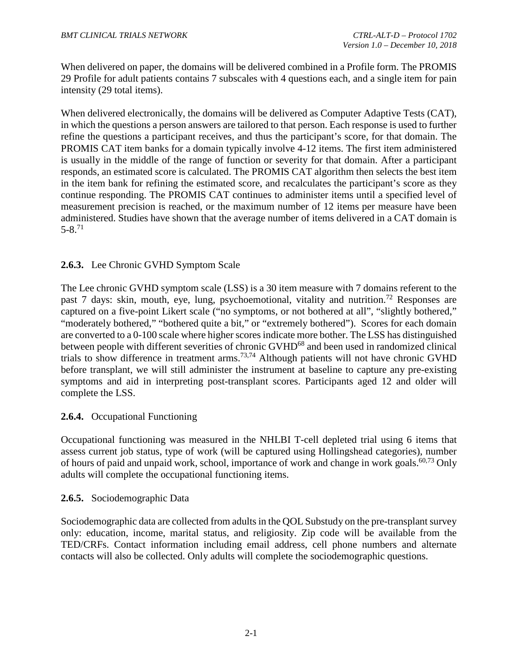When delivered on paper, the domains will be delivered combined in a Profile form. The PROMIS 29 Profile for adult patients contains 7 subscales with 4 questions each, and a single item for pain intensity (29 total items).

When delivered electronically, the domains will be delivered as Computer Adaptive Tests (CAT), in which the questions a person answers are tailored to that person. Each response is used to further refine the questions a participant receives, and thus the participant's score, for that domain. The PROMIS CAT item banks for a domain typically involve 4-12 items. The first item administered is usually in the middle of the range of function or severity for that domain. After a participant responds, an estimated score is calculated. The PROMIS CAT algorithm then selects the best item in the item bank for refining the estimated score, and recalculates the participant's score as they continue responding. The PROMIS CAT continues to administer items until a specified level of measurement precision is reached, or the maximum number of 12 items per measure have been administered. Studies have shown that the average number of items delivered in a CAT domain is  $5 - 8$ <sup>[71](#page-65-7)</sup>

# <span id="page-28-0"></span>**2.6.3.** Lee Chronic GVHD Symptom Scale

The Lee chronic GVHD symptom scale (LSS) is a 30 item measure with 7 domains referent to the past 7 days: skin, mouth, eye, lung, psychoemotional, vitality and nutrition.<sup>[72](#page-66-0)</sup> Responses are captured on a five-point Likert scale ("no symptoms, or not bothered at all", "slightly bothered," "moderately bothered," "bothered quite a bit," or "extremely bothered"). Scores for each domain are converted to a 0-100 scale where higher scores indicate more bother. The LSS has distinguished between people with different severities of chronic GVHD<sup>68</sup> and been used in randomized clinical trials to show difference in treatment arms.<sup>[73](#page-66-1)[,74](#page-66-2)</sup> Although patients will not have chronic GVHD before transplant, we will still administer the instrument at baseline to capture any pre-existing symptoms and aid in interpreting post-transplant scores. Participants aged 12 and older will complete the LSS.

#### <span id="page-28-1"></span>**2.6.4.** Occupational Functioning

Occupational functioning was measured in the NHLBI T-cell depleted trial using 6 items that assess current job status, type of work (will be captured using Hollingshead categories), number of hours of paid and unpaid work, school, importance of work and change in work goals.<sup>[60](#page-65-1)[,73](#page-66-1)</sup> Only adults will complete the occupational functioning items.

#### <span id="page-28-2"></span>**2.6.5.** Sociodemographic Data

Sociodemographic data are collected from adults in the QOL Substudy on the pre-transplant survey only: education, income, marital status, and religiosity. Zip code will be available from the TED/CRFs. Contact information including email address, cell phone numbers and alternate contacts will also be collected. Only adults will complete the sociodemographic questions.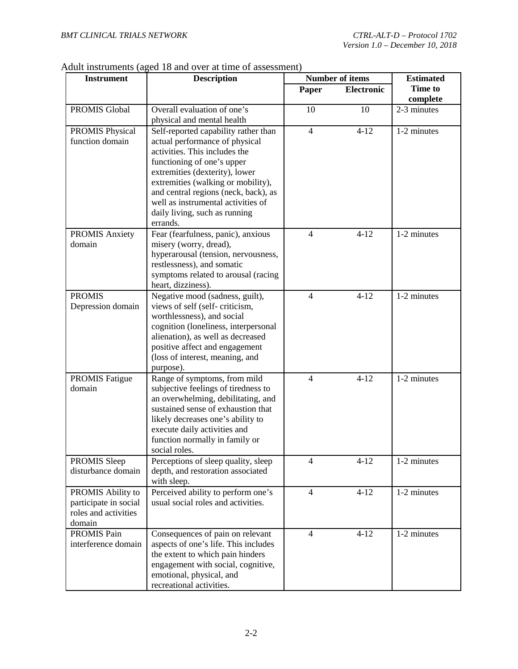# Adult instruments (aged 18 and over at time of assessment)

| <b>Instrument</b>                                                            | <b>Description</b>                                                                                                                                                                                                                                                                                                                       |                | <b>Number of items</b> | <b>Estimated</b>    |
|------------------------------------------------------------------------------|------------------------------------------------------------------------------------------------------------------------------------------------------------------------------------------------------------------------------------------------------------------------------------------------------------------------------------------|----------------|------------------------|---------------------|
|                                                                              |                                                                                                                                                                                                                                                                                                                                          | Paper          | <b>Electronic</b>      | Time to<br>complete |
| PROMIS Global                                                                | Overall evaluation of one's<br>physical and mental health                                                                                                                                                                                                                                                                                | 10             | 10                     | 2-3 minutes         |
| <b>PROMIS Physical</b><br>function domain                                    | Self-reported capability rather than<br>actual performance of physical<br>activities. This includes the<br>functioning of one's upper<br>extremities (dexterity), lower<br>extremities (walking or mobility),<br>and central regions (neck, back), as<br>well as instrumental activities of<br>daily living, such as running<br>errands. | $\overline{4}$ | $4 - 12$               | 1-2 minutes         |
| <b>PROMIS Anxiety</b><br>domain                                              | Fear (fearfulness, panic), anxious<br>misery (worry, dread),<br>hyperarousal (tension, nervousness,<br>restlessness), and somatic<br>symptoms related to arousal (racing<br>heart, dizziness).                                                                                                                                           | $\overline{4}$ | $4 - 12$               | 1-2 minutes         |
| <b>PROMIS</b><br>Depression domain                                           | Negative mood (sadness, guilt),<br>views of self (self-criticism,<br>worthlessness), and social<br>cognition (loneliness, interpersonal<br>alienation), as well as decreased<br>positive affect and engagement<br>(loss of interest, meaning, and<br>purpose).                                                                           | $\overline{4}$ | $4 - 12$               | 1-2 minutes         |
| <b>PROMIS Fatigue</b><br>domain                                              | Range of symptoms, from mild<br>subjective feelings of tiredness to<br>an overwhelming, debilitating, and<br>sustained sense of exhaustion that<br>likely decreases one's ability to<br>execute daily activities and<br>function normally in family or<br>social roles.                                                                  | $\overline{4}$ | $4 - 12$               | 1-2 minutes         |
| PROMIS Sleep<br>disturbance domain                                           | Perceptions of sleep quality, sleep<br>depth, and restoration associated<br>with sleep.                                                                                                                                                                                                                                                  | $\overline{4}$ | $4 - 12$               | 1-2 minutes         |
| PROMIS Ability to<br>participate in social<br>roles and activities<br>domain | Perceived ability to perform one's<br>usual social roles and activities.                                                                                                                                                                                                                                                                 | $\overline{4}$ | $4 - 12$               | 1-2 minutes         |
| <b>PROMIS Pain</b><br>interference domain                                    | Consequences of pain on relevant<br>aspects of one's life. This includes<br>the extent to which pain hinders<br>engagement with social, cognitive,<br>emotional, physical, and<br>recreational activities.                                                                                                                               | $\overline{4}$ | $4 - 12$               | 1-2 minutes         |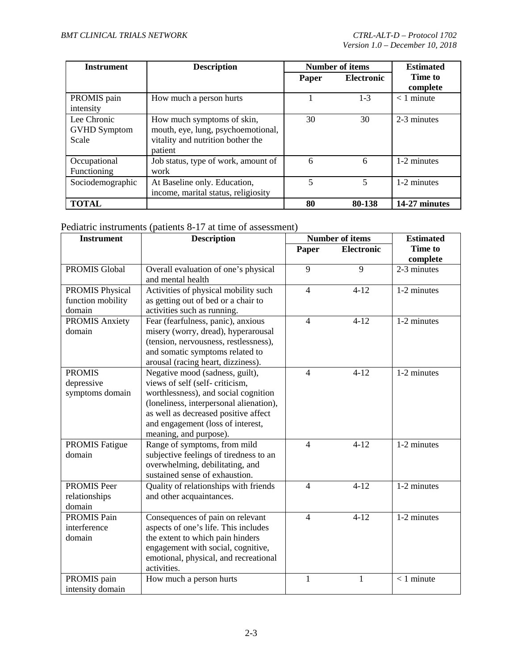| <b>Instrument</b>                           | <b>Description</b>                                                                                               | <b>Number of items</b> |                   | <b>Estimated</b>         |  |
|---------------------------------------------|------------------------------------------------------------------------------------------------------------------|------------------------|-------------------|--------------------------|--|
|                                             |                                                                                                                  | Paper                  | <b>Electronic</b> | Time to                  |  |
| PROMIS pain<br>intensity                    | How much a person hurts                                                                                          |                        | $1-3$             | complete<br>$< 1$ minute |  |
| Lee Chronic<br><b>GVHD</b> Symptom<br>Scale | How much symptoms of skin,<br>mouth, eye, lung, psychoemotional,<br>vitality and nutrition bother the<br>patient | 30                     | 30                | 2-3 minutes              |  |
| Occupational<br>Functioning                 | Job status, type of work, amount of<br>work                                                                      | 6                      | 6                 | 1-2 minutes              |  |
| Sociodemographic                            | At Baseline only. Education,<br>income, marital status, religiosity                                              |                        | 5                 | 1-2 minutes              |  |
| <b>TOTAL</b>                                |                                                                                                                  | 80                     | 80-138            | 14-27 minutes            |  |

# Pediatric instruments (patients 8-17 at time of assessment)

| <b>Instrument</b>      | <b>Description</b>                      |                          | Number of items   | <b>Estimated</b> |
|------------------------|-----------------------------------------|--------------------------|-------------------|------------------|
|                        |                                         | Paper                    | <b>Electronic</b> | <b>Time to</b>   |
|                        |                                         |                          |                   | complete         |
| <b>PROMIS Global</b>   | Overall evaluation of one's physical    | 9                        | 9                 | 2-3 minutes      |
|                        | and mental health                       |                          |                   |                  |
| <b>PROMIS Physical</b> | Activities of physical mobility such    | $\overline{4}$           | $4 - 12$          | 1-2 minutes      |
| function mobility      | as getting out of bed or a chair to     |                          |                   |                  |
| domain                 | activities such as running.             |                          |                   |                  |
| <b>PROMIS Anxiety</b>  | Fear (fearfulness, panic), anxious      | $\overline{4}$           | $4 - 12$          | 1-2 minutes      |
| domain                 | misery (worry, dread), hyperarousal     |                          |                   |                  |
|                        | (tension, nervousness, restlessness),   |                          |                   |                  |
|                        | and somatic symptoms related to         |                          |                   |                  |
|                        | arousal (racing heart, dizziness).      |                          |                   |                  |
| <b>PROMIS</b>          | Negative mood (sadness, guilt),         | $\overline{4}$           | $4 - 12$          | 1-2 minutes      |
| depressive             | views of self (self-criticism,          |                          |                   |                  |
| symptoms domain        | worthlessness), and social cognition    |                          |                   |                  |
|                        | (loneliness, interpersonal alienation), |                          |                   |                  |
|                        | as well as decreased positive affect    |                          |                   |                  |
|                        | and engagement (loss of interest,       |                          |                   |                  |
|                        | meaning, and purpose).                  |                          |                   |                  |
| <b>PROMIS Fatigue</b>  | Range of symptoms, from mild            | $\overline{\mathcal{L}}$ | $4 - 12$          | 1-2 minutes      |
| domain                 | subjective feelings of tiredness to an  |                          |                   |                  |
|                        | overwhelming, debilitating, and         |                          |                   |                  |
|                        | sustained sense of exhaustion.          |                          |                   |                  |
| PROMIS Peer            | Quality of relationships with friends   | $\overline{4}$           | $4 - 12$          | 1-2 minutes      |
| relationships          | and other acquaintances.                |                          |                   |                  |
| domain                 |                                         |                          |                   |                  |
| <b>PROMIS Pain</b>     | Consequences of pain on relevant        | $\overline{4}$           | $4-12$            | 1-2 minutes      |
| interference           | aspects of one's life. This includes    |                          |                   |                  |
| domain                 | the extent to which pain hinders        |                          |                   |                  |
|                        | engagement with social, cognitive,      |                          |                   |                  |
|                        | emotional, physical, and recreational   |                          |                   |                  |
|                        | activities.                             |                          |                   |                  |
| PROMIS pain            | How much a person hurts                 | $\mathbf{1}$             | 1                 | $< 1$ minute     |
| intensity domain       |                                         |                          |                   |                  |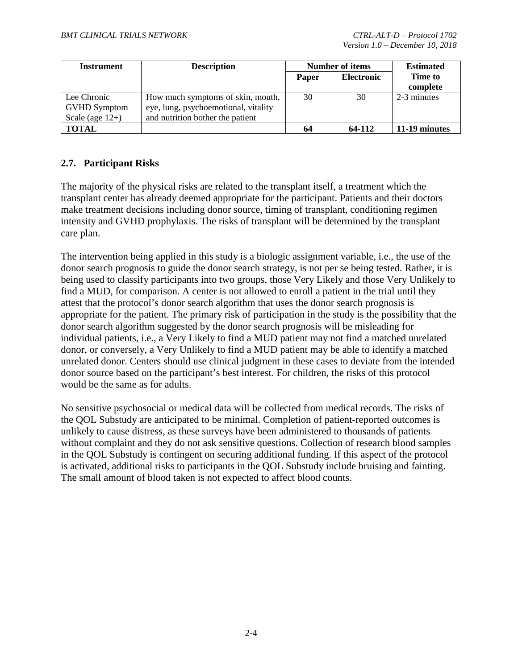| <b>Instrument</b>   | <b>Description</b>                   | <b>Number of items</b>     |        | <b>Estimated</b> |
|---------------------|--------------------------------------|----------------------------|--------|------------------|
|                     |                                      | <b>Electronic</b><br>Paper |        | Time to          |
|                     |                                      |                            |        | complete         |
| Lee Chronic         | How much symptoms of skin, mouth,    | 30                         | 30     | 2-3 minutes      |
| <b>GVHD Symptom</b> | eye, lung, psychoemotional, vitality |                            |        |                  |
| Scale (age $12+$ )  | and nutrition bother the patient     |                            |        |                  |
| <b>TOTAL</b>        |                                      | 64                         | 64-112 | 11-19 minutes    |

# <span id="page-31-0"></span>**2.7. Participant Risks**

The majority of the physical risks are related to the transplant itself, a treatment which the transplant center has already deemed appropriate for the participant. Patients and their doctors make treatment decisions including donor source, timing of transplant, conditioning regimen intensity and GVHD prophylaxis. The risks of transplant will be determined by the transplant care plan.

The intervention being applied in this study is a biologic assignment variable, i.e., the use of the donor search prognosis to guide the donor search strategy, is not per se being tested. Rather, it is being used to classify participants into two groups, those Very Likely and those Very Unlikely to find a MUD, for comparison. A center is not allowed to enroll a patient in the trial until they attest that the protocol's donor search algorithm that uses the donor search prognosis is appropriate for the patient. The primary risk of participation in the study is the possibility that the donor search algorithm suggested by the donor search prognosis will be misleading for individual patients, i.e., a Very Likely to find a MUD patient may not find a matched unrelated donor, or conversely, a Very Unlikely to find a MUD patient may be able to identify a matched unrelated donor. Centers should use clinical judgment in these cases to deviate from the intended donor source based on the participant's best interest. For children, the risks of this protocol would be the same as for adults.

No sensitive psychosocial or medical data will be collected from medical records. The risks of the QOL Substudy are anticipated to be minimal. Completion of patient-reported outcomes is unlikely to cause distress, as these surveys have been administered to thousands of patients without complaint and they do not ask sensitive questions. Collection of research blood samples in the QOL Substudy is contingent on securing additional funding. If this aspect of the protocol is activated, additional risks to participants in the QOL Substudy include bruising and fainting. The small amount of blood taken is not expected to affect blood counts.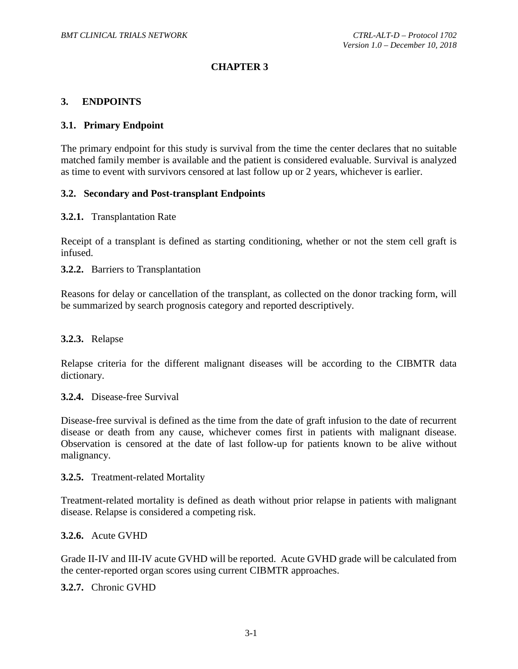## **CHAPTER 3**

#### <span id="page-32-0"></span>**3. ENDPOINTS**

#### <span id="page-32-1"></span>**3.1. Primary Endpoint**

The primary endpoint for this study is survival from the time the center declares that no suitable matched family member is available and the patient is considered evaluable. Survival is analyzed as time to event with survivors censored at last follow up or 2 years, whichever is earlier.

#### <span id="page-32-2"></span>**3.2. Secondary and Post-transplant Endpoints**

#### <span id="page-32-3"></span>**3.2.1.** Transplantation Rate

Receipt of a transplant is defined as starting conditioning, whether or not the stem cell graft is infused.

#### <span id="page-32-4"></span>**3.2.2.** Barriers to Transplantation

Reasons for delay or cancellation of the transplant, as collected on the donor tracking form, will be summarized by search prognosis category and reported descriptively.

#### <span id="page-32-5"></span>**3.2.3.** Relapse

Relapse criteria for the different malignant diseases will be according to the CIBMTR data dictionary.

#### <span id="page-32-6"></span>**3.2.4.** Disease-free Survival

Disease-free survival is defined as the time from the date of graft infusion to the date of recurrent disease or death from any cause, whichever comes first in patients with malignant disease. Observation is censored at the date of last follow-up for patients known to be alive without malignancy.

#### <span id="page-32-7"></span>**3.2.5.** Treatment-related Mortality

Treatment-related mortality is defined as death without prior relapse in patients with malignant disease. Relapse is considered a competing risk.

#### <span id="page-32-8"></span>**3.2.6.** Acute GVHD

Grade II-IV and III-IV acute GVHD will be reported. Acute GVHD grade will be calculated from the center-reported organ scores using current CIBMTR approaches.

<span id="page-32-9"></span>**3.2.7.** Chronic GVHD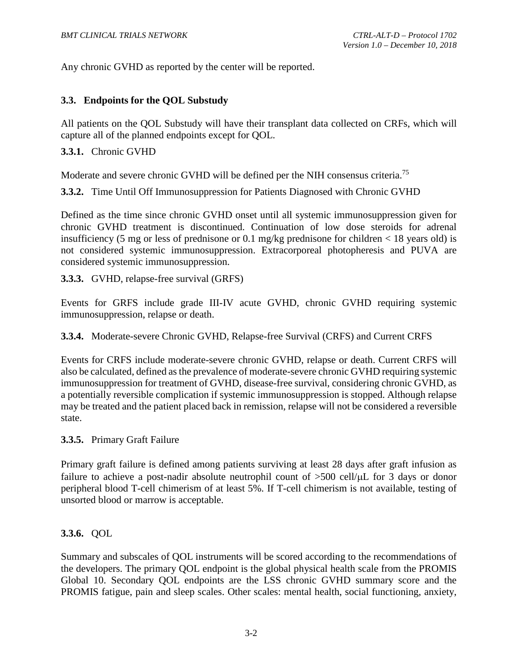Any chronic GVHD as reported by the center will be reported.

## <span id="page-33-0"></span>**3.3. Endpoints for the QOL Substudy**

All patients on the QOL Substudy will have their transplant data collected on CRFs, which will capture all of the planned endpoints except for QOL.

## <span id="page-33-1"></span>**3.3.1.** Chronic GVHD

Moderate and severe chronic GVHD will be defined per the NIH consensus criteria.<sup>[75](#page-66-3)</sup>

<span id="page-33-2"></span>**3.3.2.** Time Until Off Immunosuppression for Patients Diagnosed with Chronic GVHD

Defined as the time since chronic GVHD onset until all systemic immunosuppression given for chronic GVHD treatment is discontinued. Continuation of low dose steroids for adrenal insufficiency (5 mg or less of prednisone or 0.1 mg/kg prednisone for children  $<$  18 years old) is not considered systemic immunosuppression. Extracorporeal photopheresis and PUVA are considered systemic immunosuppression.

<span id="page-33-3"></span>**3.3.3.** GVHD, relapse-free survival (GRFS)

Events for GRFS include grade III-IV acute GVHD, chronic GVHD requiring systemic immunosuppression, relapse or death.

<span id="page-33-4"></span>**3.3.4.** Moderate-severe Chronic GVHD, Relapse-free Survival (CRFS) and Current CRFS

Events for CRFS include moderate-severe chronic GVHD, relapse or death. Current CRFS will also be calculated, defined as the prevalence of moderate-severe chronic GVHD requiring systemic immunosuppression for treatment of GVHD, disease-free survival, considering chronic GVHD, as a potentially reversible complication if systemic immunosuppression is stopped. Although relapse may be treated and the patient placed back in remission, relapse will not be considered a reversible state.

#### <span id="page-33-5"></span>**3.3.5.** Primary Graft Failure

Primary graft failure is defined among patients surviving at least 28 days after graft infusion as failure to achieve a post-nadir absolute neutrophil count of  $>500$  cell/ $\mu$ L for 3 days or donor peripheral blood T-cell chimerism of at least 5%. If T-cell chimerism is not available, testing of unsorted blood or marrow is acceptable.

# <span id="page-33-6"></span>**3.3.6.** QOL

Summary and subscales of QOL instruments will be scored according to the recommendations of the developers. The primary QOL endpoint is the global physical health scale from the PROMIS Global 10. Secondary QOL endpoints are the LSS chronic GVHD summary score and the PROMIS fatigue, pain and sleep scales. Other scales: mental health, social functioning, anxiety,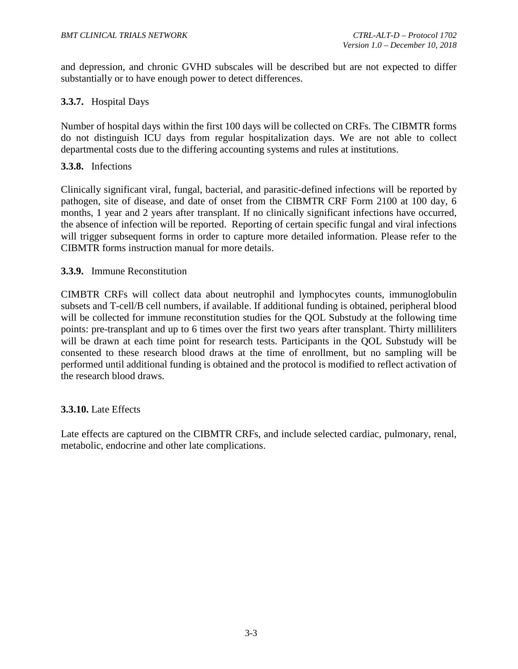and depression, and chronic GVHD subscales will be described but are not expected to differ substantially or to have enough power to detect differences.

## <span id="page-34-0"></span>**3.3.7.** Hospital Days

Number of hospital days within the first 100 days will be collected on CRFs. The CIBMTR forms do not distinguish ICU days from regular hospitalization days. We are not able to collect departmental costs due to the differing accounting systems and rules at institutions.

#### <span id="page-34-1"></span>**3.3.8.** Infections

Clinically significant viral, fungal, bacterial, and parasitic-defined infections will be reported by pathogen, site of disease, and date of onset from the CIBMTR CRF Form 2100 at 100 day, 6 months, 1 year and 2 years after transplant. If no clinically significant infections have occurred, the absence of infection will be reported. Reporting of certain specific fungal and viral infections will trigger subsequent forms in order to capture more detailed information. Please refer to the CIBMTR forms instruction manual for more details.

#### <span id="page-34-2"></span>**3.3.9.** Immune Reconstitution

CIMBTR CRFs will collect data about neutrophil and lymphocytes counts, immunoglobulin subsets and T-cell/B cell numbers, if available. If additional funding is obtained, peripheral blood will be collected for immune reconstitution studies for the QOL Substudy at the following time points: pre-transplant and up to 6 times over the first two years after transplant. Thirty milliliters will be drawn at each time point for research tests. Participants in the QOL Substudy will be consented to these research blood draws at the time of enrollment, but no sampling will be performed until additional funding is obtained and the protocol is modified to reflect activation of the research blood draws.

#### <span id="page-34-3"></span>**3.3.10.** Late Effects

Late effects are captured on the CIBMTR CRFs, and include selected cardiac, pulmonary, renal, metabolic, endocrine and other late complications.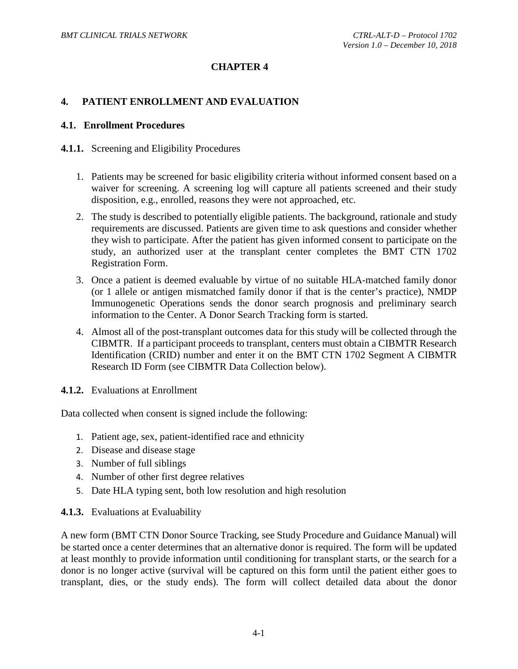## **CHAPTER 4**

#### <span id="page-35-0"></span>**4. PATIENT ENROLLMENT AND EVALUATION**

#### <span id="page-35-1"></span>**4.1. Enrollment Procedures**

#### <span id="page-35-2"></span>**4.1.1.** Screening and Eligibility Procedures

- 1. Patients may be screened for basic eligibility criteria without informed consent based on a waiver for screening. A screening log will capture all patients screened and their study disposition, e.g., enrolled, reasons they were not approached, etc.
- 2. The study is described to potentially eligible patients. The background, rationale and study requirements are discussed. Patients are given time to ask questions and consider whether they wish to participate. After the patient has given informed consent to participate on the study, an authorized user at the transplant center completes the BMT CTN 1702 Registration Form.
- 3. Once a patient is deemed evaluable by virtue of no suitable HLA-matched family donor (or 1 allele or antigen mismatched family donor if that is the center's practice), NMDP Immunogenetic Operations sends the donor search prognosis and preliminary search information to the Center. A Donor Search Tracking form is started.
- 4. Almost all of the post-transplant outcomes data for this study will be collected through the CIBMTR. If a participant proceeds to transplant, centers must obtain a CIBMTR Research Identification (CRID) number and enter it on the BMT CTN 1702 Segment A CIBMTR Research ID Form (see CIBMTR Data Collection below).
- <span id="page-35-3"></span>**4.1.2.** Evaluations at Enrollment

Data collected when consent is signed include the following:

- 1. Patient age, sex, patient-identified race and ethnicity
- 2. Disease and disease stage
- 3. Number of full siblings
- 4. Number of other first degree relatives
- 5. Date HLA typing sent, both low resolution and high resolution

#### <span id="page-35-4"></span>**4.1.3.** Evaluations at Evaluability

A new form (BMT CTN Donor Source Tracking, see Study Procedure and Guidance Manual) will be started once a center determines that an alternative donor is required. The form will be updated at least monthly to provide information until conditioning for transplant starts, or the search for a donor is no longer active (survival will be captured on this form until the patient either goes to transplant, dies, or the study ends). The form will collect detailed data about the donor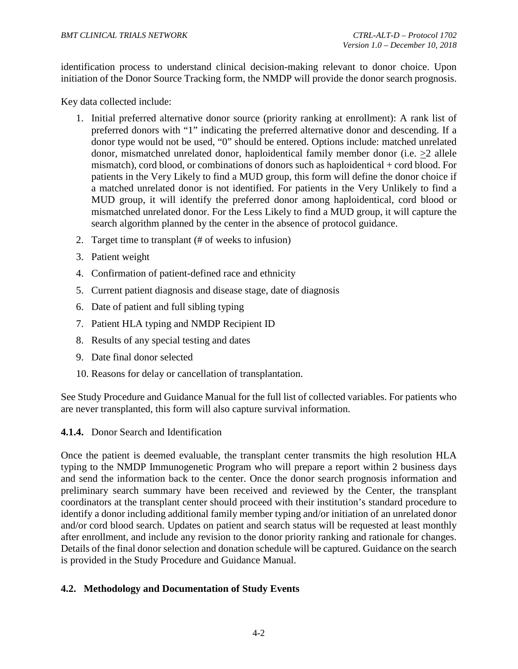identification process to understand clinical decision-making relevant to donor choice. Upon initiation of the Donor Source Tracking form, the NMDP will provide the donor search prognosis.

Key data collected include:

- 1. Initial preferred alternative donor source (priority ranking at enrollment): A rank list of preferred donors with "1" indicating the preferred alternative donor and descending. If a donor type would not be used, "0" should be entered. Options include: matched unrelated donor, mismatched unrelated donor, haploidentical family member donor (i.e. >2 allele mismatch), cord blood, or combinations of donors such as haploidentical + cord blood. For patients in the Very Likely to find a MUD group, this form will define the donor choice if a matched unrelated donor is not identified. For patients in the Very Unlikely to find a MUD group, it will identify the preferred donor among haploidentical, cord blood or mismatched unrelated donor. For the Less Likely to find a MUD group, it will capture the search algorithm planned by the center in the absence of protocol guidance.
- 2. Target time to transplant (# of weeks to infusion)
- 3. Patient weight
- 4. Confirmation of patient-defined race and ethnicity
- 5. Current patient diagnosis and disease stage, date of diagnosis
- 6. Date of patient and full sibling typing
- 7. Patient HLA typing and NMDP Recipient ID
- 8. Results of any special testing and dates
- 9. Date final donor selected
- 10. Reasons for delay or cancellation of transplantation.

See Study Procedure and Guidance Manual for the full list of collected variables. For patients who are never transplanted, this form will also capture survival information.

<span id="page-36-0"></span>**4.1.4.** Donor Search and Identification

Once the patient is deemed evaluable, the transplant center transmits the high resolution HLA typing to the NMDP Immunogenetic Program who will prepare a report within 2 business days and send the information back to the center. Once the donor search prognosis information and preliminary search summary have been received and reviewed by the Center, the transplant coordinators at the transplant center should proceed with their institution's standard procedure to identify a donor including additional family member typing and/or initiation of an unrelated donor and/or cord blood search. Updates on patient and search status will be requested at least monthly after enrollment, and include any revision to the donor priority ranking and rationale for changes. Details of the final donor selection and donation schedule will be captured. Guidance on the search is provided in the Study Procedure and Guidance Manual.

#### <span id="page-36-1"></span>**4.2. Methodology and Documentation of Study Events**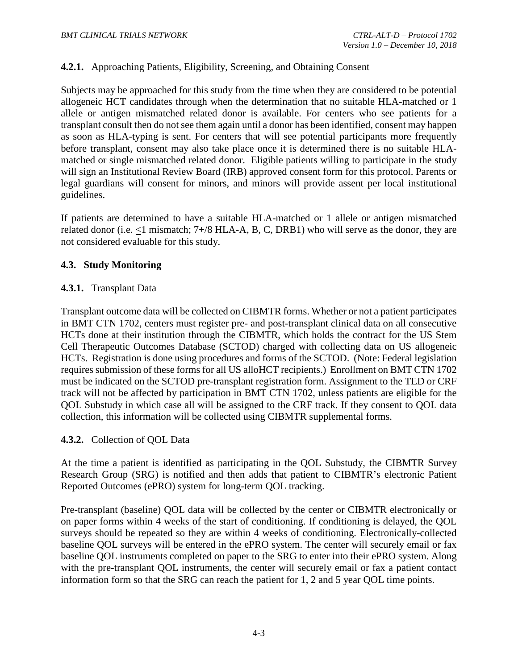## <span id="page-37-0"></span>**4.2.1.** Approaching Patients, Eligibility, Screening, and Obtaining Consent

Subjects may be approached for this study from the time when they are considered to be potential allogeneic HCT candidates through when the determination that no suitable HLA-matched or 1 allele or antigen mismatched related donor is available. For centers who see patients for a transplant consult then do not see them again until a donor has been identified, consent may happen as soon as HLA-typing is sent. For centers that will see potential participants more frequently before transplant, consent may also take place once it is determined there is no suitable HLAmatched or single mismatched related donor. Eligible patients willing to participate in the study will sign an Institutional Review Board (IRB) approved consent form for this protocol. Parents or legal guardians will consent for minors, and minors will provide assent per local institutional guidelines.

If patients are determined to have a suitable HLA-matched or 1 allele or antigen mismatched related donor (i.e. <1 mismatch; 7+/8 HLA-A, B, C, DRB1) who will serve as the donor, they are not considered evaluable for this study.

## <span id="page-37-1"></span>**4.3. Study Monitoring**

## <span id="page-37-2"></span>**4.3.1.** Transplant Data

Transplant outcome data will be collected on CIBMTR forms. Whether or not a patient participates in BMT CTN 1702, centers must register pre- and post-transplant clinical data on all consecutive HCTs done at their institution through the CIBMTR, which holds the contract for the US Stem Cell Therapeutic Outcomes Database (SCTOD) charged with collecting data on US allogeneic HCTs. Registration is done using procedures and forms of the SCTOD. (Note: Federal legislation requires submission of these forms for all US alloHCT recipients.) Enrollment on BMT CTN 1702 must be indicated on the SCTOD pre-transplant registration form. Assignment to the TED or CRF track will not be affected by participation in BMT CTN 1702, unless patients are eligible for the QOL Substudy in which case all will be assigned to the CRF track. If they consent to QOL data collection, this information will be collected using CIBMTR supplemental forms.

#### <span id="page-37-3"></span>**4.3.2.** Collection of QOL Data

At the time a patient is identified as participating in the QOL Substudy, the CIBMTR Survey Research Group (SRG) is notified and then adds that patient to CIBMTR's electronic Patient Reported Outcomes (ePRO) system for long-term QOL tracking.

Pre-transplant (baseline) QOL data will be collected by the center or CIBMTR electronically or on paper forms within 4 weeks of the start of conditioning. If conditioning is delayed, the QOL surveys should be repeated so they are within 4 weeks of conditioning. Electronically-collected baseline QOL surveys will be entered in the ePRO system. The center will securely email or fax baseline QOL instruments completed on paper to the SRG to enter into their ePRO system. Along with the pre-transplant QOL instruments, the center will securely email or fax a patient contact information form so that the SRG can reach the patient for 1, 2 and 5 year QOL time points.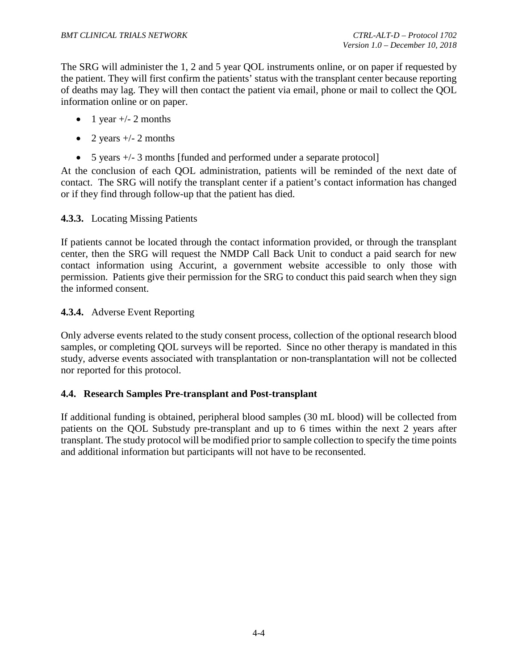The SRG will administer the 1, 2 and 5 year QOL instruments online, or on paper if requested by the patient. They will first confirm the patients' status with the transplant center because reporting of deaths may lag. They will then contact the patient via email, phone or mail to collect the QOL information online or on paper.

- 1 year  $+/- 2$  months
- 2 years  $+/- 2$  months
- 5 years  $+/- 3$  months [funded and performed under a separate protocol]

At the conclusion of each QOL administration, patients will be reminded of the next date of contact. The SRG will notify the transplant center if a patient's contact information has changed or if they find through follow-up that the patient has died.

## <span id="page-38-0"></span>**4.3.3.** Locating Missing Patients

If patients cannot be located through the contact information provided, or through the transplant center, then the SRG will request the NMDP Call Back Unit to conduct a paid search for new contact information using Accurint, a government website accessible to only those with permission. Patients give their permission for the SRG to conduct this paid search when they sign the informed consent.

## <span id="page-38-1"></span>**4.3.4.** Adverse Event Reporting

Only adverse events related to the study consent process, collection of the optional research blood samples, or completing QOL surveys will be reported. Since no other therapy is mandated in this study, adverse events associated with transplantation or non-transplantation will not be collected nor reported for this protocol.

#### <span id="page-38-2"></span>**4.4. Research Samples Pre-transplant and Post-transplant**

If additional funding is obtained, peripheral blood samples (30 mL blood) will be collected from patients on the QOL Substudy pre-transplant and up to 6 times within the next 2 years after transplant. The study protocol will be modified prior to sample collection to specify the time points and additional information but participants will not have to be reconsented.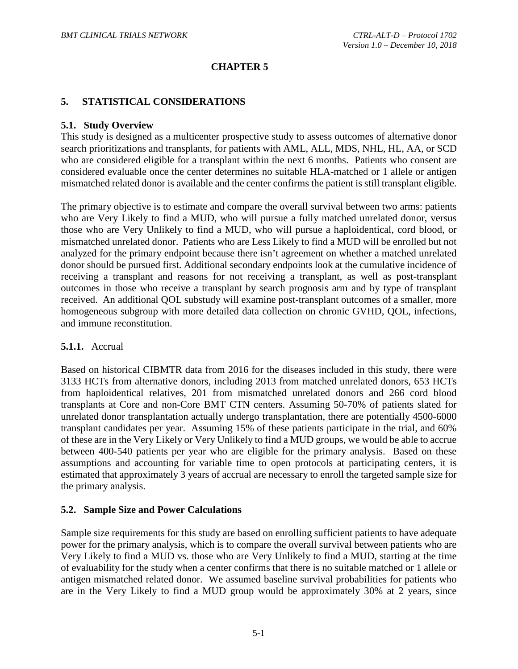## **CHAPTER 5**

#### <span id="page-39-0"></span>**5. STATISTICAL CONSIDERATIONS**

#### <span id="page-39-1"></span>**5.1. Study Overview**

This study is designed as a multicenter prospective study to assess outcomes of alternative donor search prioritizations and transplants, for patients with AML, ALL, MDS, NHL, HL, AA, or SCD who are considered eligible for a transplant within the next 6 months. Patients who consent are considered evaluable once the center determines no suitable HLA-matched or 1 allele or antigen mismatched related donor is available and the center confirms the patient is still transplant eligible.

The primary objective is to estimate and compare the overall survival between two arms: patients who are Very Likely to find a MUD, who will pursue a fully matched unrelated donor, versus those who are Very Unlikely to find a MUD, who will pursue a haploidentical, cord blood, or mismatched unrelated donor. Patients who are Less Likely to find a MUD will be enrolled but not analyzed for the primary endpoint because there isn't agreement on whether a matched unrelated donor should be pursued first. Additional secondary endpoints look at the cumulative incidence of receiving a transplant and reasons for not receiving a transplant, as well as post-transplant outcomes in those who receive a transplant by search prognosis arm and by type of transplant received. An additional QOL substudy will examine post-transplant outcomes of a smaller, more homogeneous subgroup with more detailed data collection on chronic GVHD, QOL, infections, and immune reconstitution.

#### <span id="page-39-2"></span>**5.1.1.** Accrual

Based on historical CIBMTR data from 2016 for the diseases included in this study, there were 3133 HCTs from alternative donors, including 2013 from matched unrelated donors, 653 HCTs from haploidentical relatives, 201 from mismatched unrelated donors and 266 cord blood transplants at Core and non-Core BMT CTN centers. Assuming 50-70% of patients slated for unrelated donor transplantation actually undergo transplantation, there are potentially 4500-6000 transplant candidates per year. Assuming 15% of these patients participate in the trial, and 60% of these are in the Very Likely or Very Unlikely to find a MUD groups, we would be able to accrue between 400-540 patients per year who are eligible for the primary analysis. Based on these assumptions and accounting for variable time to open protocols at participating centers, it is estimated that approximately 3 years of accrual are necessary to enroll the targeted sample size for the primary analysis.

#### <span id="page-39-3"></span>**5.2. Sample Size and Power Calculations**

Sample size requirements for this study are based on enrolling sufficient patients to have adequate power for the primary analysis, which is to compare the overall survival between patients who are Very Likely to find a MUD vs. those who are Very Unlikely to find a MUD, starting at the time of evaluability for the study when a center confirms that there is no suitable matched or 1 allele or antigen mismatched related donor. We assumed baseline survival probabilities for patients who are in the Very Likely to find a MUD group would be approximately 30% at 2 years, since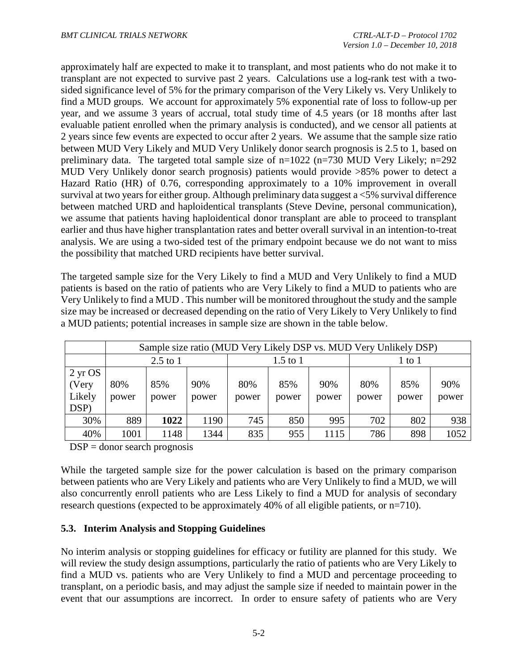approximately half are expected to make it to transplant, and most patients who do not make it to transplant are not expected to survive past 2 years. Calculations use a log-rank test with a twosided significance level of 5% for the primary comparison of the Very Likely vs. Very Unlikely to find a MUD groups. We account for approximately 5% exponential rate of loss to follow-up per year, and we assume 3 years of accrual, total study time of 4.5 years (or 18 months after last evaluable patient enrolled when the primary analysis is conducted), and we censor all patients at 2 years since few events are expected to occur after 2 years. We assume that the sample size ratio between MUD Very Likely and MUD Very Unlikely donor search prognosis is 2.5 to 1, based on preliminary data. The targeted total sample size of n=1022 (n=730 MUD Very Likely; n=292 MUD Very Unlikely donor search prognosis) patients would provide >85% power to detect a Hazard Ratio (HR) of 0.76, corresponding approximately to a 10% improvement in overall survival at two years for either group. Although preliminary data suggest a <5% survival difference between matched URD and haploidentical transplants (Steve Devine, personal communication), we assume that patients having haploidentical donor transplant are able to proceed to transplant earlier and thus have higher transplantation rates and better overall survival in an intention-to-treat analysis. We are using a two-sided test of the primary endpoint because we do not want to miss the possibility that matched URD recipients have better survival.

The targeted sample size for the Very Likely to find a MUD and Very Unlikely to find a MUD patients is based on the ratio of patients who are Very Likely to find a MUD to patients who are Very Unlikely to find a MUD . This number will be monitored throughout the study and the sample size may be increased or decreased depending on the ratio of Very Likely to Very Unlikely to find a MUD patients; potential increases in sample size are shown in the table below.

|                                                             | Sample size ratio (MUD Very Likely DSP vs. MUD Very Unlikely DSP) |              |              |              |              |              |              |              |              |
|-------------------------------------------------------------|-------------------------------------------------------------------|--------------|--------------|--------------|--------------|--------------|--------------|--------------|--------------|
|                                                             | $1.5$ to $1$<br>$2.5$ to 1                                        |              |              |              |              | 1 to 1       |              |              |              |
| $2 \,\mathrm{yr} \, \mathrm{OS}$<br>(Very<br>Likely<br>DSP) | 80%<br>power                                                      | 85%<br>power | 90%<br>power | 80%<br>power | 85%<br>power | 90%<br>power | 80%<br>power | 85%<br>power | 90%<br>power |
| 30%                                                         | 889                                                               | 1022         | 1190         | 745          | 850          | 995          | 702          | 802          | 938          |
| 40%                                                         | 1001                                                              | 148          | 1344         | 835          | 955          | 1115         | 786          | 898          | 1052         |

#### $DSP =$  donor search prognosis

While the targeted sample size for the power calculation is based on the primary comparison between patients who are Very Likely and patients who are Very Unlikely to find a MUD, we will also concurrently enroll patients who are Less Likely to find a MUD for analysis of secondary research questions (expected to be approximately 40% of all eligible patients, or n=710).

# <span id="page-40-0"></span>**5.3. Interim Analysis and Stopping Guidelines**

No interim analysis or stopping guidelines for efficacy or futility are planned for this study. We will review the study design assumptions, particularly the ratio of patients who are Very Likely to find a MUD vs. patients who are Very Unlikely to find a MUD and percentage proceeding to transplant, on a periodic basis, and may adjust the sample size if needed to maintain power in the event that our assumptions are incorrect. In order to ensure safety of patients who are Very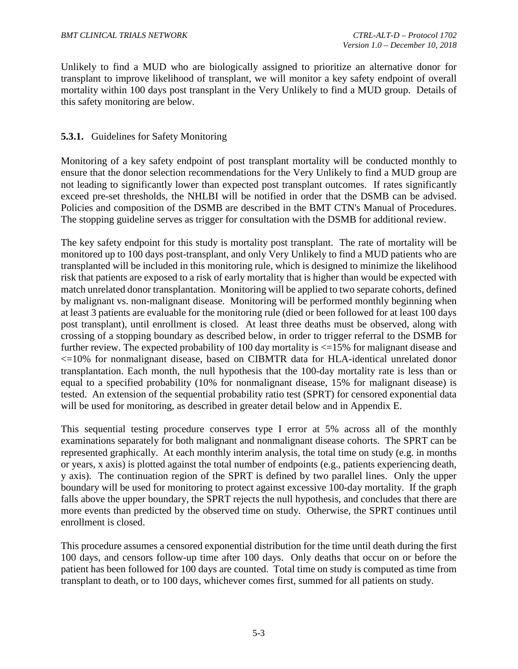Unlikely to find a MUD who are biologically assigned to prioritize an alternative donor for transplant to improve likelihood of transplant, we will monitor a key safety endpoint of overall mortality within 100 days post transplant in the Very Unlikely to find a MUD group. Details of this safety monitoring are below.

## <span id="page-41-0"></span>**5.3.1.** Guidelines for Safety Monitoring

Monitoring of a key safety endpoint of post transplant mortality will be conducted monthly to ensure that the donor selection recommendations for the Very Unlikely to find a MUD group are not leading to significantly lower than expected post transplant outcomes. If rates significantly exceed pre-set thresholds, the NHLBI will be notified in order that the DSMB can be advised. Policies and composition of the DSMB are described in the BMT CTN's Manual of Procedures. The stopping guideline serves as trigger for consultation with the DSMB for additional review.

The key safety endpoint for this study is mortality post transplant. The rate of mortality will be monitored up to 100 days post-transplant, and only Very Unlikely to find a MUD patients who are transplanted will be included in this monitoring rule, which is designed to minimize the likelihood risk that patients are exposed to a risk of early mortality that is higher than would be expected with match unrelated donor transplantation. Monitoring will be applied to two separate cohorts, defined by malignant vs. non-malignant disease. Monitoring will be performed monthly beginning when at least 3 patients are evaluable for the monitoring rule (died or been followed for at least 100 days post transplant), until enrollment is closed. At least three deaths must be observed, along with crossing of a stopping boundary as described below, in order to trigger referral to the DSMB for further review. The expected probability of 100 day mortality is  $\leq$  15% for malignant disease and <=10% for nonmalignant disease, based on CIBMTR data for HLA-identical unrelated donor transplantation. Each month, the null hypothesis that the 100-day mortality rate is less than or equal to a specified probability (10% for nonmalignant disease, 15% for malignant disease) is tested. An extension of the sequential probability ratio test (SPRT) for censored exponential data will be used for monitoring, as described in greater detail below and in Appendix E.

This sequential testing procedure conserves type I error at 5% across all of the monthly examinations separately for both malignant and nonmalignant disease cohorts. The SPRT can be represented graphically. At each monthly interim analysis, the total time on study (e.g. in months or years, x axis) is plotted against the total number of endpoints (e.g., patients experiencing death, y axis). The continuation region of the SPRT is defined by two parallel lines. Only the upper boundary will be used for monitoring to protect against excessive 100-day mortality. If the graph falls above the upper boundary, the SPRT rejects the null hypothesis, and concludes that there are more events than predicted by the observed time on study. Otherwise, the SPRT continues until enrollment is closed.

This procedure assumes a censored exponential distribution for the time until death during the first 100 days, and censors follow-up time after 100 days. Only deaths that occur on or before the patient has been followed for 100 days are counted. Total time on study is computed as time from transplant to death, or to 100 days, whichever comes first, summed for all patients on study.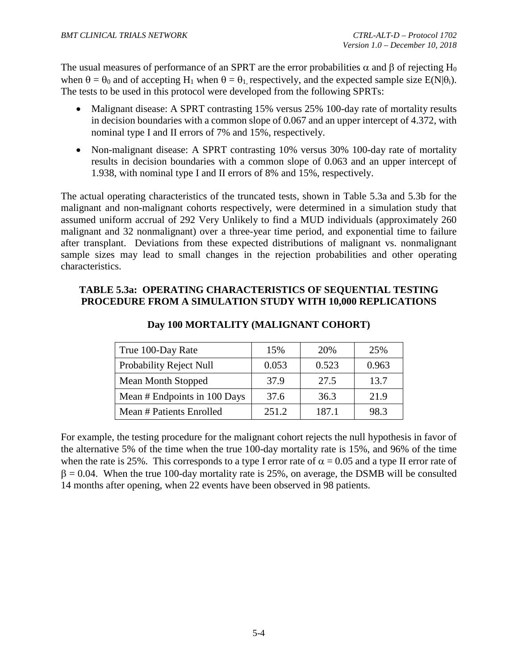The usual measures of performance of an SPRT are the error probabilities  $\alpha$  and  $\beta$  of rejecting H<sub>0</sub> when  $\theta = \theta_0$  and of accepting H<sub>1</sub> when  $\theta = \theta_1$  respectively, and the expected sample size E(N| $\theta_i$ ). The tests to be used in this protocol were developed from the following SPRTs:

- Malignant disease: A SPRT contrasting 15% versus 25% 100-day rate of mortality results in decision boundaries with a common slope of 0.067 and an upper intercept of 4.372, with nominal type I and II errors of 7% and 15%, respectively.
- Non-malignant disease: A SPRT contrasting 10% versus 30% 100-day rate of mortality results in decision boundaries with a common slope of 0.063 and an upper intercept of 1.938, with nominal type I and II errors of 8% and 15%, respectively.

The actual operating characteristics of the truncated tests, shown in Table 5.3a and 5.3b for the malignant and non-malignant cohorts respectively, were determined in a simulation study that assumed uniform accrual of 292 Very Unlikely to find a MUD individuals (approximately 260 malignant and 32 nonmalignant) over a three-year time period, and exponential time to failure after transplant. Deviations from these expected distributions of malignant vs. nonmalignant sample sizes may lead to small changes in the rejection probabilities and other operating characteristics.

## **TABLE 5.3a: OPERATING CHARACTERISTICS OF SEQUENTIAL TESTING PROCEDURE FROM A SIMULATION STUDY WITH 10,000 REPLICATIONS**

| True 100-Day Rate              | 15%   | 20%   | 25%   |
|--------------------------------|-------|-------|-------|
| <b>Probability Reject Null</b> | 0.053 | 0.523 | 0.963 |
| <b>Mean Month Stopped</b>      | 37.9  | 27.5  | 13.7  |
| Mean # Endpoints in 100 Days   | 37.6  | 36.3  | 21.9  |
| Mean # Patients Enrolled       | 251.2 | 187.1 | 98.3  |

# **Day 100 MORTALITY (MALIGNANT COHORT)**

For example, the testing procedure for the malignant cohort rejects the null hypothesis in favor of the alternative 5% of the time when the true 100-day mortality rate is 15%, and 96% of the time when the rate is 25%. This corresponds to a type I error rate of  $\alpha = 0.05$  and a type II error rate of  $\beta = 0.04$ . When the true 100-day mortality rate is 25%, on average, the DSMB will be consulted 14 months after opening, when 22 events have been observed in 98 patients.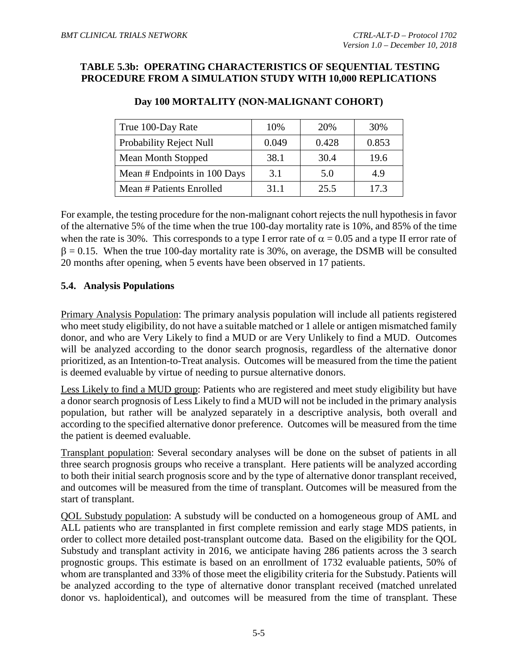## **TABLE 5.3b: OPERATING CHARACTERISTICS OF SEQUENTIAL TESTING PROCEDURE FROM A SIMULATION STUDY WITH 10,000 REPLICATIONS**

| True 100-Day Rate              | 10%   | 20%   | 30%   |
|--------------------------------|-------|-------|-------|
| <b>Probability Reject Null</b> | 0.049 | 0.428 | 0.853 |
| <b>Mean Month Stopped</b>      | 38.1  | 30.4  | 19.6  |
| Mean # Endpoints in 100 Days   | 3.1   | 5.0   | 4.9   |
| Mean # Patients Enrolled       | 31.1  | 25.5  | 17.3  |

#### **Day 100 MORTALITY (NON-MALIGNANT COHORT)**

For example, the testing procedure for the non-malignant cohort rejects the null hypothesis in favor of the alternative 5% of the time when the true 100-day mortality rate is 10%, and 85% of the time when the rate is 30%. This corresponds to a type I error rate of  $\alpha = 0.05$  and a type II error rate of  $\beta = 0.15$ . When the true 100-day mortality rate is 30%, on average, the DSMB will be consulted 20 months after opening, when 5 events have been observed in 17 patients.

#### <span id="page-43-0"></span>**5.4. Analysis Populations**

Primary Analysis Population: The primary analysis population will include all patients registered who meet study eligibility, do not have a suitable matched or 1 allele or antigen mismatched family donor, and who are Very Likely to find a MUD or are Very Unlikely to find a MUD. Outcomes will be analyzed according to the donor search prognosis, regardless of the alternative donor prioritized, as an Intention-to-Treat analysis. Outcomes will be measured from the time the patient is deemed evaluable by virtue of needing to pursue alternative donors.

Less Likely to find a MUD group: Patients who are registered and meet study eligibility but have a donor search prognosis of Less Likely to find a MUD will not be included in the primary analysis population, but rather will be analyzed separately in a descriptive analysis, both overall and according to the specified alternative donor preference. Outcomes will be measured from the time the patient is deemed evaluable.

Transplant population: Several secondary analyses will be done on the subset of patients in all three search prognosis groups who receive a transplant. Here patients will be analyzed according to both their initial search prognosis score and by the type of alternative donor transplant received, and outcomes will be measured from the time of transplant. Outcomes will be measured from the start of transplant.

QOL Substudy population: A substudy will be conducted on a homogeneous group of AML and ALL patients who are transplanted in first complete remission and early stage MDS patients, in order to collect more detailed post-transplant outcome data. Based on the eligibility for the QOL Substudy and transplant activity in 2016, we anticipate having 286 patients across the 3 search prognostic groups. This estimate is based on an enrollment of 1732 evaluable patients, 50% of whom are transplanted and 33% of those meet the eligibility criteria for the Substudy. Patients will be analyzed according to the type of alternative donor transplant received (matched unrelated donor vs. haploidentical), and outcomes will be measured from the time of transplant. These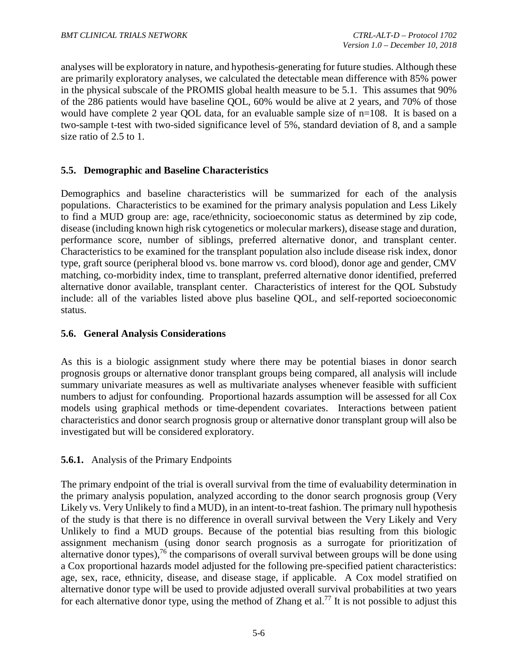analyses will be exploratory in nature, and hypothesis-generating for future studies. Although these are primarily exploratory analyses, we calculated the detectable mean difference with 85% power in the physical subscale of the PROMIS global health measure to be 5.1. This assumes that 90% of the 286 patients would have baseline QOL, 60% would be alive at 2 years, and 70% of those would have complete 2 year QOL data, for an evaluable sample size of  $n=108$ . It is based on a two-sample t-test with two-sided significance level of 5%, standard deviation of 8, and a sample size ratio of 2.5 to 1.

## <span id="page-44-0"></span>**5.5. Demographic and Baseline Characteristics**

Demographics and baseline characteristics will be summarized for each of the analysis populations. Characteristics to be examined for the primary analysis population and Less Likely to find a MUD group are: age, race/ethnicity, socioeconomic status as determined by zip code, disease (including known high risk cytogenetics or molecular markers), disease stage and duration, performance score, number of siblings, preferred alternative donor, and transplant center. Characteristics to be examined for the transplant population also include disease risk index, donor type, graft source (peripheral blood vs. bone marrow vs. cord blood), donor age and gender, CMV matching, co-morbidity index, time to transplant, preferred alternative donor identified, preferred alternative donor available, transplant center. Characteristics of interest for the QOL Substudy include: all of the variables listed above plus baseline QOL, and self-reported socioeconomic status.

## <span id="page-44-1"></span>**5.6. General Analysis Considerations**

As this is a biologic assignment study where there may be potential biases in donor search prognosis groups or alternative donor transplant groups being compared, all analysis will include summary univariate measures as well as multivariate analyses whenever feasible with sufficient numbers to adjust for confounding. Proportional hazards assumption will be assessed for all Cox models using graphical methods or time-dependent covariates. Interactions between patient characteristics and donor search prognosis group or alternative donor transplant group will also be investigated but will be considered exploratory.

<span id="page-44-2"></span>**5.6.1.** Analysis of the Primary Endpoints

The primary endpoint of the trial is overall survival from the time of evaluability determination in the primary analysis population, analyzed according to the donor search prognosis group (Very Likely vs. Very Unlikely to find a MUD), in an intent-to-treat fashion. The primary null hypothesis of the study is that there is no difference in overall survival between the Very Likely and Very Unlikely to find a MUD groups. Because of the potential bias resulting from this biologic assignment mechanism (using donor search prognosis as a surrogate for prioritization of alternative donor types),  $^{76}$  the comparisons of overall survival between groups will be done using a Cox proportional hazards model adjusted for the following pre-specified patient characteristics: age, sex, race, ethnicity, disease, and disease stage, if applicable. A Cox model stratified on alternative donor type will be used to provide adjusted overall survival probabilities at two years for each alternative donor type, using the method of Zhang et al.<sup>[77](#page-66-5)</sup> It is not possible to adjust this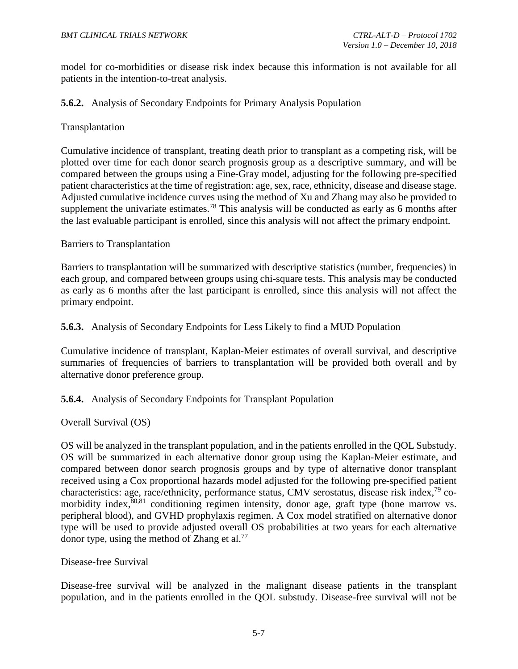model for co-morbidities or disease risk index because this information is not available for all patients in the intention-to-treat analysis.

## <span id="page-45-0"></span>**5.6.2.** Analysis of Secondary Endpoints for Primary Analysis Population

#### Transplantation

Cumulative incidence of transplant, treating death prior to transplant as a competing risk, will be plotted over time for each donor search prognosis group as a descriptive summary, and will be compared between the groups using a Fine-Gray model, adjusting for the following pre-specified patient characteristics at the time of registration: age, sex, race, ethnicity, disease and disease stage. Adjusted cumulative incidence curves using the method of Xu and Zhang may also be provided to supplement the univariate estimates.<sup>78</sup> This analysis will be conducted as early as 6 months after the last evaluable participant is enrolled, since this analysis will not affect the primary endpoint.

#### Barriers to Transplantation

Barriers to transplantation will be summarized with descriptive statistics (number, frequencies) in each group, and compared between groups using chi-square tests. This analysis may be conducted as early as 6 months after the last participant is enrolled, since this analysis will not affect the primary endpoint.

#### <span id="page-45-1"></span>**5.6.3.** Analysis of Secondary Endpoints for Less Likely to find a MUD Population

Cumulative incidence of transplant, Kaplan-Meier estimates of overall survival, and descriptive summaries of frequencies of barriers to transplantation will be provided both overall and by alternative donor preference group.

#### <span id="page-45-2"></span>**5.6.4.** Analysis of Secondary Endpoints for Transplant Population

#### Overall Survival (OS)

OS will be analyzed in the transplant population, and in the patients enrolled in the QOL Substudy. OS will be summarized in each alternative donor group using the Kaplan-Meier estimate, and compared between donor search prognosis groups and by type of alternative donor transplant received using a Cox proportional hazards model adjusted for the following pre-specified patient characteristics: age, race/ethnicity, performance status, CMV serostatus, disease risk index,<sup>[79](#page-66-7)</sup> comorbidity index, [80,](#page-66-8)[81](#page-66-9) conditioning regimen intensity, donor age, graft type (bone marrow vs. peripheral blood), and GVHD prophylaxis regimen. A Cox model stratified on alternative donor type will be used to provide adjusted overall OS probabilities at two years for each alternative donor type, using the method of Zhang et al.<sup>77</sup>

#### Disease-free Survival

Disease-free survival will be analyzed in the malignant disease patients in the transplant population, and in the patients enrolled in the QOL substudy. Disease-free survival will not be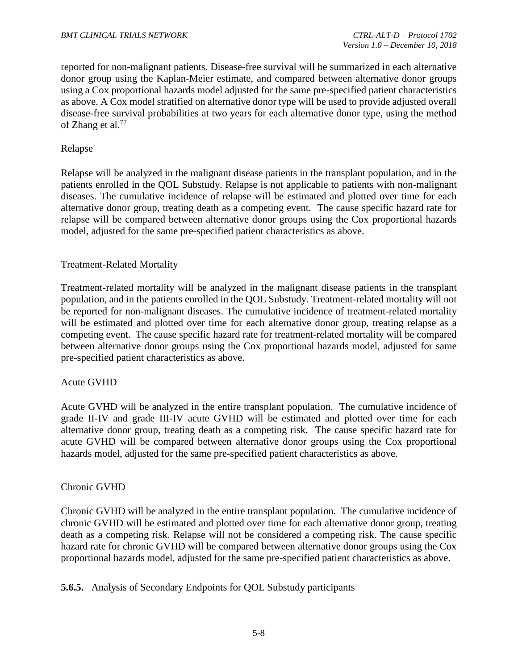reported for non-malignant patients. Disease-free survival will be summarized in each alternative donor group using the Kaplan-Meier estimate, and compared between alternative donor groups using a Cox proportional hazards model adjusted for the same pre-specified patient characteristics as above. A Cox model stratified on alternative donor type will be used to provide adjusted overall disease-free survival probabilities at two years for each alternative donor type, using the method of Zhang et al. [77](#page-66-5) 

## Relapse

Relapse will be analyzed in the malignant disease patients in the transplant population, and in the patients enrolled in the QOL Substudy. Relapse is not applicable to patients with non-malignant diseases. The cumulative incidence of relapse will be estimated and plotted over time for each alternative donor group, treating death as a competing event. The cause specific hazard rate for relapse will be compared between alternative donor groups using the Cox proportional hazards model, adjusted for the same pre-specified patient characteristics as above.

# Treatment-Related Mortality

Treatment-related mortality will be analyzed in the malignant disease patients in the transplant population, and in the patients enrolled in the QOL Substudy. Treatment-related mortality will not be reported for non-malignant diseases. The cumulative incidence of treatment-related mortality will be estimated and plotted over time for each alternative donor group, treating relapse as a competing event. The cause specific hazard rate for treatment-related mortality will be compared between alternative donor groups using the Cox proportional hazards model, adjusted for same pre-specified patient characteristics as above.

#### Acute GVHD

Acute GVHD will be analyzed in the entire transplant population. The cumulative incidence of grade II-IV and grade III-IV acute GVHD will be estimated and plotted over time for each alternative donor group, treating death as a competing risk. The cause specific hazard rate for acute GVHD will be compared between alternative donor groups using the Cox proportional hazards model, adjusted for the same pre-specified patient characteristics as above.

#### Chronic GVHD

Chronic GVHD will be analyzed in the entire transplant population. The cumulative incidence of chronic GVHD will be estimated and plotted over time for each alternative donor group, treating death as a competing risk. Relapse will not be considered a competing risk. The cause specific hazard rate for chronic GVHD will be compared between alternative donor groups using the Cox proportional hazards model, adjusted for the same pre-specified patient characteristics as above.

<span id="page-46-0"></span>**5.6.5.** Analysis of Secondary Endpoints for QOL Substudy participants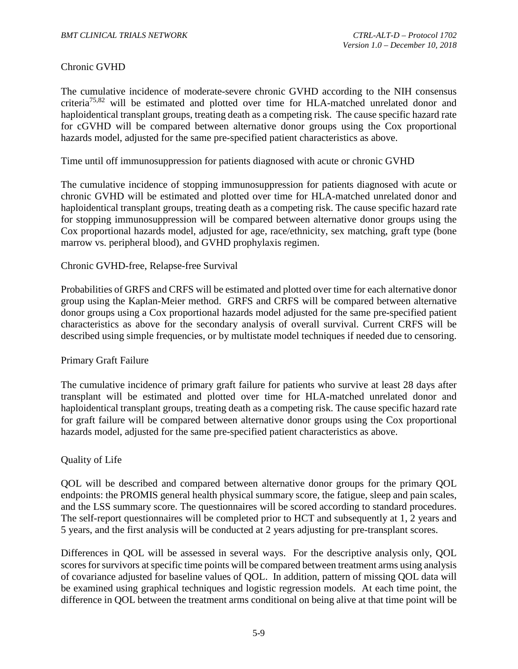#### Chronic GVHD

The cumulative incidence of moderate-severe chronic GVHD according to the NIH consensus criteri[a75](#page-66-3)[,82](#page-66-10) will be estimated and plotted over time for HLA-matched unrelated donor and haploidentical transplant groups, treating death as a competing risk. The cause specific hazard rate for cGVHD will be compared between alternative donor groups using the Cox proportional hazards model, adjusted for the same pre-specified patient characteristics as above.

Time until off immunosuppression for patients diagnosed with acute or chronic GVHD

The cumulative incidence of stopping immunosuppression for patients diagnosed with acute or chronic GVHD will be estimated and plotted over time for HLA-matched unrelated donor and haploidentical transplant groups, treating death as a competing risk. The cause specific hazard rate for stopping immunosuppression will be compared between alternative donor groups using the Cox proportional hazards model, adjusted for age, race/ethnicity, sex matching, graft type (bone marrow vs. peripheral blood), and GVHD prophylaxis regimen.

#### Chronic GVHD-free, Relapse-free Survival

Probabilities of GRFS and CRFS will be estimated and plotted over time for each alternative donor group using the Kaplan-Meier method. GRFS and CRFS will be compared between alternative donor groups using a Cox proportional hazards model adjusted for the same pre-specified patient characteristics as above for the secondary analysis of overall survival. Current CRFS will be described using simple frequencies, or by multistate model techniques if needed due to censoring.

#### Primary Graft Failure

The cumulative incidence of primary graft failure for patients who survive at least 28 days after transplant will be estimated and plotted over time for HLA-matched unrelated donor and haploidentical transplant groups, treating death as a competing risk. The cause specific hazard rate for graft failure will be compared between alternative donor groups using the Cox proportional hazards model, adjusted for the same pre-specified patient characteristics as above.

#### Quality of Life

QOL will be described and compared between alternative donor groups for the primary QOL endpoints: the PROMIS general health physical summary score, the fatigue, sleep and pain scales, and the LSS summary score. The questionnaires will be scored according to standard procedures. The self-report questionnaires will be completed prior to HCT and subsequently at 1, 2 years and 5 years, and the first analysis will be conducted at 2 years adjusting for pre-transplant scores.

Differences in QOL will be assessed in several ways. For the descriptive analysis only, QOL scores for survivors at specific time points will be compared between treatment arms using analysis of covariance adjusted for baseline values of QOL. In addition, pattern of missing QOL data will be examined using graphical techniques and logistic regression models. At each time point, the difference in QOL between the treatment arms conditional on being alive at that time point will be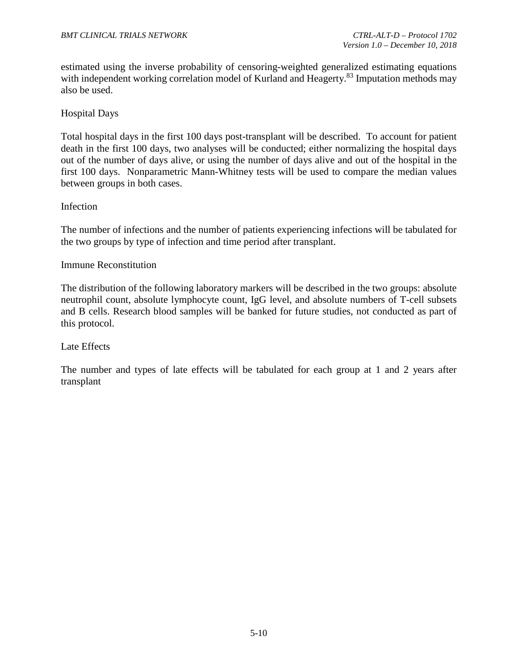estimated using the inverse probability of censoring-weighted generalized estimating equations with independent working correlation model of Kurland and Heagerty.<sup>83</sup> Imputation methods may also be used.

## Hospital Days

Total hospital days in the first 100 days post-transplant will be described. To account for patient death in the first 100 days, two analyses will be conducted; either normalizing the hospital days out of the number of days alive, or using the number of days alive and out of the hospital in the first 100 days. Nonparametric Mann-Whitney tests will be used to compare the median values between groups in both cases.

#### Infection

The number of infections and the number of patients experiencing infections will be tabulated for the two groups by type of infection and time period after transplant.

#### Immune Reconstitution

The distribution of the following laboratory markers will be described in the two groups: absolute neutrophil count, absolute lymphocyte count, IgG level, and absolute numbers of T-cell subsets and B cells. Research blood samples will be banked for future studies, not conducted as part of this protocol.

#### Late Effects

The number and types of late effects will be tabulated for each group at 1 and 2 years after transplant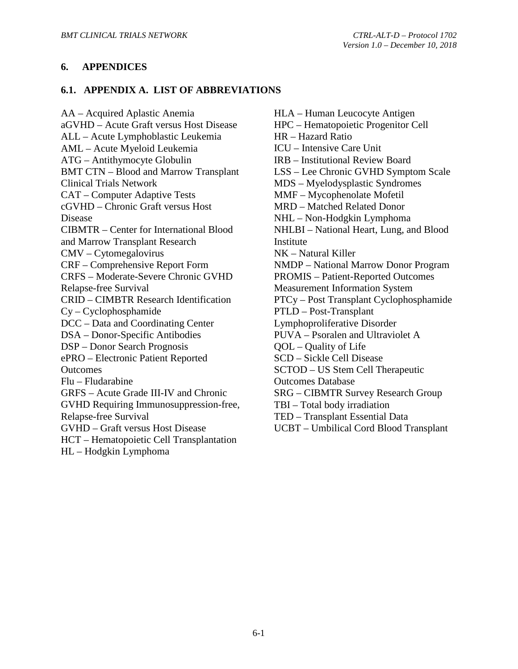## <span id="page-49-0"></span>**6. APPENDICES**

#### <span id="page-49-1"></span>**6.1. APPENDIX A. LIST OF ABBREVIATIONS**

AA – Acquired Aplastic Anemia aGVHD – Acute Graft versus Host Disease ALL – Acute Lymphoblastic Leukemia AML – Acute Myeloid Leukemia ATG – Antithymocyte Globulin BMT CTN – Blood and Marrow Transplant Clinical Trials Network CAT – Computer Adaptive Tests cGVHD – Chronic Graft versus Host Disease CIBMTR – Center for International Blood and Marrow Transplant Research CMV – Cytomegalovirus CRF – Comprehensive Report Form CRFS – Moderate-Severe Chronic GVHD Relapse-free Survival CRID – CIMBTR Research Identification Cy – Cyclophosphamide DCC – Data and Coordinating Center DSA – Donor-Specific Antibodies DSP – Donor Search Prognosis ePRO – Electronic Patient Reported **Outcomes** Flu – Fludarabine GRFS – Acute Grade III-IV and Chronic GVHD Requiring Immunosuppression-free, Relapse-free Survival GVHD – Graft versus Host Disease HCT – Hematopoietic Cell Transplantation HL – Hodgkin Lymphoma

HLA – Human Leucocyte Antigen HPC – Hematopoietic Progenitor Cell HR – Hazard Ratio ICU – Intensive Care Unit IRB – Institutional Review Board LSS – Lee Chronic GVHD Symptom Scale MDS – Myelodysplastic Syndromes MMF – Mycophenolate Mofetil MRD – Matched Related Donor NHL – Non-Hodgkin Lymphoma NHLBI – National Heart, Lung, and Blood Institute NK – Natural Killer NMDP – National Marrow Donor Program PROMIS – Patient-Reported Outcomes Measurement Information System PTCy – Post Transplant Cyclophosphamide PTLD – Post-Transplant Lymphoproliferative Disorder PUVA – Psoralen and Ultraviolet A QOL – Quality of Life SCD – Sickle Cell Disease SCTOD – US Stem Cell Therapeutic Outcomes Database SRG – CIBMTR Survey Research Group TBI – Total body irradiation TED – Transplant Essential Data UCBT – Umbilical Cord Blood Transplant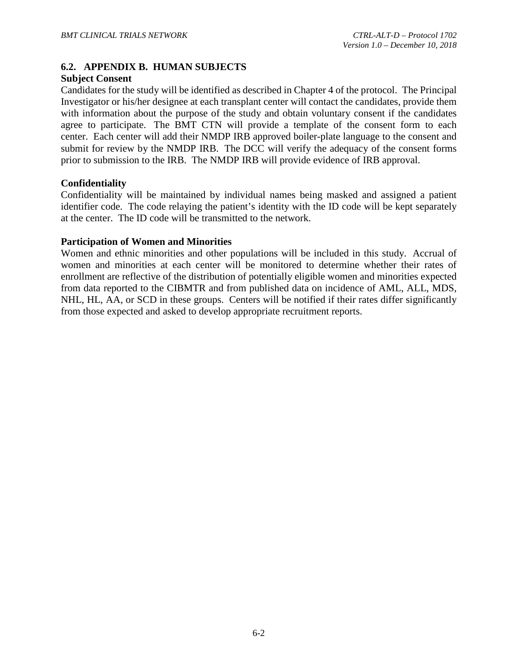# <span id="page-50-0"></span>**6.2. APPENDIX B. HUMAN SUBJECTS**

#### **Subject Consent**

Candidates for the study will be identified as described in Chapter 4 of the protocol. The Principal Investigator or his/her designee at each transplant center will contact the candidates, provide them with information about the purpose of the study and obtain voluntary consent if the candidates agree to participate. The BMT CTN will provide a template of the consent form to each center. Each center will add their NMDP IRB approved boiler-plate language to the consent and submit for review by the NMDP IRB. The DCC will verify the adequacy of the consent forms prior to submission to the IRB. The NMDP IRB will provide evidence of IRB approval.

#### **Confidentiality**

Confidentiality will be maintained by individual names being masked and assigned a patient identifier code. The code relaying the patient's identity with the ID code will be kept separately at the center. The ID code will be transmitted to the network.

#### **Participation of Women and Minorities**

Women and ethnic minorities and other populations will be included in this study. Accrual of women and minorities at each center will be monitored to determine whether their rates of enrollment are reflective of the distribution of potentially eligible women and minorities expected from data reported to the CIBMTR and from published data on incidence of AML, ALL, MDS, NHL, HL, AA, or SCD in these groups. Centers will be notified if their rates differ significantly from those expected and asked to develop appropriate recruitment reports.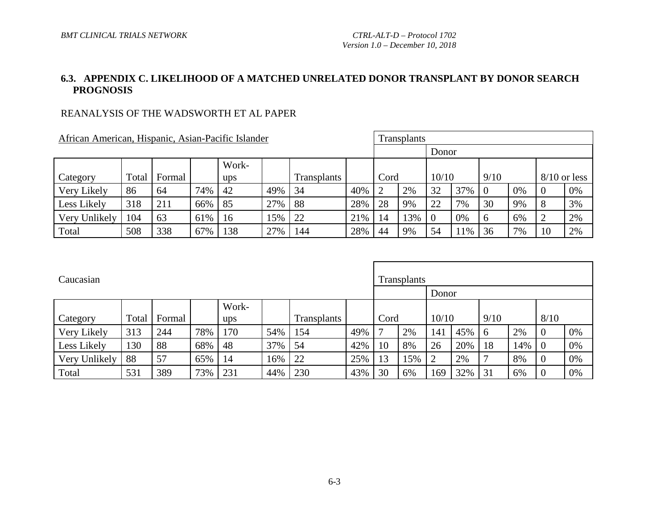# **6.3. APPENDIX C. LIKELIHOOD OF A MATCHED UNRELATED DONOR TRANSPLANT BY DONOR SEARCH PROGNOSIS**

# REANALYSIS OF THE WADSWORTH ET AL PAPER

| African American, Hispanic, Asian-Pacific Islander                |     |     |     |     |     |     |     |    | Transplants |                |     |                |    |                |    |
|-------------------------------------------------------------------|-----|-----|-----|-----|-----|-----|-----|----|-------------|----------------|-----|----------------|----|----------------|----|
|                                                                   |     |     |     |     |     |     |     |    |             | Donor          |     |                |    |                |    |
|                                                                   |     |     |     |     |     |     |     |    |             |                |     |                |    |                |    |
| Work-<br>Total<br>Category<br>Formal<br><b>Transplants</b><br>ups |     |     |     |     |     |     |     |    | Cord        | 10/10          |     | 9/10           |    | $8/10$ or less |    |
| Very Likely                                                       | 86  | 64  | 74% | 42  | 49% | 34  | 40% | ⌒  | 2%          | 32             | 37% | $\overline{0}$ | 0% | $\overline{0}$ | 0% |
| Less Likely                                                       | 318 | 211 | 66% | 85  | 27% | -88 | 28% | 28 | 9%          | 22             | 7%  | 30             | 9% | 8              | 3% |
| Very Unlikely                                                     | 104 | 63  | 61% | 16  | 15% | 22  | 21% | 14 | 13%         | $\overline{0}$ | 0%  | 6              | 6% | ∠              | 2% |
| Total                                                             | 508 | 338 | 67% | 138 | 27% | 144 | 28% | 44 | 9%          | 54             | 11% | 36             | 7% | 10             | 2% |

<span id="page-51-0"></span>

| Caucasian     |       |        |     |       |     |             |     |      | <b>Transplants</b> |       |       |                |     |                  |    |
|---------------|-------|--------|-----|-------|-----|-------------|-----|------|--------------------|-------|-------|----------------|-----|------------------|----|
|               |       |        |     |       |     |             |     |      |                    |       | Donor |                |     |                  |    |
|               |       |        |     | Work- |     |             |     |      |                    |       |       |                |     |                  |    |
| Category      | Total | Formal |     | ups   |     | Transplants |     | Cord |                    | 10/10 |       | 9/10           |     | 8/10             |    |
| Very Likely   | 313   | 244    | 78% | 170   | 54% | 154         | 49% | 7    | 2%                 | 141   | 45%   | -6             | 2%  | $\overline{0}$   | 0% |
| Less Likely   | 130   | 88     | 68% | 48    | 37% | 54          | 42% | 10   | 8%                 | 26    | 20%   | 18             | 14% | - 0              | 0% |
| Very Unlikely | 88    | 57     | 65% | 14    | 16% | 22          | 25% | 13   | 15%                |       | 2%    | $\mathbf \tau$ | 8%  | $\boldsymbol{0}$ | 0% |
| Total         | 531   | 389    | 73% | 231   | 44% | 230         | 43% | 30   | 6%                 | 169   | 32%   | 31             | 6%  | $\overline{0}$   | 0% |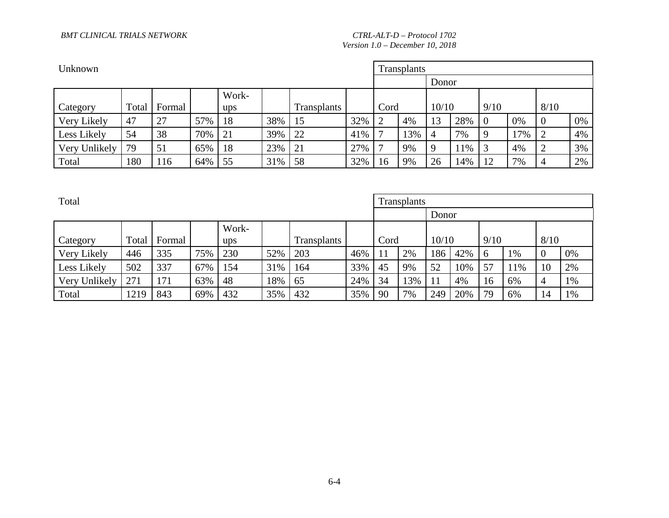#### *BMT CLINICAL TRIALS NETWORK CTRL-ALT-D – Protocol 1702*

*Version 1.0 – December 10, 2018*

| Unknown       |       |        |     |       |     |             |     |                | <b>Transplants</b> |                |     |                |     |        |    |
|---------------|-------|--------|-----|-------|-----|-------------|-----|----------------|--------------------|----------------|-----|----------------|-----|--------|----|
|               |       |        |     |       |     |             |     |                |                    |                |     |                |     |        |    |
|               |       |        |     | Work- |     |             |     |                |                    |                |     |                |     |        |    |
| Category      | Total | Formal |     | ups   |     | Transplants |     | Cord           |                    | 10/10          |     | 9/10           |     | 8/10   |    |
| Very Likely   | 47    | 27     | 57% | 18    | 38% | 15          | 32% | $\overline{2}$ | 4%                 | 13             | 28% | $\overline{0}$ | 0%  | 0      | 0% |
| Less Likely   | 54    | 38     | 70% | 21    | 39% | 22          | 41% |                | 13%                | $\overline{4}$ | 7%  | -9             | 17% |        | 4% |
| Very Unlikely | 79    | 51     | 65% | 18    | 23% | 21          | 27% | $\mathbf{r}$   | 9%                 | $\mathbf Q$    | 11% |                | 4%  | ∍<br>∠ | 3% |
| Total         | 180   | 116    | 64% | 55    | 31% | 58          | 32% | 16             | 9%                 | 26             | 14% | 12             | 7%  | 4      | 2% |

| Total         |       |        |     |              |     |                    |     |      | Transplants |       |     |      |     |                |    |
|---------------|-------|--------|-----|--------------|-----|--------------------|-----|------|-------------|-------|-----|------|-----|----------------|----|
|               |       |        |     |              |     |                    |     |      |             |       |     |      |     |                |    |
| Category      | Total | Formal |     | Work-<br>ups |     | <b>Transplants</b> |     | Cord |             | 10/10 |     | 9/10 |     | 8/10           |    |
| Very Likely   | 446   | 335    | 75% | 230          | 52% | 203                | 46% | 11   | 2%          | 186   | 42% | -6   | 1%  | $\overline{0}$ | 0% |
| Less Likely   | 502   | 337    | 67% | 154          | 31% | 164                | 33% | 45   | 9%          | 52    | 10% | 57   | 11% | 10             | 2% |
| Very Unlikely | 271   | 171    | 63% | 48           | 18% | 65                 | 24% | 34   | 13%         | 11    | 4%  | 16   | 6%  | 4              | 1% |
| Total         | 1219  | 843    | 69% | 432          | 35% | 432                | 35% | 90   | 7%          | 249   | 20% | 79   | 6%  | 14             | 1% |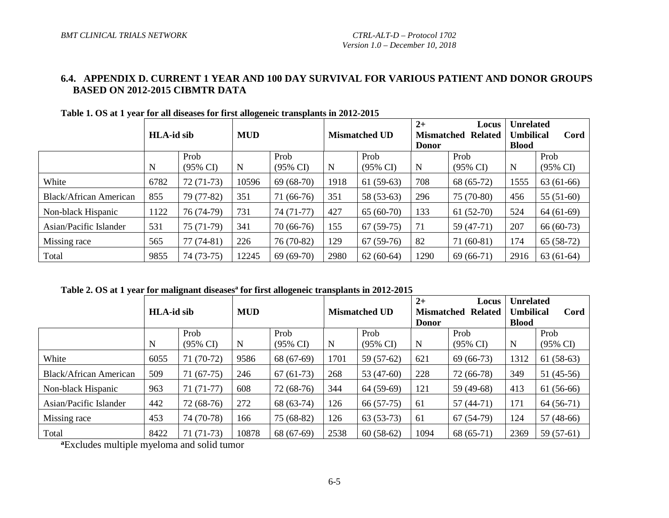# **6.4. APPENDIX D. CURRENT 1 YEAR AND 100 DAY SURVIVAL FOR VARIOUS PATIENT AND DONOR GROUPS BASED ON 2012-2015 CIBMTR DATA**

|                               |      | <b>MUD</b><br><b>HLA-id sib</b> |       |                             |      | <b>Mismatched UD</b>        | $2+$<br><b>Donor</b> | Locus<br><b>Mismatched Related</b> | <b>Unrelated</b><br><b>Umbilical</b><br><b>Blood</b> | Cord                        |
|-------------------------------|------|---------------------------------|-------|-----------------------------|------|-----------------------------|----------------------|------------------------------------|------------------------------------------------------|-----------------------------|
|                               | N    | Prob<br>$(95\% \text{ CI})$     | N     | Prob<br>$(95\% \text{ CI})$ | N    | Prob<br>$(95\% \text{ CI})$ | N                    | Prob<br>$(95\% \text{ CI})$        | N                                                    | Prob<br>$(95\% \text{ CI})$ |
| White                         | 6782 | $72(71-73)$                     | 10596 | $69(68-70)$                 | 1918 | $61(59-63)$                 | 708                  | 68 (65-72)                         | 1555                                                 | $63(61-66)$                 |
| <b>Black/African American</b> | 855  | 79 (77-82)                      | 351   | 71 (66-76)                  | 351  | 58 (53-63)                  | 296                  | $75(70-80)$                        | 456                                                  | $55(51-60)$                 |
| Non-black Hispanic            | 1122 | 76 (74-79)                      | 731   | 74 (71-77)                  | 427  | $65(60-70)$                 | 133                  | $61(52-70)$                        | 524                                                  | $64(61-69)$                 |
| Asian/Pacific Islander        | 531  | 75 (71-79)                      | 341   | $70(66-76)$                 | 155  | $67(59-75)$                 | 71                   | $59(47-71)$                        | 207                                                  | $66(60-73)$                 |
| Missing race                  | 565  | $77(74-81)$                     | 226   | 76 (70-82)                  | 129  | $67(59-76)$                 | 82                   | $71(60-81)$                        | 174                                                  | $65(58-72)$                 |
| Total                         | 9855 | 74 (73-75)                      | 12245 | $69(69-70)$                 | 2980 | $62(60-64)$                 | 1290                 | $69(66-71)$                        | 2916                                                 | $63(61-64)$                 |

**Table 1. OS at 1 year for all diseases for first allogeneic transplants in 2012-2015**

<span id="page-53-0"></span>Table 2. OS at 1 year for malignant diseases<sup>a</sup> for first allogeneic transplants in 2012-2015

|                               |      | <b>HLA-id sib</b>           |       |                             |      | <b>Mismatched UD</b>        | $2+$<br><b>Mismatched</b><br><b>Donor</b> | Locus<br><b>Related</b>     | <b>Unrelated</b><br><b>Umbilical</b><br><b>Blood</b> | Cord                        |
|-------------------------------|------|-----------------------------|-------|-----------------------------|------|-----------------------------|-------------------------------------------|-----------------------------|------------------------------------------------------|-----------------------------|
|                               | N    | Prob<br>$(95\% \text{ CI})$ | N     | Prob<br>$(95\% \text{ CI})$ | N    | Prob<br>$(95\% \text{ CI})$ | N                                         | Prob<br>$(95\% \text{ CI})$ | N                                                    | Prob<br>$(95\% \text{ CI})$ |
| White                         | 6055 | $71(70-72)$                 | 9586  | 68 (67-69)                  | 1701 | 59 (57-62)                  | 621                                       | $69(66-73)$                 | 1312                                                 | $61(58-63)$                 |
| <b>Black/African American</b> | 509  | $71(67-75)$                 | 246   | $67(61-73)$                 | 268  | 53 $(47-60)$                | 228                                       | $72(66-78)$                 | 349                                                  | $51(45-56)$                 |
| Non-black Hispanic            | 963  | $71(71-77)$                 | 608   | $72(68-76)$                 | 344  | $64(59-69)$                 | 121                                       | 59 (49-68)                  | 413                                                  | $61(56-66)$                 |
| Asian/Pacific Islander        | 442  | $72(68-76)$                 | 272   | 68 (63-74)                  | 126  | $66(57-75)$                 | 61                                        | $57(44-71)$                 | 171                                                  | $64(56-71)$                 |
| Missing race                  | 453  | 74 (70-78)                  | 166   | $75(68-82)$                 | 126  | $63(53-73)$                 | 61                                        | $67(54-79)$                 | 124                                                  | $57(48-66)$                 |
| Total                         | 8422 | $71(71-73)$                 | 10878 | 68 (67-69)                  | 2538 | $60(58-62)$                 | 1094                                      | $68(65-71)$                 | 2369                                                 | 59 $(57-61)$                |

**a**Excludes multiple myeloma and solid tumor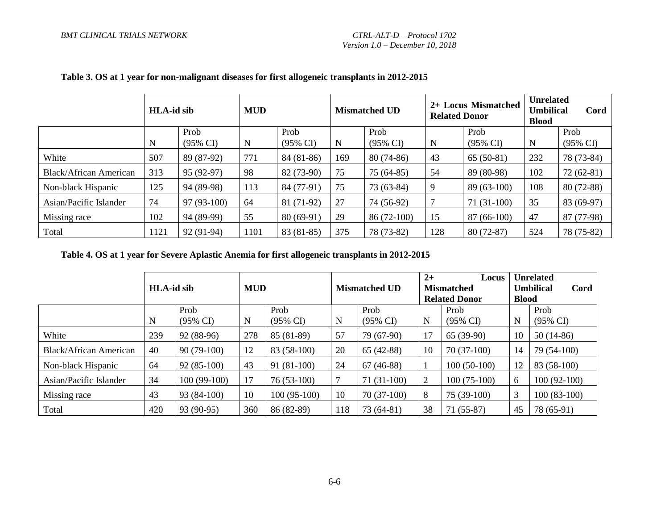|                               | <b>HLA-id sib</b> |                             | <b>MUD</b> |                             |             | <b>Mismatched UD</b>        |     | 2+ Locus Mismatched<br><b>Related Donor</b> | <b>Unrelated</b><br><b>Umbilical</b><br><b>Blood</b> | Cord             |
|-------------------------------|-------------------|-----------------------------|------------|-----------------------------|-------------|-----------------------------|-----|---------------------------------------------|------------------------------------------------------|------------------|
|                               | N                 | Prob<br>$(95\% \text{ CI})$ | N          | Prob<br>$(95\% \text{ CI})$ | $\mathbf N$ | Prob<br>$(95\% \text{ CI})$ | N   | Prob<br>$(95\% \text{ CI})$                 | $\mathbf N$                                          | Prob<br>(95% CI) |
| White                         | 507               | 89 (87-92)                  | 771        | 84 (81-86)                  | 169         | $80(74-86)$                 | 43  | $65(50-81)$                                 | 232                                                  | 78 (73-84)       |
| <b>Black/African American</b> | 313               | 95 (92-97)                  | 98         | 82 (73-90)                  | 75          | $75(64-85)$                 | 54  | 89 (80-98)                                  | 102                                                  | $72(62-81)$      |
| Non-black Hispanic            | 125               | 94 (89-98)                  | 113        | 84 (77-91)                  | 75          | $73(63-84)$                 | 9   | 89 (63-100)                                 | 108                                                  | 80 (72-88)       |
| Asian/Pacific Islander        | 74                | 97 (93-100)                 | 64         | 81 (71-92)                  | 27          | 74 (56-92)                  |     | $71(31-100)$                                | 35                                                   | 83 (69-97)       |
| Missing race                  | 102               | 94 (89-99)                  | 55         | $80(69-91)$                 | 29          | 86 (72-100)                 | 15  | $87(66-100)$                                | 47                                                   | 87 (77-98)       |
| Total                         | 1121              | 92 (91-94)                  | 1101       | 83 (81-85)                  | 375         | 78 (73-82)                  | 128 | $80(72-87)$                                 | 524                                                  | 78 (75-82)       |

## **Table 3. OS at 1 year for non-malignant diseases for first allogeneic transplants in 2012-2015**

**Table 4. OS at 1 year for Severe Aplastic Anemia for first allogeneic transplants in 2012-2015**

|                               |     | <b>HLA-id sib</b>           |     | <b>MUD</b>                  |     | <b>Mismatched UD</b>        | $2+$ | Locus<br><b>Mismatched</b><br><b>Related Donor</b> | <b>Blood</b> | <b>Unrelated</b><br><b>Umbilical</b><br>Cord |
|-------------------------------|-----|-----------------------------|-----|-----------------------------|-----|-----------------------------|------|----------------------------------------------------|--------------|----------------------------------------------|
|                               | N   | Prob<br>$(95\% \text{ CI})$ | N   | Prob<br>$(95\% \text{ CI})$ | N   | Prob<br>$(95\% \text{ CI})$ | N    | Prob<br>$(95\% \text{ CI})$                        | N            | Prob<br>$(95\% \text{ CI})$                  |
| White                         | 239 | 92 (88-96)                  | 278 | 85 (81-89)                  | 57  | 79 (67-90)                  | 17   | $65(39-90)$                                        | 10           | $50(14-86)$                                  |
| <b>Black/African American</b> | 40  | $90(79-100)$                | 12  | 83 (58-100)                 | 20  | $65(42-88)$                 | 10   | $70(37-100)$                                       | 14           | 79 (54-100)                                  |
| Non-black Hispanic            | 64  | $92(85-100)$                | 43  | $91(81-100)$                | 24  | $67(46-88)$                 |      | $100(50-100)$                                      | 12           | 83 (58-100)                                  |
| Asian/Pacific Islander        | 34  | $100(99-100)$               | 17  | $76(53-100)$                | ┑   | $71(31-100)$                | 2    | $100(75-100)$                                      | 6            | $100(92-100)$                                |
| Missing race                  | 43  | $93(84-100)$                | 10  | 100 (95-100)                | 10  | $70(37-100)$                | 8    | $75(39-100)$                                       | 3            | $100(83-100)$                                |
| Total                         | 420 | 93 (90-95)                  | 360 | 86 (82-89)                  | 118 | 73 (64-81)                  | 38   | $71(55-87)$                                        | 45           | 78 (65-91)                                   |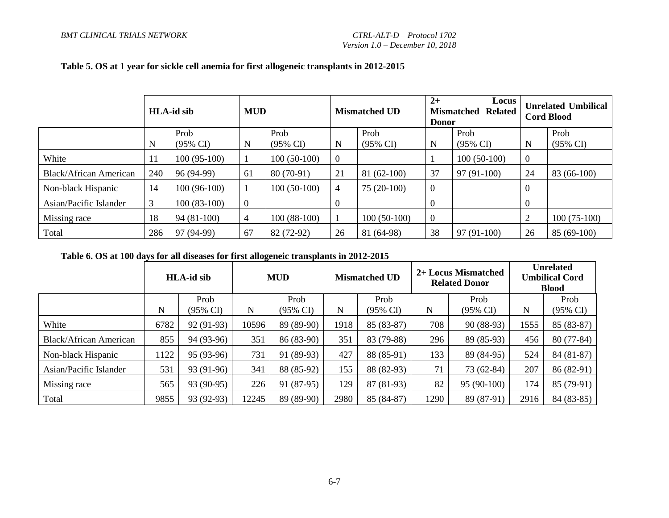|                        | <b>HLA-id sib</b> |                     | <b>MUD</b>     |                     |                | <b>Mismatched UD</b> | $2+$<br><b>Donor</b> | Locus<br><b>Mismatched</b><br><b>Related</b> |                  | <b>Unrelated Umbilical</b><br><b>Cord Blood</b> |
|------------------------|-------------------|---------------------|----------------|---------------------|----------------|----------------------|----------------------|----------------------------------------------|------------------|-------------------------------------------------|
|                        |                   | Prob                |                | Prob                |                | Prob                 |                      | Prob                                         |                  | Prob                                            |
|                        | N                 | $(95\% \text{ CI})$ | N              | $(95\% \text{ CI})$ | $\mathbf N$    | $(95\% \text{ CI})$  | N                    | (95% CI)                                     | N                | $(95\% \text{ CI})$                             |
| White                  | 11                | $100(95-100)$       |                | $100(50-100)$       | $\overline{0}$ |                      |                      | $100(50-100)$                                | $\boldsymbol{0}$ |                                                 |
| Black/African American | 240               | 96 (94-99)          | 61             | 80 (70-91)          | 21             | $81(62-100)$         | 37                   | $97(91-100)$                                 | 24               | 83 (66-100)                                     |
| Non-black Hispanic     | 14                | $100(96-100)$       |                | $100(50-100)$       | 4              | $75(20-100)$         | $\boldsymbol{0}$     |                                              |                  |                                                 |
| Asian/Pacific Islander | 3                 | $100(83-100)$       | $\overline{0}$ |                     | $\mathbf{0}$   |                      | 0                    |                                              |                  |                                                 |
| Missing race           | 18                | $94(81-100)$        | 4              | $100(88-100)$       |                | $100(50-100)$        | $\mathbf{0}$         |                                              | 2                | $100(75-100)$                                   |
| Total                  | 286               | 97 (94-99)          | 67             | 82 (72-92)          | 26             | 81 (64-98)           | 38                   | $97(91-100)$                                 | 26               | $85(69-100)$                                    |

#### **Table 5. OS at 1 year for sickle cell anemia for first allogeneic transplants in 2012-2015**

#### **Table 6. OS at 100 days for all diseases for first allogeneic transplants in 2012-2015**

|                               |      | <b>HLA-id sib</b> |       | <b>MUD</b> |      | <b>Mismatched UD</b> |      | 2+ Locus Mismatched<br><b>Related Donor</b> |      | <b>Unrelated</b><br><b>Umbilical Cord</b><br><b>Blood</b> |
|-------------------------------|------|-------------------|-------|------------|------|----------------------|------|---------------------------------------------|------|-----------------------------------------------------------|
|                               |      | Prob              |       | Prob       |      | Prob                 |      | Prob                                        |      | Prob                                                      |
|                               | N    | (95% CI)          | N     | (95% CI)   | N    | (95% CI)             | N    | (95% CI)                                    | N    | $(95\% \text{ CI})$                                       |
| White                         | 6782 | $92(91-93)$       | 10596 | 89 (89-90) | 1918 | 85 (83-87)           | 708  | $90(88-93)$                                 | 1555 | 85 (83-87)                                                |
| <b>Black/African American</b> | 855  | 94 (93-96)        | 351   | 86 (83-90) | 351  | 83 (79-88)           | 296  | 89 (85-93)                                  | 456  | $80(77-84)$                                               |
| Non-black Hispanic            | 1122 | 95 (93-96)        | 731   | 91 (89-93) | 427  | 88 (85-91)           | 133  | 89 (84-95)                                  | 524  | 84 (81-87)                                                |
| Asian/Pacific Islander        | 531  | 93 (91-96)        | 341   | 88 (85-92) | 155  | 88 (82-93)           | 71   | $73(62-84)$                                 | 207  | 86 (82-91)                                                |
| Missing race                  | 565  | 93 (90-95)        | 226   | 91 (87-95) | 129  | $87(81-93)$          | 82   | $95(90-100)$                                | 174  | 85 (79-91)                                                |
| Total                         | 9855 | 93 (92-93)        | 12245 | 89 (89-90) | 2980 | 85 (84-87)           | 1290 | 89 (87-91)                                  | 2916 | 84 (83-85)                                                |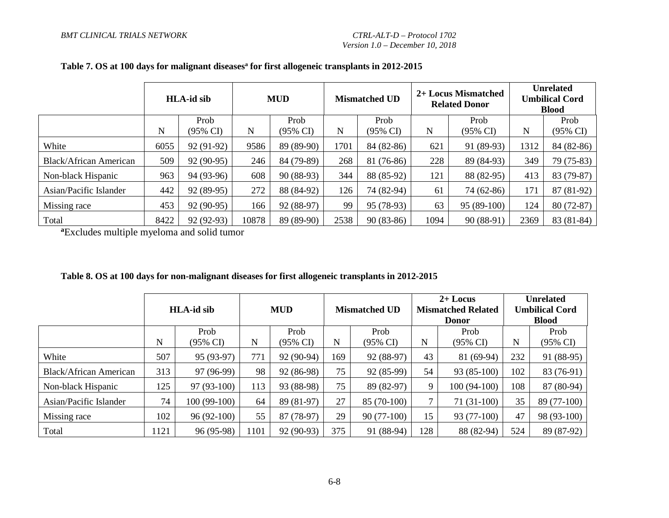|                               |      | <b>HLA-id sib</b> |       | <b>MUD</b>  |      | <b>Mismatched UD</b> |             | 2+ Locus Mismatched<br><b>Related Donor</b> |      | <b>Unrelated</b><br><b>Umbilical Cord</b><br><b>Blood</b> |
|-------------------------------|------|-------------------|-------|-------------|------|----------------------|-------------|---------------------------------------------|------|-----------------------------------------------------------|
|                               |      | Prob              |       | Prob        |      | Prob                 |             | Prob                                        |      | Prob                                                      |
|                               | N    | (95% CI)          | N     | (95% CI)    | N    | (95% CI)             | $\mathbf N$ | $(95\% \text{ CI})$                         | N    | $(95\% \text{ CI})$                                       |
| White                         | 6055 | 92 (91-92)        | 9586  | 89 (89-90)  | 1701 | 84 (82-86)           | 621         | 91 (89-93)                                  | 1312 | 84 (82-86)                                                |
| <b>Black/African American</b> | 509  | 92 (90-95)        | 246   | 84 (79-89)  | 268  | 81 (76-86)           | 228         | 89 (84-93)                                  | 349  | 79 (75-83)                                                |
| Non-black Hispanic            | 963  | 94 (93-96)        | 608   | $90(88-93)$ | 344  | 88 (85-92)           | 121         | 88 (82-95)                                  | 413  | 83 (79-87)                                                |
| Asian/Pacific Islander        | 442  | 92 (89-95)        | 272   | 88 (84-92)  | 126  | 74 (82-94)           | 61          | 74 (62-86)                                  | 171  | $87(81-92)$                                               |
| Missing race                  | 453  | 92 (90-95)        | 166   | 92 (88-97)  | 99   | 95 (78-93)           | 63          | $95(89-100)$                                | 124  | $80(72-87)$                                               |
| Total                         | 8422 | 92 (92-93)        | 10878 | 89 (89-90)  | 2538 | $90(83-86)$          | 1094        | $90(88-91)$                                 | 2369 | 83 (81-84)                                                |

# Table 7. OS at 100 days for malignant diseases<sup>a</sup> for first allogeneic transplants in 2012-2015

**<sup>a</sup>**Excludes multiple myeloma and solid tumor

|                               |                       | <b>HLA-id sib</b> |      | <b>MUD</b>          |     | <b>Mismatched UD</b> |     | $2+$ Locus<br><b>Mismatched Related</b><br><b>Donor</b> |     | <b>Unrelated</b><br><b>Umbilical Cord</b><br><b>Blood</b> |
|-------------------------------|-----------------------|-------------------|------|---------------------|-----|----------------------|-----|---------------------------------------------------------|-----|-----------------------------------------------------------|
|                               | Prob<br>N<br>(95% CI) |                   |      | Prob                |     | Prob                 |     | Prob                                                    |     | Prob                                                      |
|                               |                       |                   | N    | $(95\% \text{ CI})$ | N   | (95% CI)             | N   | $(95\% \text{ CI})$                                     | N   | $(95\% \text{ CI})$                                       |
| White                         | 507                   | 95 (93-97)        | 771  | 92 (90-94)          | 169 | 92 (88-97)           | 43  | $81(69-94)$                                             | 232 | 91 (88-95)                                                |
| <b>Black/African American</b> | 313                   | 97 (96-99)        |      | 92 (86-98)          | 75  | 92 (85-99)           | 54  | $93(85-100)$                                            | 102 | 83 (76-91)                                                |
| Non-black Hispanic            | 125                   | $97(93-100)$      | 113  | 93 (88-98)          | 75  | 89 (82-97)           | 9   | $100(94-100)$                                           | 108 | 87 (80-94)                                                |
| Asian/Pacific Islander        | 74                    | $100(99-100)$     | 64   | 89 (81-97)          | 27  | 85 (70-100)          |     | $71(31-100)$                                            | 35  | 89 (77-100)                                               |
| Missing race                  | 102                   | $96(92-100)$      | 55   | 87 (78-97)          | 29  | $90(77-100)$         | 15  | 93 (77-100)                                             | 47  | 98 (93-100)                                               |
| Total                         | 1121                  | 96 (95-98)        | 1101 | 92 (90-93)          | 375 | 91 (88-94)           | 128 | 88 (82-94)                                              | 524 | $89(87-92)$                                               |

#### **Table 8. OS at 100 days for non-malignant diseases for first allogeneic transplants in 2012-2015**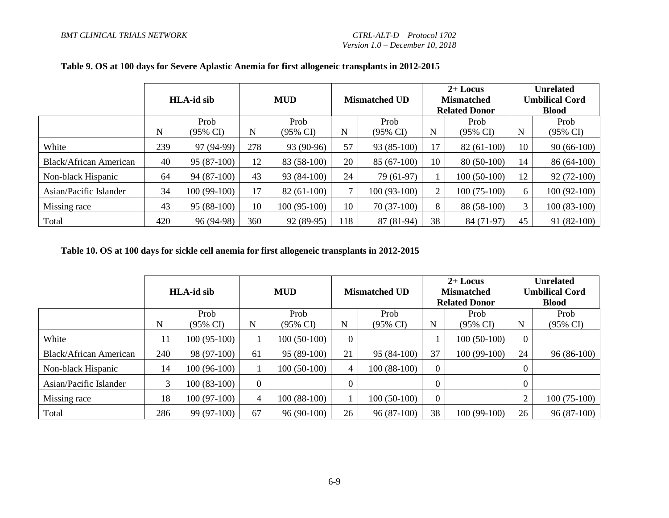|                               | <b>HLA-id sib</b> |                     | <b>MUD</b> |                     | <b>Mismatched UD</b> |               | $2+$ Locus<br><b>Mismatched</b><br><b>Related Donor</b> |                     | <b>Unrelated</b><br><b>Umbilical Cord</b><br><b>Blood</b> |                     |
|-------------------------------|-------------------|---------------------|------------|---------------------|----------------------|---------------|---------------------------------------------------------|---------------------|-----------------------------------------------------------|---------------------|
|                               |                   | Prob                |            | Prob                |                      | Prob          |                                                         | Prob                |                                                           | Prob                |
|                               | N                 | $(95\% \text{ CI})$ | N          | $(95\% \text{ CI})$ | N                    | (95% CI)      | N                                                       | $(95\% \text{ CI})$ | N                                                         | $(95\% \text{ CI})$ |
| White                         | 239               | 97 (94-99)          | 278        | 93 (90-96)          | 57                   | $93(85-100)$  | 17                                                      | $82(61-100)$        | 10                                                        | $90(66-100)$        |
| <b>Black/African American</b> | 40                | $95(87-100)$        | 12         | 83 (58-100)         | 20                   | $85(67-100)$  | 10                                                      | 80 (50-100)         | 14                                                        | $86(64-100)$        |
| Non-black Hispanic            | 64                | 94 (87-100)         | 43         | 93 (84-100)         | 24                   | 79 (61-97)    |                                                         | $100(50-100)$       | 12                                                        | $92(72-100)$        |
| Asian/Pacific Islander        | 34                | 100 (99-100)        | 17         | $82(61-100)$        | ⇁                    | $100(93-100)$ | 2                                                       | $100(75-100)$       | 6                                                         | $100(92-100)$       |
| Missing race                  | 43                | $95(88-100)$        | 10         | $100(95-100)$       | 10                   | $70(37-100)$  | 8                                                       | 88 (58-100)         |                                                           | $100(83-100)$       |
| Total                         | 420               | 96 (94-98)          | 360        | 92 (89-95)          | 118                  | $87(81-94)$   | 38                                                      | 84 (71-97)          | 45                                                        | $91(82-100)$        |

## **Table 9. OS at 100 days for Severe Aplastic Anemia for first allogeneic transplants in 2012-2015**

#### **Table 10. OS at 100 days for sickle cell anemia for first allogeneic transplants in 2012-2015**

|                               | <b>HLA-id sib</b> |                             | <b>MUD</b>  |                  | <b>Mismatched UD</b> |                  | $2+$ Locus<br><b>Mismatched</b><br><b>Related Donor</b> |                  | <b>Unrelated</b><br><b>Umbilical Cord</b><br><b>Blood</b> |                             |
|-------------------------------|-------------------|-----------------------------|-------------|------------------|----------------------|------------------|---------------------------------------------------------|------------------|-----------------------------------------------------------|-----------------------------|
|                               | N                 | Prob<br>$(95\% \text{ CI})$ | $\mathbf N$ | Prob<br>(95% CI) | N                    | Prob<br>(95% CI) | N                                                       | Prob<br>(95% CI) | N                                                         | Prob<br>$(95\% \text{ CI})$ |
| White                         | 11                | $100(95-100)$               |             | $100(50-100)$    | $\Omega$             |                  |                                                         | $100(50-100)$    |                                                           |                             |
| <b>Black/African American</b> | 240               | 98 (97-100)                 | 61          | $95(89-100)$     | 21                   | $95(84-100)$     | 37                                                      | $100(99-100)$    | 24                                                        | $96(86-100)$                |
| Non-black Hispanic            | 14                | 100 (96-100)                |             | $100(50-100)$    | 4                    | $100(88-100)$    | 0                                                       |                  |                                                           |                             |
| Asian/Pacific Islander        | 3                 | $100(83-100)$               | $\theta$    |                  |                      |                  | $\overline{0}$                                          |                  |                                                           |                             |
| Missing race                  | 18                | $100(97-100)$               | 4           | $100(88-100)$    |                      | $100(50-100)$    | $\overline{0}$                                          |                  | $\overline{2}$                                            | $100(75-100)$               |
| Total                         | 286               | 99 (97-100)                 | 67          | $96(90-100)$     | 26                   | $96(87-100)$     | 38                                                      | $100(99-100)$    | 26                                                        | $96(87-100)$                |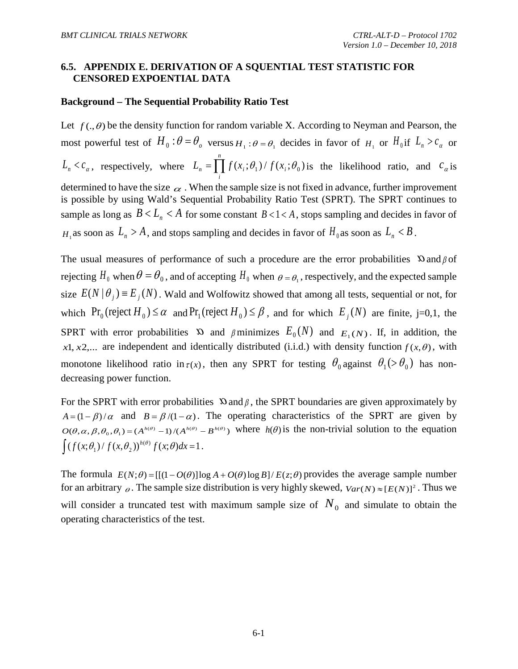## <span id="page-58-0"></span>**6.5. APPENDIX E. DERIVATION OF A SQUENTIAL TEST STATISTIC FOR CENSORED EXPOENTIAL DATA**

#### **Background – The Sequential Probability Ratio Test**

Let  $f(.)$  be the density function for random variable X. According to Neyman and Pearson, the most powerful test of  $H_0: \theta = \theta_0$  versus  $H_1: \theta = \theta_1$  decides in favor of  $H_1$  or  $H_0$  if  $L_n > c_a$  or  $L_n < c_\alpha$ , respectively, where  $L_n = \prod^n$ *i*  $L_n = \iint f(x_i; \theta_1) / f(x_i; \theta_0)$  is the likelihood ratio, and  $c_{\alpha}$  is determined to have the size  $\alpha$ . When the sample size is not fixed in advance, further improvement is possible by using Wald's Sequential Probability Ratio Test (SPRT). The SPRT continues to sample as long as  $B < L_n < A$  for some constant  $B < 1 < A$ , stops sampling and decides in favor of *H*<sub>1</sub> as soon as  $L_n > A$ , and stops sampling and decides in favor of  $H_0$  as soon as  $L_n < B$ .

The usual measures of performance of such a procedure are the error probabilities  $\Omega$  and  $\beta$  of rejecting  $H_0$  when  $\theta = \theta_0$ , and of accepting  $H_0$  when  $\theta = \theta_1$ , respectively, and the expected sample size  $E(N | \theta_i) = E_i(N)$ . Wald and Wolfowitz showed that among all tests, sequential or not, for which  $Pr_0$  (reject  $H_0$ )  $\leq \alpha$  and  $Pr_1$  (reject  $H_0$ )  $\leq \beta$ , and for which  $E_i(N)$  are finite, j=0,1, the SPRT with error probabilities  $\infty$  and  $\beta$  minimizes  $E_0(N)$  and  $E_1(N)$ . If, in addition, the *x*1, *x*2,... are independent and identically distributed (i.i.d.) with density function  $f(x, \theta)$ , with monotone likelihood ratio in  $\tau(x)$ , then any SPRT for testing  $\theta_0$  against  $\theta_1$  (>  $\theta_0$ ) has nondecreasing power function.

For the SPRT with error probabilities  $\Omega$  and  $\beta$ , the SPRT boundaries are given approximately by  $A = (1 - \beta)/\alpha$  and  $B = \beta/(1 - \alpha)$ . The operating characteristics of the SPRT are given by  $O(\theta, \alpha, \beta, \theta_0, \theta_1) = (A^{h(\theta)} - 1)/(A^{h(\theta)} - B^{h(\theta)})$  where  $h(\theta)$  is the non-trivial solution to the equation  $\int (f(x; \theta_1) / f(x, \theta_2))^{h(\theta)} f(x; \theta) dx = 1.$ 

The formula  $E(N;\theta) = [[(1 - O(\theta)]\log A + O(\theta)\log B]/E(z;\theta)$  provides the average sample number for an arbitrary  $\theta$ . The sample size distribution is very highly skewed,  $Var(N) \approx [E(N)]^2$ . Thus we will consider a truncated test with maximum sample size of  $N_0$  and simulate to obtain the operating characteristics of the test.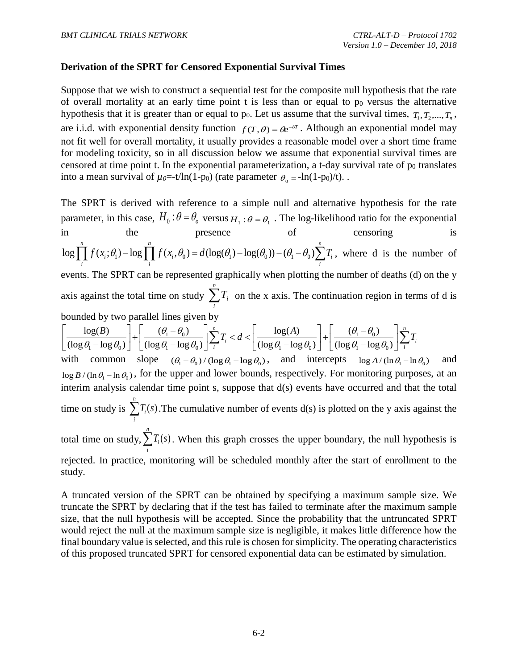## **Derivation of the SPRT for Censored Exponential Survival Times**

Suppose that we wish to construct a sequential test for the composite null hypothesis that the rate of overall mortality at an early time point  $t$  is less than or equal to  $p_0$  versus the alternative hypothesis that it is greater than or equal to  $p_0$ . Let us assume that the survival times,  $T_1, T_2, ..., T_n$ , are i.i.d. with exponential density function  $f(T, \theta) = \theta e^{-\theta T}$ . Although an exponential model may not fit well for overall mortality, it usually provides a reasonable model over a short time frame for modeling toxicity, so in all discussion below we assume that exponential survival times are censored at time point t. In the exponential parameterization, a t-day survival rate of  $p<sub>0</sub>$  translates into a mean survival of  $\mu_0 = -t/\ln(1-p_0)$  (rate parameter  $\theta_0 = -\ln(1-p_0)/t$ ).

The SPRT is derived with reference to a simple null and alternative hypothesis for the rate parameter, in this case,  $H_0$ :  $\theta = \theta_0$  versus  $H_1$ :  $\theta = \theta_1$ . The log-likelihood ratio for the exponential in the presence of censoring is  $\log \left[ \int f(x_i;\theta_1) - \log \left[ \int f(x_i,\theta_0) \right] = d(\log(\theta_1) - \log(\theta_0)) - (\theta_1 - \theta_0) \right]$ *n n n*  $\mu_i$ ,  $v_1$ ,  $\mu_6$  **i**  $\mu_i$ ,  $v_0$ ,  $u_i$ ,  $v_0$ ,  $u_i$ ,  $v_6$ ,  $v_1$ ,  $v_6$ ,  $v_0$ ,  $v_1$ ,  $v_0$ ,  $v_1$ ,  $v_0$ ,  $v_1$ ,  $v_0$ ,  $v_1$ ,  $v_0$ ,  $v_1$ ,  $v_0$ ,  $v_1$ ,  $v_0$ ,  $v_1$ ,  $v_0$ ,  $v_1$ ,  $v_0$ ,  $v_1$ ,  $v_0$ ,  $v_1$ ,  $v$  $\prod_i f(x_i; \theta_1) - \log \prod_i f(x_i, \theta_0) = d(\log(\theta_1) - \log(\theta_0)) - (\theta_1 - \theta_0) \sum_i T_i$ , where d is the number of events. The SPRT can be represented graphically when plotting the number of deaths (d) on the y axis against the total time on study  $\sum_{n=1}^{\infty}$ *i*  $T_i$  on the x axis. The continuation region in terms of d is bounded by two parallel lines given by

$$
\left[\frac{\log(B)}{(\log \theta_1 - \log \theta_0)}\right] + \left[\frac{(\theta_1 - \theta_0)}{(\log \theta_1 - \log \theta_0)}\right] \sum_{i=1}^{n} T_i < d < \left[\frac{\log(A)}{(\log \theta_1 - \log \theta_0)}\right] + \left[\frac{(\theta_1 - \theta_0)}{(\log \theta_1 - \log \theta_0)}\right] \sum_{i=1}^{n} T_i
$$

with common slope  $(\theta_1 - \theta_0) / (\log \theta_1 - \log \theta_0)$ , and intercepts  $\log A / (\ln \theta_1 - \ln \theta_0)$  and  $\log B / (\ln \theta_1 - \ln \theta_0)$ , for the upper and lower bounds, respectively. For monitoring purposes, at an  $\log B / (\ln \nu_1 - \ln \nu_0)$ , for the appending follower obtains, respectively. For momenting parposes, at an interim analysis calendar time point s, suppose that  $d(s)$  events have occurred and that the total time on study is  $\sum T_i(s)$ *n i*  $\sum_i T_i(s)$ . The cumulative number of events d(s) is plotted on the y axis against the *n*

total time on study,  $\sum T_i(s)$  $\sum T_i(s)$ . When this graph crosses the upper boundary, the null hypothesis is *i* rejected. In practice, monitoring will be scheduled monthly after the start of enrollment to the study.

A truncated version of the SPRT can be obtained by specifying a maximum sample size. We truncate the SPRT by declaring that if the test has failed to terminate after the maximum sample size, that the null hypothesis will be accepted. Since the probability that the untruncated SPRT would reject the null at the maximum sample size is negligible, it makes little difference how the final boundary value is selected, and this rule is chosen for simplicity. The operating characteristics of this proposed truncated SPRT for censored exponential data can be estimated by simulation.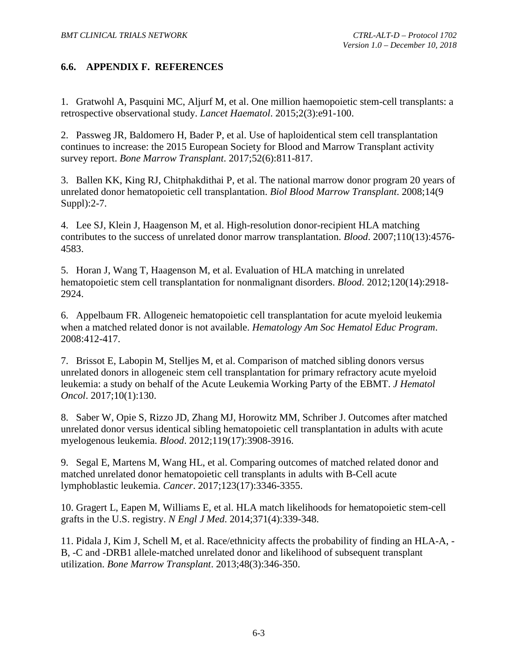# <span id="page-60-0"></span>**6.6. APPENDIX F. REFERENCES**

<span id="page-60-1"></span>1. Gratwohl A, Pasquini MC, Aljurf M, et al. One million haemopoietic stem-cell transplants: a retrospective observational study. *Lancet Haematol*. 2015;2(3):e91-100.

<span id="page-60-2"></span>2. Passweg JR, Baldomero H, Bader P, et al. Use of haploidentical stem cell transplantation continues to increase: the 2015 European Society for Blood and Marrow Transplant activity survey report. *Bone Marrow Transplant*. 2017;52(6):811-817.

<span id="page-60-3"></span>3. Ballen KK, King RJ, Chitphakdithai P, et al. The national marrow donor program 20 years of unrelated donor hematopoietic cell transplantation. *Biol Blood Marrow Transplant*. 2008;14(9 Suppl):2-7.

<span id="page-60-4"></span>4. Lee SJ, Klein J, Haagenson M, et al. High-resolution donor-recipient HLA matching contributes to the success of unrelated donor marrow transplantation. *Blood*. 2007;110(13):4576- 4583.

<span id="page-60-5"></span>5. Horan J, Wang T, Haagenson M, et al. Evaluation of HLA matching in unrelated hematopoietic stem cell transplantation for nonmalignant disorders. *Blood*. 2012;120(14):2918- 2924.

<span id="page-60-6"></span>6. Appelbaum FR. Allogeneic hematopoietic cell transplantation for acute myeloid leukemia when a matched related donor is not available. *Hematology Am Soc Hematol Educ Program*. 2008:412-417.

7. Brissot E, Labopin M, Stelljes M, et al. Comparison of matched sibling donors versus unrelated donors in allogeneic stem cell transplantation for primary refractory acute myeloid leukemia: a study on behalf of the Acute Leukemia Working Party of the EBMT. *J Hematol Oncol*. 2017;10(1):130.

<span id="page-60-9"></span>8. Saber W, Opie S, Rizzo JD, Zhang MJ, Horowitz MM, Schriber J. Outcomes after matched unrelated donor versus identical sibling hematopoietic cell transplantation in adults with acute myelogenous leukemia. *Blood*. 2012;119(17):3908-3916.

9. Segal E, Martens M, Wang HL, et al. Comparing outcomes of matched related donor and matched unrelated donor hematopoietic cell transplants in adults with B-Cell acute lymphoblastic leukemia. *Cancer*. 2017;123(17):3346-3355.

<span id="page-60-7"></span>10. Gragert L, Eapen M, Williams E, et al. HLA match likelihoods for hematopoietic stem-cell grafts in the U.S. registry. *N Engl J Med*. 2014;371(4):339-348.

<span id="page-60-8"></span>11. Pidala J, Kim J, Schell M, et al. Race/ethnicity affects the probability of finding an HLA-A, - B, -C and -DRB1 allele-matched unrelated donor and likelihood of subsequent transplant utilization. *Bone Marrow Transplant*. 2013;48(3):346-350.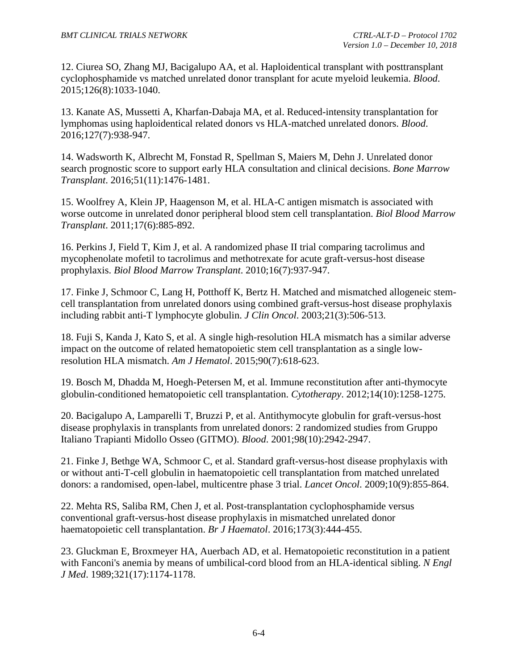<span id="page-61-0"></span>12. Ciurea SO, Zhang MJ, Bacigalupo AA, et al. Haploidentical transplant with posttransplant cyclophosphamide vs matched unrelated donor transplant for acute myeloid leukemia. *Blood*. 2015;126(8):1033-1040.

<span id="page-61-1"></span>13. Kanate AS, Mussetti A, Kharfan-Dabaja MA, et al. Reduced-intensity transplantation for lymphomas using haploidentical related donors vs HLA-matched unrelated donors. *Blood*. 2016;127(7):938-947.

<span id="page-61-2"></span>14. Wadsworth K, Albrecht M, Fonstad R, Spellman S, Maiers M, Dehn J. Unrelated donor search prognostic score to support early HLA consultation and clinical decisions. *Bone Marrow Transplant*. 2016;51(11):1476-1481.

<span id="page-61-3"></span>15. Woolfrey A, Klein JP, Haagenson M, et al. HLA-C antigen mismatch is associated with worse outcome in unrelated donor peripheral blood stem cell transplantation. *Biol Blood Marrow Transplant*. 2011;17(6):885-892.

<span id="page-61-4"></span>16. Perkins J, Field T, Kim J, et al. A randomized phase II trial comparing tacrolimus and mycophenolate mofetil to tacrolimus and methotrexate for acute graft-versus-host disease prophylaxis. *Biol Blood Marrow Transplant*. 2010;16(7):937-947.

<span id="page-61-5"></span>17. Finke J, Schmoor C, Lang H, Potthoff K, Bertz H. Matched and mismatched allogeneic stemcell transplantation from unrelated donors using combined graft-versus-host disease prophylaxis including rabbit anti-T lymphocyte globulin. *J Clin Oncol*. 2003;21(3):506-513.

<span id="page-61-6"></span>18. Fuji S, Kanda J, Kato S, et al. A single high-resolution HLA mismatch has a similar adverse impact on the outcome of related hematopoietic stem cell transplantation as a single lowresolution HLA mismatch. *Am J Hematol*. 2015;90(7):618-623.

<span id="page-61-7"></span>19. Bosch M, Dhadda M, Hoegh-Petersen M, et al. Immune reconstitution after anti-thymocyte globulin-conditioned hematopoietic cell transplantation. *Cytotherapy*. 2012;14(10):1258-1275.

<span id="page-61-8"></span>20. Bacigalupo A, Lamparelli T, Bruzzi P, et al. Antithymocyte globulin for graft-versus-host disease prophylaxis in transplants from unrelated donors: 2 randomized studies from Gruppo Italiano Trapianti Midollo Osseo (GITMO). *Blood*. 2001;98(10):2942-2947.

<span id="page-61-9"></span>21. Finke J, Bethge WA, Schmoor C, et al. Standard graft-versus-host disease prophylaxis with or without anti-T-cell globulin in haematopoietic cell transplantation from matched unrelated donors: a randomised, open-label, multicentre phase 3 trial. *Lancet Oncol*. 2009;10(9):855-864.

<span id="page-61-10"></span>22. Mehta RS, Saliba RM, Chen J, et al. Post-transplantation cyclophosphamide versus conventional graft-versus-host disease prophylaxis in mismatched unrelated donor haematopoietic cell transplantation. *Br J Haematol*. 2016;173(3):444-455.

<span id="page-61-11"></span>23. Gluckman E, Broxmeyer HA, Auerbach AD, et al. Hematopoietic reconstitution in a patient with Fanconi's anemia by means of umbilical-cord blood from an HLA-identical sibling. *N Engl J Med*. 1989;321(17):1174-1178.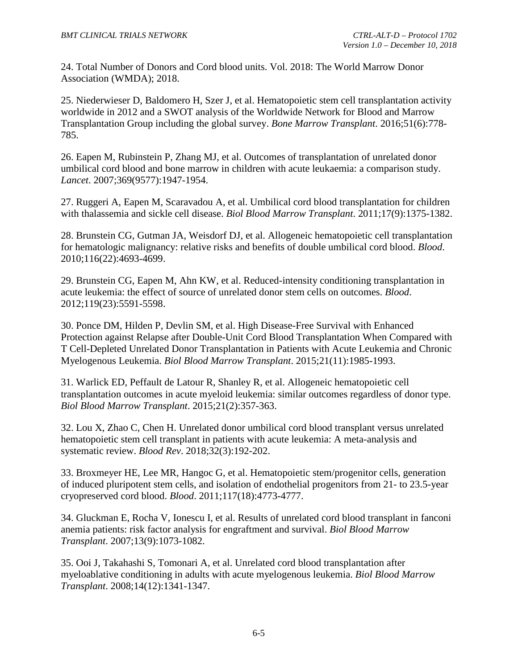<span id="page-62-0"></span>24. Total Number of Donors and Cord blood units. Vol. 2018: The World Marrow Donor Association (WMDA); 2018.

<span id="page-62-1"></span>25. Niederwieser D, Baldomero H, Szer J, et al. Hematopoietic stem cell transplantation activity worldwide in 2012 and a SWOT analysis of the Worldwide Network for Blood and Marrow Transplantation Group including the global survey. *Bone Marrow Transplant*. 2016;51(6):778- 785.

<span id="page-62-2"></span>26. Eapen M, Rubinstein P, Zhang MJ, et al. Outcomes of transplantation of unrelated donor umbilical cord blood and bone marrow in children with acute leukaemia: a comparison study. *Lancet*. 2007;369(9577):1947-1954.

<span id="page-62-3"></span>27. Ruggeri A, Eapen M, Scaravadou A, et al. Umbilical cord blood transplantation for children with thalassemia and sickle cell disease. *Biol Blood Marrow Transplant*. 2011;17(9):1375-1382.

<span id="page-62-4"></span>28. Brunstein CG, Gutman JA, Weisdorf DJ, et al. Allogeneic hematopoietic cell transplantation for hematologic malignancy: relative risks and benefits of double umbilical cord blood. *Blood*. 2010;116(22):4693-4699.

29. Brunstein CG, Eapen M, Ahn KW, et al. Reduced-intensity conditioning transplantation in acute leukemia: the effect of source of unrelated donor stem cells on outcomes. *Blood*. 2012;119(23):5591-5598.

30. Ponce DM, Hilden P, Devlin SM, et al. High Disease-Free Survival with Enhanced Protection against Relapse after Double-Unit Cord Blood Transplantation When Compared with T Cell-Depleted Unrelated Donor Transplantation in Patients with Acute Leukemia and Chronic Myelogenous Leukemia. *Biol Blood Marrow Transplant*. 2015;21(11):1985-1993.

31. Warlick ED, Peffault de Latour R, Shanley R, et al. Allogeneic hematopoietic cell transplantation outcomes in acute myeloid leukemia: similar outcomes regardless of donor type. *Biol Blood Marrow Transplant*. 2015;21(2):357-363.

<span id="page-62-5"></span>32. Lou X, Zhao C, Chen H. Unrelated donor umbilical cord blood transplant versus unrelated hematopoietic stem cell transplant in patients with acute leukemia: A meta-analysis and systematic review. *Blood Rev*. 2018;32(3):192-202.

<span id="page-62-6"></span>33. Broxmeyer HE, Lee MR, Hangoc G, et al. Hematopoietic stem/progenitor cells, generation of induced pluripotent stem cells, and isolation of endothelial progenitors from 21- to 23.5-year cryopreserved cord blood. *Blood*. 2011;117(18):4773-4777.

<span id="page-62-7"></span>34. Gluckman E, Rocha V, Ionescu I, et al. Results of unrelated cord blood transplant in fanconi anemia patients: risk factor analysis for engraftment and survival. *Biol Blood Marrow Transplant*. 2007;13(9):1073-1082.

<span id="page-62-8"></span>35. Ooi J, Takahashi S, Tomonari A, et al. Unrelated cord blood transplantation after myeloablative conditioning in adults with acute myelogenous leukemia. *Biol Blood Marrow Transplant*. 2008;14(12):1341-1347.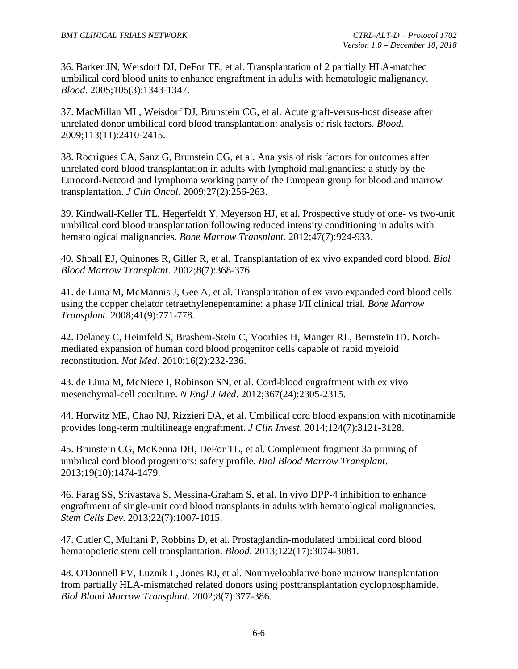<span id="page-63-0"></span>36. Barker JN, Weisdorf DJ, DeFor TE, et al. Transplantation of 2 partially HLA-matched umbilical cord blood units to enhance engraftment in adults with hematologic malignancy. *Blood*. 2005;105(3):1343-1347.

<span id="page-63-1"></span>37. MacMillan ML, Weisdorf DJ, Brunstein CG, et al. Acute graft-versus-host disease after unrelated donor umbilical cord blood transplantation: analysis of risk factors. *Blood*. 2009;113(11):2410-2415.

<span id="page-63-2"></span>38. Rodrigues CA, Sanz G, Brunstein CG, et al. Analysis of risk factors for outcomes after unrelated cord blood transplantation in adults with lymphoid malignancies: a study by the Eurocord-Netcord and lymphoma working party of the European group for blood and marrow transplantation. *J Clin Oncol*. 2009;27(2):256-263.

<span id="page-63-3"></span>39. Kindwall-Keller TL, Hegerfeldt Y, Meyerson HJ, et al. Prospective study of one- vs two-unit umbilical cord blood transplantation following reduced intensity conditioning in adults with hematological malignancies. *Bone Marrow Transplant*. 2012;47(7):924-933.

<span id="page-63-4"></span>40. Shpall EJ, Quinones R, Giller R, et al. Transplantation of ex vivo expanded cord blood. *Biol Blood Marrow Transplant*. 2002;8(7):368-376.

41. de Lima M, McMannis J, Gee A, et al. Transplantation of ex vivo expanded cord blood cells using the copper chelator tetraethylenepentamine: a phase I/II clinical trial. *Bone Marrow Transplant*. 2008;41(9):771-778.

42. Delaney C, Heimfeld S, Brashem-Stein C, Voorhies H, Manger RL, Bernstein ID. Notchmediated expansion of human cord blood progenitor cells capable of rapid myeloid reconstitution. *Nat Med*. 2010;16(2):232-236.

43. de Lima M, McNiece I, Robinson SN, et al. Cord-blood engraftment with ex vivo mesenchymal-cell coculture. *N Engl J Med*. 2012;367(24):2305-2315.

44. Horwitz ME, Chao NJ, Rizzieri DA, et al. Umbilical cord blood expansion with nicotinamide provides long-term multilineage engraftment. *J Clin Invest*. 2014;124(7):3121-3128.

<span id="page-63-5"></span>45. Brunstein CG, McKenna DH, DeFor TE, et al. Complement fragment 3a priming of umbilical cord blood progenitors: safety profile. *Biol Blood Marrow Transplant*. 2013;19(10):1474-1479.

46. Farag SS, Srivastava S, Messina-Graham S, et al. In vivo DPP-4 inhibition to enhance engraftment of single-unit cord blood transplants in adults with hematological malignancies. *Stem Cells Dev*. 2013;22(7):1007-1015.

47. Cutler C, Multani P, Robbins D, et al. Prostaglandin-modulated umbilical cord blood hematopoietic stem cell transplantation. *Blood*. 2013;122(17):3074-3081.

<span id="page-63-6"></span>48. O'Donnell PV, Luznik L, Jones RJ, et al. Nonmyeloablative bone marrow transplantation from partially HLA-mismatched related donors using posttransplantation cyclophosphamide. *Biol Blood Marrow Transplant*. 2002;8(7):377-386.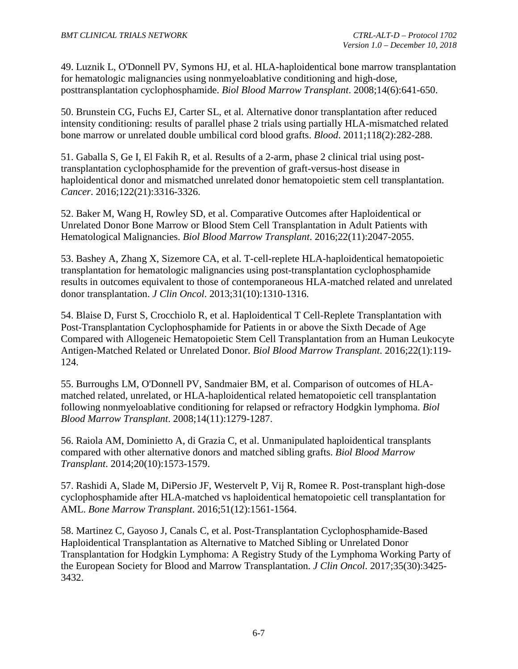<span id="page-64-0"></span>49. Luznik L, O'Donnell PV, Symons HJ, et al. HLA-haploidentical bone marrow transplantation for hematologic malignancies using nonmyeloablative conditioning and high-dose, posttransplantation cyclophosphamide. *Biol Blood Marrow Transplant*. 2008;14(6):641-650.

<span id="page-64-1"></span>50. Brunstein CG, Fuchs EJ, Carter SL, et al. Alternative donor transplantation after reduced intensity conditioning: results of parallel phase 2 trials using partially HLA-mismatched related bone marrow or unrelated double umbilical cord blood grafts. *Blood*. 2011;118(2):282-288.

<span id="page-64-2"></span>51. Gaballa S, Ge I, El Fakih R, et al. Results of a 2-arm, phase 2 clinical trial using posttransplantation cyclophosphamide for the prevention of graft-versus-host disease in haploidentical donor and mismatched unrelated donor hematopoietic stem cell transplantation. *Cancer*. 2016;122(21):3316-3326.

<span id="page-64-3"></span>52. Baker M, Wang H, Rowley SD, et al. Comparative Outcomes after Haploidentical or Unrelated Donor Bone Marrow or Blood Stem Cell Transplantation in Adult Patients with Hematological Malignancies. *Biol Blood Marrow Transplant*. 2016;22(11):2047-2055.

53. Bashey A, Zhang X, Sizemore CA, et al. T-cell-replete HLA-haploidentical hematopoietic transplantation for hematologic malignancies using post-transplantation cyclophosphamide results in outcomes equivalent to those of contemporaneous HLA-matched related and unrelated donor transplantation. *J Clin Oncol*. 2013;31(10):1310-1316.

54. Blaise D, Furst S, Crocchiolo R, et al. Haploidentical T Cell-Replete Transplantation with Post-Transplantation Cyclophosphamide for Patients in or above the Sixth Decade of Age Compared with Allogeneic Hematopoietic Stem Cell Transplantation from an Human Leukocyte Antigen-Matched Related or Unrelated Donor. *Biol Blood Marrow Transplant*. 2016;22(1):119- 124.

55. Burroughs LM, O'Donnell PV, Sandmaier BM, et al. Comparison of outcomes of HLAmatched related, unrelated, or HLA-haploidentical related hematopoietic cell transplantation following nonmyeloablative conditioning for relapsed or refractory Hodgkin lymphoma. *Biol Blood Marrow Transplant*. 2008;14(11):1279-1287.

56. Raiola AM, Dominietto A, di Grazia C, et al. Unmanipulated haploidentical transplants compared with other alternative donors and matched sibling grafts. *Biol Blood Marrow Transplant*. 2014;20(10):1573-1579.

57. Rashidi A, Slade M, DiPersio JF, Westervelt P, Vij R, Romee R. Post-transplant high-dose cyclophosphamide after HLA-matched vs haploidentical hematopoietic cell transplantation for AML. *Bone Marrow Transplant*. 2016;51(12):1561-1564.

<span id="page-64-4"></span>58. Martinez C, Gayoso J, Canals C, et al. Post-Transplantation Cyclophosphamide-Based Haploidentical Transplantation as Alternative to Matched Sibling or Unrelated Donor Transplantation for Hodgkin Lymphoma: A Registry Study of the Lymphoma Working Party of the European Society for Blood and Marrow Transplantation. *J Clin Oncol*. 2017;35(30):3425- 3432.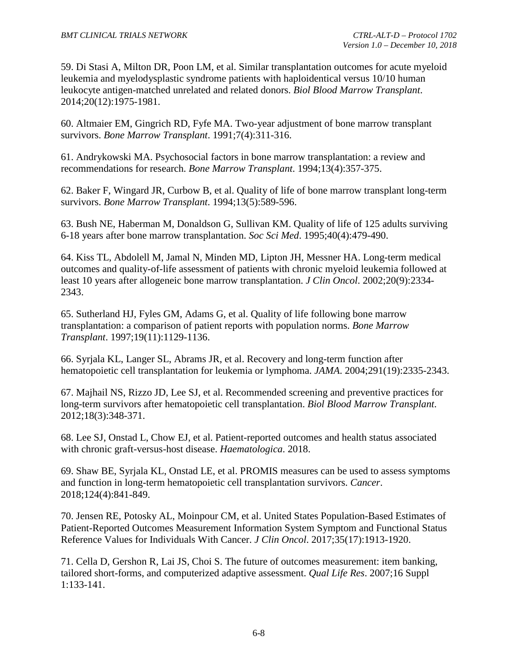<span id="page-65-0"></span>59. Di Stasi A, Milton DR, Poon LM, et al. Similar transplantation outcomes for acute myeloid leukemia and myelodysplastic syndrome patients with haploidentical versus 10/10 human leukocyte antigen-matched unrelated and related donors. *Biol Blood Marrow Transplant*. 2014;20(12):1975-1981.

<span id="page-65-1"></span>60. Altmaier EM, Gingrich RD, Fyfe MA. Two-year adjustment of bone marrow transplant survivors. *Bone Marrow Transplant*. 1991;7(4):311-316.

61. Andrykowski MA. Psychosocial factors in bone marrow transplantation: a review and recommendations for research. *Bone Marrow Transplant*. 1994;13(4):357-375.

62. Baker F, Wingard JR, Curbow B, et al. Quality of life of bone marrow transplant long-term survivors. *Bone Marrow Transplant*. 1994;13(5):589-596.

63. Bush NE, Haberman M, Donaldson G, Sullivan KM. Quality of life of 125 adults surviving 6-18 years after bone marrow transplantation. *Soc Sci Med*. 1995;40(4):479-490.

64. Kiss TL, Abdolell M, Jamal N, Minden MD, Lipton JH, Messner HA. Long-term medical outcomes and quality-of-life assessment of patients with chronic myeloid leukemia followed at least 10 years after allogeneic bone marrow transplantation. *J Clin Oncol*. 2002;20(9):2334- 2343.

65. Sutherland HJ, Fyles GM, Adams G, et al. Quality of life following bone marrow transplantation: a comparison of patient reports with population norms. *Bone Marrow Transplant*. 1997;19(11):1129-1136.

<span id="page-65-2"></span>66. Syrjala KL, Langer SL, Abrams JR, et al. Recovery and long-term function after hematopoietic cell transplantation for leukemia or lymphoma. *JAMA*. 2004;291(19):2335-2343.

<span id="page-65-3"></span>67. Majhail NS, Rizzo JD, Lee SJ, et al. Recommended screening and preventive practices for long-term survivors after hematopoietic cell transplantation. *Biol Blood Marrow Transplant*. 2012;18(3):348-371.

<span id="page-65-4"></span>68. Lee SJ, Onstad L, Chow EJ, et al. Patient-reported outcomes and health status associated with chronic graft-versus-host disease. *Haematologica*. 2018.

<span id="page-65-5"></span>69. Shaw BE, Syrjala KL, Onstad LE, et al. PROMIS measures can be used to assess symptoms and function in long-term hematopoietic cell transplantation survivors. *Cancer*. 2018;124(4):841-849.

<span id="page-65-6"></span>70. Jensen RE, Potosky AL, Moinpour CM, et al. United States Population-Based Estimates of Patient-Reported Outcomes Measurement Information System Symptom and Functional Status Reference Values for Individuals With Cancer. *J Clin Oncol*. 2017;35(17):1913-1920.

<span id="page-65-7"></span>71. Cella D, Gershon R, Lai JS, Choi S. The future of outcomes measurement: item banking, tailored short-forms, and computerized adaptive assessment. *Qual Life Res*. 2007;16 Suppl 1:133-141.